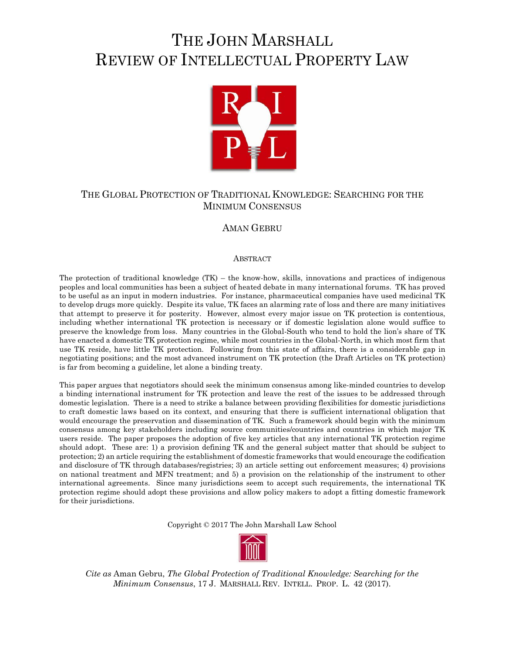# THE JOHN MARSHALL REVIEW OF INTELLECTUAL PROPERTY LAW



# THE GLOBAL PROTECTION OF TRADITIONAL KNOWLEDGE: SEARCHING FOR THE MINIMUM CONSENSUS

# AMAN GEBRU

#### ABSTRACT

The protection of traditional knowledge  $(TK)$  – the know-how, skills, innovations and practices of indigenous peoples and local communities has been a subject of heated debate in many international forums. TK has proved to be useful as an input in modern industries. For instance, pharmaceutical companies have used medicinal TK to develop drugs more quickly. Despite its value, TK faces an alarming rate of loss and there are many initiatives that attempt to preserve it for posterity. However, almost every major issue on TK protection is contentious, including whether international TK protection is necessary or if domestic legislation alone would suffice to preserve the knowledge from loss. Many countries in the Global-South who tend to hold the lion's share of TK have enacted a domestic TK protection regime, while most countries in the Global-North, in which most firm that use TK reside, have little TK protection. Following from this state of affairs, there is a considerable gap in negotiating positions; and the most advanced instrument on TK protection (the Draft Articles on TK protection) is far from becoming a guideline, let alone a binding treaty.

This paper argues that negotiators should seek the minimum consensus among like-minded countries to develop a binding international instrument for TK protection and leave the rest of the issues to be addressed through domestic legislation. There is a need to strike a balance between providing flexibilities for domestic jurisdictions to craft domestic laws based on its context, and ensuring that there is sufficient international obligation that would encourage the preservation and dissemination of TK. Such a framework should begin with the minimum consensus among key stakeholders including source communities/countries and countries in which major TK users reside. The paper proposes the adoption of five key articles that any international TK protection regime should adopt. These are: 1) a provision defining TK and the general subject matter that should be subject to protection; 2) an article requiring the establishment of domestic frameworks that would encourage the codification and disclosure of TK through databases/registries; 3) an article setting out enforcement measures; 4) provisions on national treatment and MFN treatment; and 5) a provision on the relationship of the instrument to other international agreements. Since many jurisdictions seem to accept such requirements, the international TK protection regime should adopt these provisions and allow policy makers to adopt a fitting domestic framework for their jurisdictions.

Copyright © 2017 The John Marshall Law School



*Cite as* Aman Gebru, *The Global Protection of Traditional Knowledge: Searching for the Minimum Consensus*, 17 J. MARSHALL REV. INTELL. PROP. L. 42 (2017).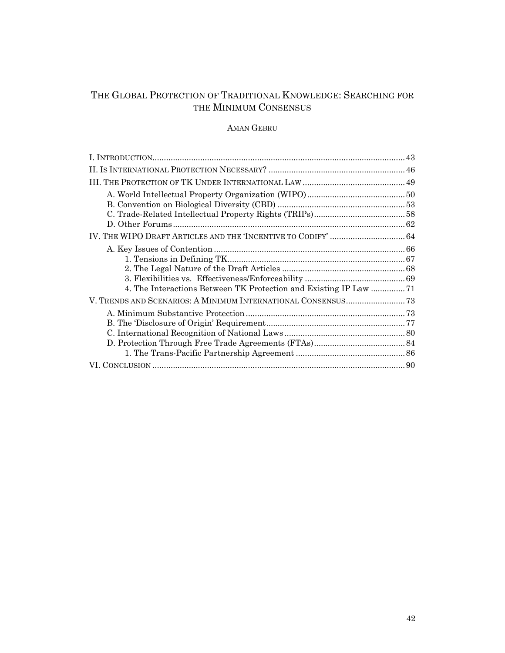# THE GLOBAL PROTECTION OF TRADITIONAL KNOWLEDGE: SEARCHING FOR THE MINIMUM CONSENSUS

### AMAN GEBRU

| 4. The Interactions Between TK Protection and Existing IP Law 71 |  |
|------------------------------------------------------------------|--|
|                                                                  |  |
|                                                                  |  |
|                                                                  |  |
|                                                                  |  |
|                                                                  |  |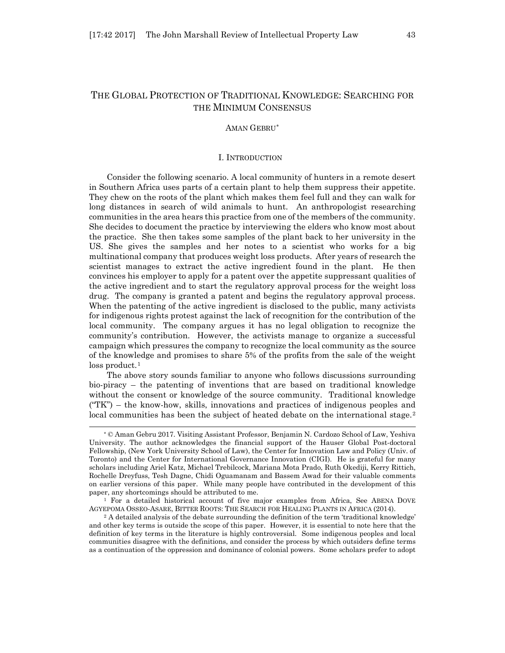# THE GLOBAL PROTECTION OF TRADITIONAL KNOWLEDGE: SEARCHING FOR THE MINIMUM CONSENSUS

#### AMAN GEBRU[\\*](#page-2-0)

#### I. INTRODUCTION

Consider the following scenario. A local community of hunters in a remote desert in Southern Africa uses parts of a certain plant to help them suppress their appetite. They chew on the roots of the plant which makes them feel full and they can walk for long distances in search of wild animals to hunt. An anthropologist researching communities in the area hears this practice from one of the members of the community. She decides to document the practice by interviewing the elders who know most about the practice. She then takes some samples of the plant back to her university in the US. She gives the samples and her notes to a scientist who works for a big multinational company that produces weight loss products. After years of research the scientist manages to extract the active ingredient found in the plant. He then convinces his employer to apply for a patent over the appetite suppressant qualities of the active ingredient and to start the regulatory approval process for the weight loss drug. The company is granted a patent and begins the regulatory approval process. When the patenting of the active ingredient is disclosed to the public, many activists for indigenous rights protest against the lack of recognition for the contribution of the local community. The company argues it has no legal obligation to recognize the community's contribution. However, the activists manage to organize a successful campaign which pressures the company to recognize the local community as the source of the knowledge and promises to share 5% of the profits from the sale of the weight loss product.<sup>[1](#page-2-1)</sup>

The above story sounds familiar to anyone who follows discussions surrounding bio-piracy – the patenting of inventions that are based on traditional knowledge without the consent or knowledge of the source community. Traditional knowledge  $("TK")$  – the know-how, skills, innovations and practices of indigenous peoples and local communities has been the subject of heated debate on the international stage.<sup>[2](#page-2-2)</sup>

<span id="page-2-0"></span><sup>\*</sup> © Aman Gebru 2017. Visiting Assistant Professor, Benjamin N. Cardozo School of Law, Yeshiva University. The author acknowledges the financial support of the Hauser Global Post-doctoral Fellowship, (New York University School of Law), the Center for Innovation Law and Policy (Univ. of Toronto) and the Center for International Governance Innovation (CIGI). He is grateful for many scholars including Ariel Katz, Michael Trebilcock, Mariana Mota Prado, Ruth Okediji, Kerry Rittich, Rochelle Dreyfuss, Tesh Dagne, Chidi Oguamanam and Bassem Awad for their valuable comments on earlier versions of this paper. While many people have contributed in the development of this paper, any shortcomings should be attributed to me.

<span id="page-2-1"></span><sup>&</sup>lt;sup>1</sup> For a detailed historical account of five major examples from Africa, See ABENA DOVE AGYEPOMA OSSEO-ASARE, BITTER ROOTS: THE SEARCH FOR HEALING PLANTS IN AFRICA (2014).

<span id="page-2-2"></span><sup>2</sup> A detailed analysis of the debate surrounding the definition of the term 'traditional knowledge' and other key terms is outside the scope of this paper. However, it is essential to note here that the definition of key terms in the literature is highly controversial. Some indigenous peoples and local communities disagree with the definitions, and consider the process by which outsiders define terms as a continuation of the oppression and dominance of colonial powers. Some scholars prefer to adopt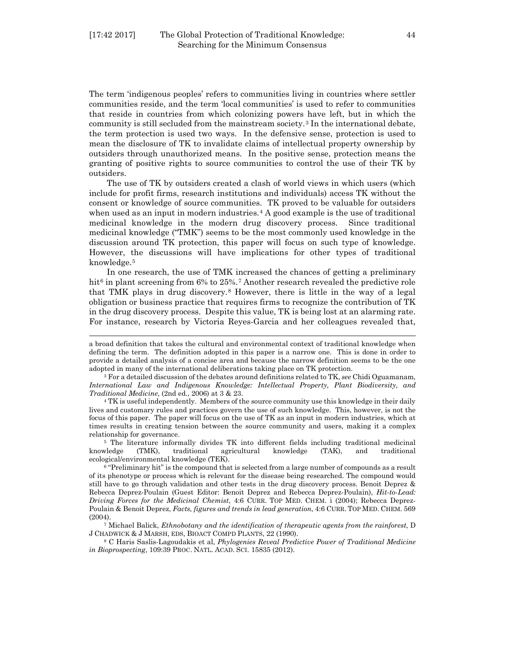l

The term 'indigenous peoples' refers to communities living in countries where settler communities reside, and the term 'local communities' is used to refer to communities that reside in countries from which colonizing powers have left, but in which the community is still secluded from the mainstream society.[3](#page-3-0) In the international debate, the term protection is used two ways. In the defensive sense, protection is used to mean the disclosure of TK to invalidate claims of intellectual property ownership by outsiders through unauthorized means. In the positive sense, protection means the granting of positive rights to source communities to control the use of their TK by outsiders.

The use of TK by outsiders created a clash of world views in which users (which include for profit firms, research institutions and individuals) access TK without the consent or knowledge of source communities. TK proved to be valuable for outsiders when used as an input in modern industries.<sup>[4](#page-3-1)</sup> A good example is the use of traditional medicinal knowledge in the modern drug discovery process. Since traditional medicinal knowledge ("TMK") seems to be the most commonly used knowledge in the discussion around TK protection, this paper will focus on such type of knowledge. However, the discussions will have implications for other types of traditional knowledge.[5](#page-3-2)

In one research, the use of TMK increased the chances of getting a preliminary hit<sup>[6](#page-3-3)</sup> in plant screening from 6% to 25%.<sup>[7](#page-3-4)</sup> Another research revealed the predictive role that TMK plays in drug discovery[.8](#page-3-5) However, there is little in the way of a legal obligation or business practice that requires firms to recognize the contribution of TK in the drug discovery process. Despite this value, TK is being lost at an alarming rate. For instance, research by Victoria Reyes-Garcia and her colleagues revealed that,

<span id="page-3-2"></span>relationship for governance.<br>
<sup>5</sup> The literature informally divides TK into different fields including traditional medicinal<br>
knowledge (TAK), and traditional medicinal agricultural knowledge (TAK), and traditional knowledge (TMK), traditional agricultural knowledge (TAK), and traditional ecological/environmental knowledge (TEK).

a broad definition that takes the cultural and environmental context of traditional knowledge when defining the term. The definition adopted in this paper is a narrow one. This is done in order to provide a detailed analysis of a concise area and because the narrow definition seems to be the one

<span id="page-3-0"></span>adopted in many of the international deliberations taking place on TK protection. 3 For a detailed discussion of the debates around definitions related to TK, *see* Chidi Oguamanam, *International Law and Indigenous Knowledge: Intellectual Property, Plant Biodiversity, and Traditional Medicine*, (2nd ed., 2006) at 3 & 23.

<span id="page-3-1"></span><sup>&</sup>lt;sup>4</sup> TK is useful independently. Members of the source community use this knowledge in their daily lives and customary rules and practices govern the use of such knowledge. This, however, is not the focus of this paper. The paper will focus on the use of TK as an input in modern industries, which at times results in creating tension between the source community and users, making it a complex

<span id="page-3-3"></span><sup>&</sup>lt;sup>6</sup> "Preliminary hit" is the compound that is selected from a large number of compounds as a result of its phenotype or process which is relevant for the disease being researched. The compound would still have to go through validation and other tests in the drug discovery process. Benoit Deprez & Rebecca Deprez-Poulain (Guest Editor: Benoit Deprez and Rebecca Deprez-Poulain), *Hit-to-Lead: Driving Forces for the Medicinal Chemist*, 4:6 CURR. TOP MED. CHEM. i (2004); Rebecca Deprez-Poulain & Benoit Deprez, *Facts, figures and trends in lead generation*, 4:6 CURR. TOP MED. CHEM. 569 (2004).

<span id="page-3-4"></span><sup>7</sup> Michael Balick, *Ethnobotany and the identification of therapeutic agents from the rainforest*, D J CHADWICK & J MARSH, EDS, BIOACT COMPD PLANTS, 22 (1990).

<span id="page-3-5"></span><sup>8</sup> C Haris Saslis-Lagoudakis et al, *Phylogenies Reveal Predictive Power of Traditional Medicine in Bioprospecting*, 109:39 PROC. NATL. ACAD. SCI. 15835 (2012).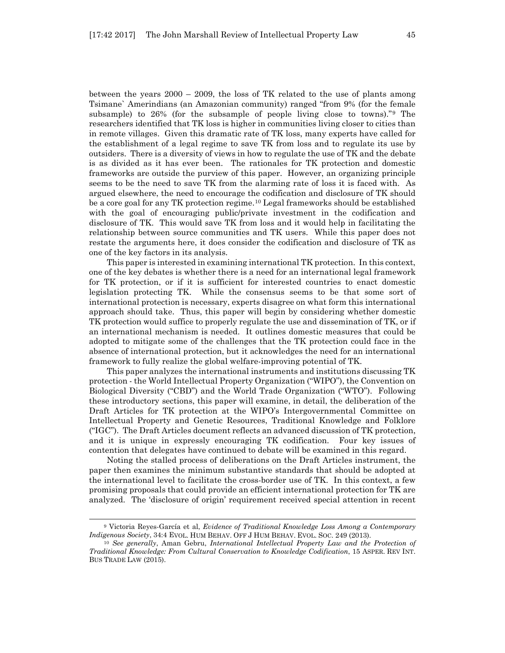between the years 2000 – 2009, the loss of TK related to the use of plants among Tsimane` Amerindians (an Amazonian community) ranged "from 9% (for the female subsample) to 26% (for the subsample of people living close to towns)."[9](#page-4-0) The researchers identified that TK loss is higher in communities living closer to cities than in remote villages. Given this dramatic rate of TK loss, many experts have called for the establishment of a legal regime to save TK from loss and to regulate its use by outsiders. There is a diversity of views in how to regulate the use of TK and the debate is as divided as it has ever been. The rationales for TK protection and domestic frameworks are outside the purview of this paper. However, an organizing principle seems to be the need to save TK from the alarming rate of loss it is faced with. As argued elsewhere, the need to encourage the codification and disclosure of TK should be a core goal for any TK protection regime.[10](#page-4-1) Legal frameworks should be established with the goal of encouraging public/private investment in the codification and disclosure of TK. This would save TK from loss and it would help in facilitating the relationship between source communities and TK users. While this paper does not restate the arguments here, it does consider the codification and disclosure of TK as one of the key factors in its analysis.

This paper is interested in examining international TK protection. In this context, one of the key debates is whether there is a need for an international legal framework for TK protection, or if it is sufficient for interested countries to enact domestic legislation protecting TK. While the consensus seems to be that some sort of international protection is necessary, experts disagree on what form this international approach should take. Thus, this paper will begin by considering whether domestic TK protection would suffice to properly regulate the use and dissemination of TK, or if an international mechanism is needed. It outlines domestic measures that could be adopted to mitigate some of the challenges that the TK protection could face in the absence of international protection, but it acknowledges the need for an international framework to fully realize the global welfare-improving potential of TK.

This paper analyzes the international instruments and institutions discussing TK protection - the World Intellectual Property Organization ("WIPO"), the Convention on Biological Diversity ("CBD") and the World Trade Organization ("WTO"). Following these introductory sections, this paper will examine, in detail, the deliberation of the Draft Articles for TK protection at the WIPO's Intergovernmental Committee on Intellectual Property and Genetic Resources, Traditional Knowledge and Folklore ("IGC"). The Draft Articles document reflects an advanced discussion of TK protection, and it is unique in expressly encouraging TK codification. Four key issues of contention that delegates have continued to debate will be examined in this regard.

Noting the stalled process of deliberations on the Draft Articles instrument, the paper then examines the minimum substantive standards that should be adopted at the international level to facilitate the cross-border use of TK. In this context, a few promising proposals that could provide an efficient international protection for TK are analyzed. The 'disclosure of origin' requirement received special attention in recent

<span id="page-4-0"></span><sup>9</sup> Victoria Reyes-García et al, *Evidence of Traditional Knowledge Loss Among a Contemporary Indigenous Society*, 34:4 EVOL. HUM BEHAV. OFF J HUM BEHAV. EVOL. SOC. 249 (2013).

<span id="page-4-1"></span><sup>10</sup> *See generally*, Aman Gebru, *International Intellectual Property Law and the Protection of Traditional Knowledge: From Cultural Conservation to Knowledge Codification*, 15 ASPER. REV INT. BUS TRADE LAW (2015).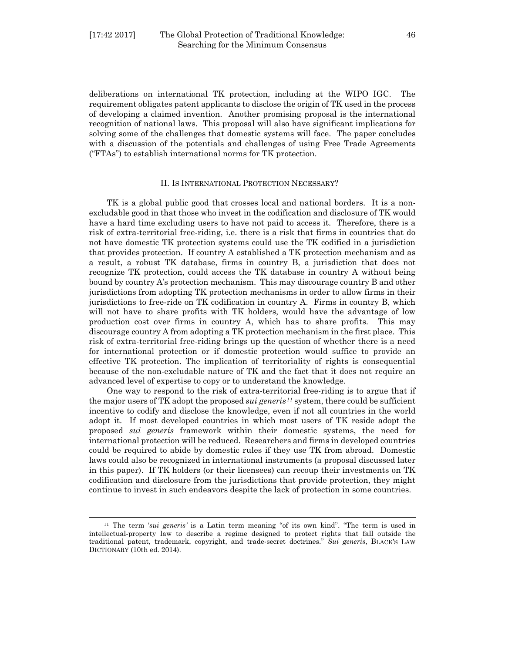l

deliberations on international TK protection, including at the WIPO IGC. The requirement obligates patent applicants to disclose the origin of TK used in the process of developing a claimed invention. Another promising proposal is the international recognition of national laws. This proposal will also have significant implications for solving some of the challenges that domestic systems will face. The paper concludes with a discussion of the potentials and challenges of using Free Trade Agreements ("FTAs") to establish international norms for TK protection.

#### II. IS INTERNATIONAL PROTECTION NECESSARY?

TK is a global public good that crosses local and national borders. It is a nonexcludable good in that those who invest in the codification and disclosure of TK would have a hard time excluding users to have not paid to access it. Therefore, there is a risk of extra-territorial free-riding, i.e. there is a risk that firms in countries that do not have domestic TK protection systems could use the TK codified in a jurisdiction that provides protection. If country A established a TK protection mechanism and as a result, a robust TK database, firms in country B, a jurisdiction that does not recognize TK protection, could access the TK database in country A without being bound by country A's protection mechanism. This may discourage country B and other jurisdictions from adopting TK protection mechanisms in order to allow firms in their jurisdictions to free-ride on TK codification in country A. Firms in country B, which will not have to share profits with TK holders, would have the advantage of low production cost over firms in country A, which has to share profits. This may discourage country A from adopting a TK protection mechanism in the first place. This risk of extra-territorial free-riding brings up the question of whether there is a need for international protection or if domestic protection would suffice to provide an effective TK protection. The implication of territoriality of rights is consequential because of the non-excludable nature of TK and the fact that it does not require an advanced level of expertise to copy or to understand the knowledge.

One way to respond to the risk of extra-territorial free-riding is to argue that if the major users of TK adopt the proposed *sui generis[11](#page-5-0)* system, there could be sufficient incentive to codify and disclose the knowledge, even if not all countries in the world adopt it. If most developed countries in which most users of TK reside adopt the proposed *sui generis* framework within their domestic systems, the need for international protection will be reduced. Researchers and firms in developed countries could be required to abide by domestic rules if they use TK from abroad. Domestic laws could also be recognized in international instruments (a proposal discussed later in this paper). If TK holders (or their licensees) can recoup their investments on TK codification and disclosure from the jurisdictions that provide protection, they might continue to invest in such endeavors despite the lack of protection in some countries.

<span id="page-5-0"></span><sup>11</sup> The term '*sui generis'* is a Latin term meaning "of its own kind". "The term is used in intellectual-property law to describe a regime designed to protect rights that fall outside the traditional patent, trademark, copyright, and trade-secret doctrines." *Sui generis*, BLACK'S LAW DICTIONARY (10th ed. 2014).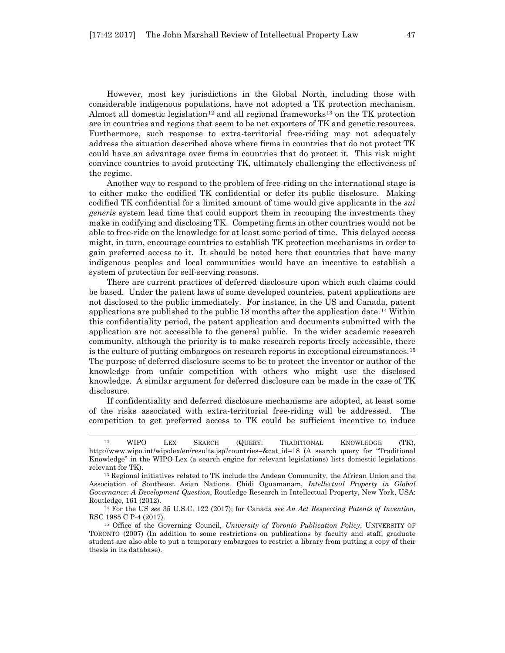However, most key jurisdictions in the Global North, including those with considerable indigenous populations, have not adopted a TK protection mechanism. Almost all domestic legislation<sup>[12](#page-6-0)</sup> and all regional frameworks<sup>[13](#page-6-1)</sup> on the TK protection are in countries and regions that seem to be net exporters of TK and genetic resources. Furthermore, such response to extra-territorial free-riding may not adequately address the situation described above where firms in countries that do not protect TK could have an advantage over firms in countries that do protect it. This risk might convince countries to avoid protecting TK, ultimately challenging the effectiveness of the regime.

Another way to respond to the problem of free-riding on the international stage is to either make the codified TK confidential or defer its public disclosure. Making codified TK confidential for a limited amount of time would give applicants in the *sui generis* system lead time that could support them in recouping the investments they make in codifying and disclosing TK. Competing firms in other countries would not be able to free-ride on the knowledge for at least some period of time. This delayed access might, in turn, encourage countries to establish TK protection mechanisms in order to gain preferred access to it. It should be noted here that countries that have many indigenous peoples and local communities would have an incentive to establish a system of protection for self-serving reasons.

There are current practices of deferred disclosure upon which such claims could be based. Under the patent laws of some developed countries, patent applications are not disclosed to the public immediately. For instance, in the US and Canada, patent applications are published to the public 18 months after the application date.[14](#page-6-2) Within this confidentiality period, the patent application and documents submitted with the application are not accessible to the general public. In the wider academic research community, although the priority is to make research reports freely accessible, there is the culture of putting embargoes on research reports in exceptional circumstances.[15](#page-6-3) The purpose of deferred disclosure seems to be to protect the inventor or author of the knowledge from unfair competition with others who might use the disclosed knowledge. A similar argument for deferred disclosure can be made in the case of TK disclosure.

If confidentiality and deferred disclosure mechanisms are adopted, at least some of the risks associated with extra-territorial free-riding will be addressed. The competition to get preferred access to TK could be sufficient incentive to induce

<span id="page-6-0"></span><sup>12</sup> WIPO LEX SEARCH (QUERY: TRADITIONAL KNOWLEDGE (TK), http://www.wipo.int/wipolex/en/results.jsp?countries=&cat\_id=18 (A search query for "Traditional Knowledge" in the WIPO Lex (a search engine for relevant legislations) lists domestic legislations relevant for TK).

<span id="page-6-1"></span><sup>13</sup> Regional initiatives related to TK include the Andean Community, the African Union and the Association of Southeast Asian Nations. Chidi Oguamanam, *Intellectual Property in Global Governance: A Development Question*, Routledge Research in Intellectual Property, New York, USA: Routledge, 161 (2012).

<span id="page-6-2"></span><sup>14</sup> For the US *see* 35 U.S.C. 122 (2017); for Canada *see An Act Respecting Patents of Invention*, RSC 1985 C P-4 (2017).

<span id="page-6-3"></span><sup>15</sup> Office of the Governing Council, *University of Toronto Publication Policy*, UNIVERSITY OF TORONTO (2007) (In addition to some restrictions on publications by faculty and staff, graduate student are also able to put a temporary embargoes to restrict a library from putting a copy of their thesis in its database).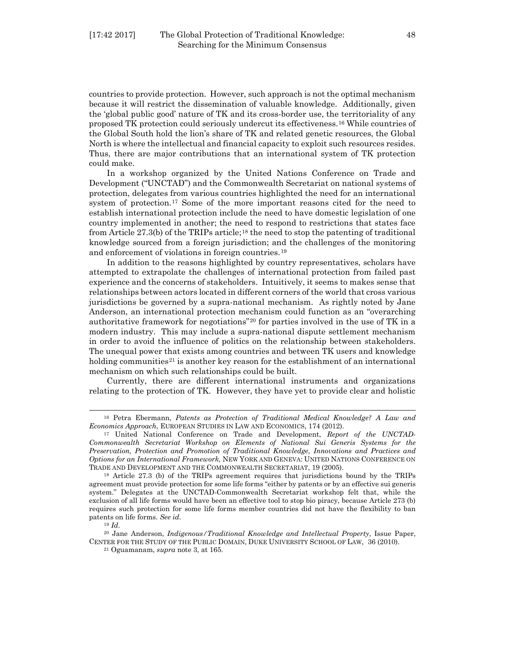countries to provide protection. However, such approach is not the optimal mechanism because it will restrict the dissemination of valuable knowledge. Additionally, given the 'global public good' nature of TK and its cross-border use, the territoriality of any proposed TK protection could seriously undercut its effectiveness.[16](#page-7-0) While countries of the Global South hold the lion's share of TK and related genetic resources, the Global North is where the intellectual and financial capacity to exploit such resources resides. Thus, there are major contributions that an international system of TK protection could make.

In a workshop organized by the United Nations Conference on Trade and Development ("UNCTAD") and the Commonwealth Secretariat on national systems of protection, delegates from various countries highlighted the need for an international system of protection.[17](#page-7-1) Some of the more important reasons cited for the need to establish international protection include the need to have domestic legislation of one country implemented in another; the need to respond to restrictions that states face from Article  $27.3(b)$  of the TRIPs article;<sup>[18](#page-7-2)</sup> the need to stop the patenting of traditional knowledge sourced from a foreign jurisdiction; and the challenges of the monitoring and enforcement of violations in foreign countries.[19](#page-7-3)

In addition to the reasons highlighted by country representatives, scholars have attempted to extrapolate the challenges of international protection from failed past experience and the concerns of stakeholders. Intuitively, it seems to makes sense that relationships between actors located in different corners of the world that cross various jurisdictions be governed by a supra-national mechanism. As rightly noted by Jane Anderson, an international protection mechanism could function as an "overarching authoritative framework for negotiations"[20](#page-7-4) for parties involved in the use of TK in a modern industry. This may include a supra-national dispute settlement mechanism in order to avoid the influence of politics on the relationship between stakeholders. The unequal power that exists among countries and between TK users and knowledge holding communities<sup>[21](#page-7-5)</sup> is another key reason for the establishment of an international mechanism on which such relationships could be built.

Currently, there are different international instruments and organizations relating to the protection of TK. However, they have yet to provide clear and holistic

<span id="page-7-0"></span><sup>16</sup> Petra Ebermann, *Patents as Protection of Traditional Medical Knowledge? A Law and Economics Approach*, EUROPEAN STUDIES IN LAW AND ECONOMICS, 174 (2012).

<span id="page-7-1"></span><sup>17</sup> United National Conference on Trade and Development, *Report of the UNCTAD-Commonwealth Secretariat Workshop on Elements of National Sui Generis Systems for the Preservation, Protection and Promotion of Traditional Knowledge, Innovations and Practices and Options for an International Framework,* NEW YORK AND GENEVA: UNITED NATIONS CONFERENCE ON TRADE AND DEVELOPMENT AND THE COMMONWEALTH SECRETARIAT, 19 (2005).

<span id="page-7-2"></span><sup>18</sup> Article 27.3 (b) of the TRIPs agreement requires that jurisdictions bound by the TRIPs agreement must provide protection for some life forms "either by patents or by an effective sui generis system." Delegates at the UNCTAD-Commonwealth Secretariat workshop felt that, while the exclusion of all life forms would have been an effective tool to stop bio piracy, because Article 273 (b) requires such protection for some life forms member countries did not have the flexibility to ban patents on life forms. *See id*.

<sup>19</sup> *Id*.

<span id="page-7-5"></span><span id="page-7-4"></span><span id="page-7-3"></span><sup>20</sup> Jane Anderson, *Indigenous/Traditional Knowledge and Intellectual Property*, Issue Paper, CENTER FOR THE STUDY OF THE PUBLIC DOMAIN, DUKE UNIVERSITY SCHOOL OF LAW, 36 (2010).

<sup>21</sup> Oguamanam, *supra* note 3, at 165.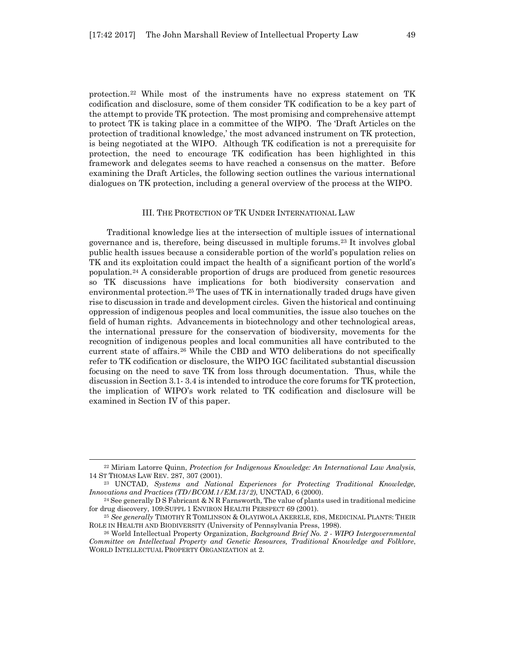protection.[22](#page-8-0) While most of the instruments have no express statement on TK codification and disclosure, some of them consider TK codification to be a key part of the attempt to provide TK protection. The most promising and comprehensive attempt to protect TK is taking place in a committee of the WIPO. The 'Draft Articles on the protection of traditional knowledge,' the most advanced instrument on TK protection, is being negotiated at the WIPO. Although TK codification is not a prerequisite for protection, the need to encourage TK codification has been highlighted in this framework and delegates seems to have reached a consensus on the matter. Before examining the Draft Articles, the following section outlines the various international dialogues on TK protection, including a general overview of the process at the WIPO.

#### III. THE PROTECTION OF TK UNDER INTERNATIONAL LAW

Traditional knowledge lies at the intersection of multiple issues of international governance and is, therefore, being discussed in multiple forums.[23](#page-8-1) It involves global public health issues because a considerable portion of the world's population relies on TK and its exploitation could impact the health of a significant portion of the world's population.[24](#page-8-2) A considerable proportion of drugs are produced from genetic resources so TK discussions have implications for both biodiversity conservation and environmental protection.<sup>[25](#page-8-3)</sup> The uses of TK in internationally traded drugs have given rise to discussion in trade and development circles. Given the historical and continuing oppression of indigenous peoples and local communities, the issue also touches on the field of human rights. Advancements in biotechnology and other technological areas, the international pressure for the conservation of biodiversity, movements for the recognition of indigenous peoples and local communities all have contributed to the current state of affairs.[26](#page-8-4) While the CBD and WTO deliberations do not specifically refer to TK codification or disclosure, the WIPO IGC facilitated substantial discussion focusing on the need to save TK from loss through documentation. Thus, while the discussion in Section 3.1- 3.4 is intended to introduce the core forums for TK protection, the implication of WIPO's work related to TK codification and disclosure will be examined in Section IV of this paper.

<span id="page-8-0"></span><sup>22</sup> Miriam Latorre Quinn, *Protection for Indigenous Knowledge: An International Law Analysis*, 14 ST THOMAS LAW REV. 287, 307 (2001).

<span id="page-8-1"></span><sup>23</sup> UNCTAD, *Systems and National Experiences for Protecting Traditional Knowledge, Innovations and Practices (TD/BCOM.1/EM.13/2)*, UNCTAD, 6 (2000).

<span id="page-8-2"></span><sup>&</sup>lt;sup>24</sup> See generally D S Fabricant & N R Farnsworth, The value of plants used in traditional medicine for drug discovery, 109:SUPPL 1 ENVIRON HEALTH PERSPECT 69 (2001).

<span id="page-8-3"></span><sup>25</sup> *See generally* TIMOTHY R TOMLINSON & OLAYIWOLA AKERELE, EDS, MEDICINAL PLANTS: THEIR ROLE IN HEALTH AND BIODIVERSITY (University of Pennsylvania Press, 1998).

<span id="page-8-4"></span><sup>26</sup> World Intellectual Property Organization, *Background Brief No. 2 - WIPO Intergovernmental Committee on Intellectual Property and Genetic Resources, Traditional Knowledge and Folklore*, WORLD INTELLECTUAL PROPERTY ORGANIZATION at 2.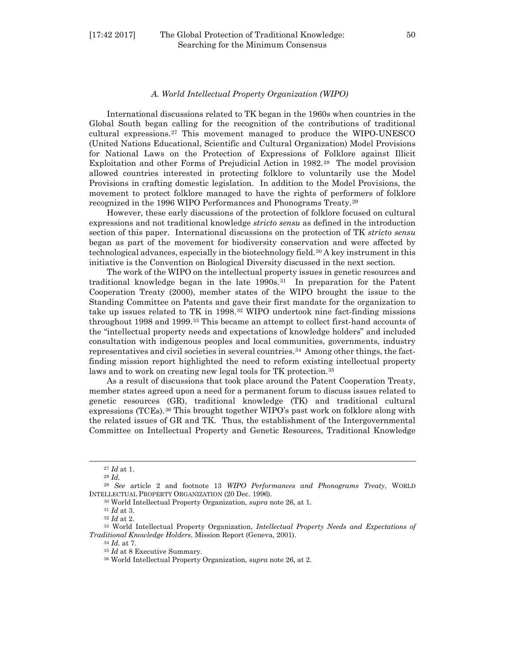#### [17:42 2017] The Global Protection of Traditional Knowledge: 50 Searching for the Minimum Consensus

#### *A. World Intellectual Property Organization (WIPO)*

International discussions related to TK began in the 1960s when countries in the Global South began calling for the recognition of the contributions of traditional cultural expressions.[27](#page-9-0) This movement managed to produce the WIPO-UNESCO (United Nations Educational, Scientific and Cultural Organization) Model Provisions for National Laws on the Protection of Expressions of Folklore against Illicit Exploitation and other Forms of Prejudicial Action in 1982.[28](#page-9-1) The model provision allowed countries interested in protecting folklore to voluntarily use the Model Provisions in crafting domestic legislation. In addition to the Model Provisions, the movement to protect folklore managed to have the rights of performers of folklore recognized in the 1996 WIPO Performances and Phonograms Treaty.[29](#page-9-2)

However, these early discussions of the protection of folklore focused on cultural expressions and not traditional knowledge *stricto sensu* as defined in the introduction section of this paper. International discussions on the protection of TK *stricto sensu* began as part of the movement for biodiversity conservation and were affected by technological advances, especially in the biotechnology field.[30](#page-9-3) A key instrument in this initiative is the Convention on Biological Diversity discussed in the next section.

The work of the WIPO on the intellectual property issues in genetic resources and traditional knowledge began in the late  $1990s<sup>31</sup>$  $1990s<sup>31</sup>$  $1990s<sup>31</sup>$  In preparation for the Patent Cooperation Treaty (2000), member states of the WIPO brought the issue to the Standing Committee on Patents and gave their first mandate for the organization to take up issues related to TK in 1998.[32](#page-9-5) WIPO undertook nine fact-finding missions throughout 1998 and 1999.<sup>[33](#page-9-6)</sup> This became an attempt to collect first-hand accounts of the "intellectual property needs and expectations of knowledge holders" and included consultation with indigenous peoples and local communities, governments, industry representatives and civil societies in several countries.<sup>[34](#page-9-7)</sup> Among other things, the factfinding mission report highlighted the need to reform existing intellectual property laws and to work on creating new legal tools for TK protection.<sup>[35](#page-9-8)</sup>

As a result of discussions that took place around the Patent Cooperation Treaty, member states agreed upon a need for a permanent forum to discuss issues related to genetic resources (GR), traditional knowledge (TK) and traditional cultural expressions (TCEs).[36](#page-9-9) This brought together WIPO's past work on folklore along with the related issues of GR and TK. Thus, the establishment of the Intergovernmental Committee on Intellectual Property and Genetic Resources, Traditional Knowledge

l

<sup>34</sup> *Id.* at 7.

<sup>27</sup> *Id* at 1.

<sup>28</sup> *Id.*

<span id="page-9-3"></span><span id="page-9-2"></span><span id="page-9-1"></span><span id="page-9-0"></span><sup>29</sup> *See* article 2 and footnote 13 *WIPO Performances and Phonograms Treaty*, WORLD INTELLECTUAL PROPERTY ORGANIZATION (20 Dec. 1996).

<sup>30</sup> World Intellectual Property Organization, *supra* note 26, at 1.

<sup>31</sup> *Id* at 3.

<sup>32</sup> *Id* at 2.

<span id="page-9-9"></span><span id="page-9-8"></span><span id="page-9-7"></span><span id="page-9-6"></span><span id="page-9-5"></span><span id="page-9-4"></span><sup>33</sup> World Intellectual Property Organization, *Intellectual Property Needs and Expectations of Traditional Knowledge Holders*, Mission Report (Geneva, 2001).

<sup>35</sup> *Id* at 8 Executive Summary.

<sup>36</sup> World Intellectual Property Organization, *supra* note 26, at 2.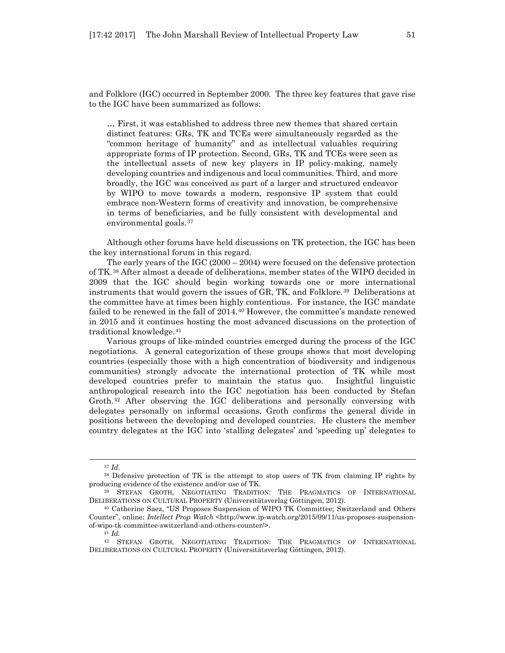and Folklore (IGC) occurred in September 2000. The three key features that gave rise to the IGC have been summarized as follows:

… First, it was established to address three new themes that shared certain distinct features: GRs, TK and TCEs were simultaneously regarded as the "common heritage of humanity" and as intellectual valuables requiring appropriate forms of IP protection. Second, GRs, TK and TCEs were seen as the intellectual assets of new key players in IP policy-making, namely developing countries and indigenous and local communities. Third, and more broadly, the IGC was conceived as part of a larger and structured endeavor by WIPO to move towards a modern, responsive IP system that could embrace non-Western forms of creativity and innovation, be comprehensive in terms of beneficiaries, and be fully consistent with developmental and environmental goals.[37](#page-10-0)

Although other forums have held discussions on TK protection, the IGC has been the key international forum in this regard.

The early years of the IGC (2000 – 2004) were focused on the defensive protection of TK.[38](#page-10-1) After almost a decade of deliberations, member states of the WIPO decided in 2009 that the IGC should begin working towards one or more international instruments that would govern the issues of GR, TK, and Folklore.[39](#page-10-2) Deliberations at the committee have at times been highly contentious. For instance, the IGC mandate failed to be renewed in the fall of 2014.[40](#page-10-3) However, the committee's mandate renewed in 2015 and it continues hosting the most advanced discussions on the protection of traditional knowledge.[41](#page-10-4)

Various groups of like-minded countries emerged during the process of the IGC negotiations. A general categorization of these groups shows that most developing countries (especially those with a high concentration of biodiversity and indigenous communities) strongly advocate the international protection of TK while most developed countries prefer to maintain the status quo. Insightful linguistic anthropological research into the IGC negotiation has been conducted by Stefan Groth[.42](#page-10-5) After observing the IGC deliberations and personally conversing with delegates personally on informal occasions, Groth confirms the general divide in positions between the developing and developed countries. He clusters the member country delegates at the IGC into 'stalling delegates' and 'speeding up' delegates to

<sup>37</sup> *Id*.

<span id="page-10-1"></span><span id="page-10-0"></span><sup>38</sup> Defensive protection of TK is the attempt to stop users of TK from claiming IP rights by producing evidence of the existence and/or use of TK.<br><sup>39</sup> STEFAN GROTH, NEGOTIATING TRADITION: THE PRAGMATICS OF INTERNATIONAL

<span id="page-10-2"></span>DELIBERATIONS ON CULTURAL PROPERTY (Universitätsverlag Göttingen, 2012).

<span id="page-10-3"></span><sup>40</sup> Catherine Saez, "US Proposes Suspension of WIPO TK Committee; Switzerland and Others Counter", online: *Intellect Prop Watch* <http://www.ip-watch.org/2015/09/11/us-proposes-suspensionof-wipo-tk-committee-switzerland-and-others-counter/>.

<sup>41</sup> *Id.*

<span id="page-10-5"></span><span id="page-10-4"></span><sup>42</sup> STEFAN GROTH, NEGOTIATING TRADITION: THE PRAGMATICS OF INTERNATIONAL DELIBERATIONS ON CULTURAL PROPERTY (Universitätsverlag Göttingen, 2012).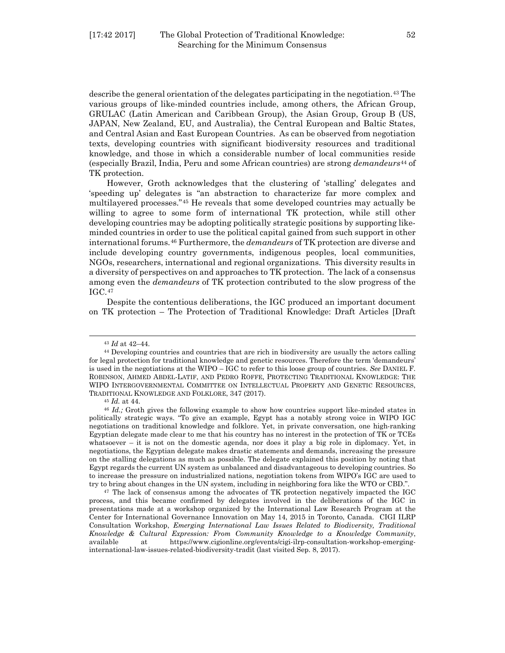describe the general orientation of the delegates participating in the negotiation.<sup>[43](#page-11-0)</sup> The various groups of like-minded countries include, among others, the African Group, GRULAC (Latin American and Caribbean Group), the Asian Group, Group B (US, JAPAN, New Zealand, EU, and Australia), the Central European and Baltic States, and Central Asian and East European Countries. As can be observed from negotiation texts, developing countries with significant biodiversity resources and traditional knowledge, and those in which a considerable number of local communities reside (especially Brazil, India, Peru and some African countries) are strong *demandeurs*[44](#page-11-1) of TK protection.

However, Groth acknowledges that the clustering of 'stalling' delegates and 'speeding up' delegates is "an abstraction to characterize far more complex and multilayered processes."[45](#page-11-2) He reveals that some developed countries may actually be willing to agree to some form of international TK protection, while still other developing countries may be adopting politically strategic positions by supporting likeminded countries in order to use the political capital gained from such support in other international forums.[46](#page-11-3) Furthermore, the *demandeurs* of TK protection are diverse and include developing country governments, indigenous peoples, local communities, NGOs, researchers, international and regional organizations. This diversity results in a diversity of perspectives on and approaches to TK protection. The lack of a consensus among even the *demandeurs* of TK protection contributed to the slow progress of the IGC.[47](#page-11-4) 

Despite the contentious deliberations, the IGC produced an important document on TK protection – The Protection of Traditional Knowledge: Draft Articles [Draft

<sup>43</sup> *Id* at 42–44.

<span id="page-11-1"></span><span id="page-11-0"></span><sup>&</sup>lt;sup>44</sup> Developing countries and countries that are rich in biodiversity are usually the actors calling for legal protection for traditional knowledge and genetic resources. Therefore the term 'demandeurs' is used in the negotiations at the WIPO – IGC to refer to this loose group of countries. *See* DANIEL F. ROBINSON, AHMED ABDEL-LATIF, AND PEDRO ROFFE, PROTECTING TRADITIONAL KNOWLEDGE: THE WIPO INTERGOVERNMENTAL COMMITTEE ON INTELLECTUAL PROPERTY AND GENETIC RESOURCES, TRADITIONAL KNOWLEDGE AND FOLKLORE, 347 (2017). 45 *Id.* at 44.

<span id="page-11-3"></span><span id="page-11-2"></span><sup>46</sup> *Id.;* Groth gives the following example to show how countries support like-minded states in politically strategic ways. "To give an example, Egypt has a notably strong voice in WIPO IGC negotiations on traditional knowledge and folklore. Yet, in private conversation, one high-ranking Egyptian delegate made clear to me that his country has no interest in the protection of TK or TCEs whatsoever – it is not on the domestic agenda, nor does it play a big role in diplomacy. Yet, in negotiations, the Egyptian delegate makes drastic statements and demands, increasing the pressure on the stalling delegations as much as possible. The delegate explained this position by noting that Egypt regards the current UN system as unbalanced and disadvantageous to developing countries. So to increase the pressure on industrialized nations, negotiation tokens from WIPO's IGC are used to try to bring about changes in the UN system, including in neighboring fora like the WTO or CBD.".

<span id="page-11-4"></span><sup>47</sup> The lack of consensus among the advocates of TK protection negatively impacted the IGC process, and this became confirmed by delegates involved in the deliberations of the IGC in presentations made at a workshop organized by the International Law Research Program at the Center for International Governance Innovation on May 14, 2015 in Toronto, Canada. CIGI ILRP Consultation Workshop, *Emerging International Law Issues Related to Biodiversity, Traditional Knowledge & Cultural Expression: From Community Knowledge to a Knowledge Community*, available at https://www.cigionline.org/events/cigi-ilrp-consultation-workshop-emerginginternational-law-issues-related-biodiversity-tradit (last visited Sep. 8, 2017).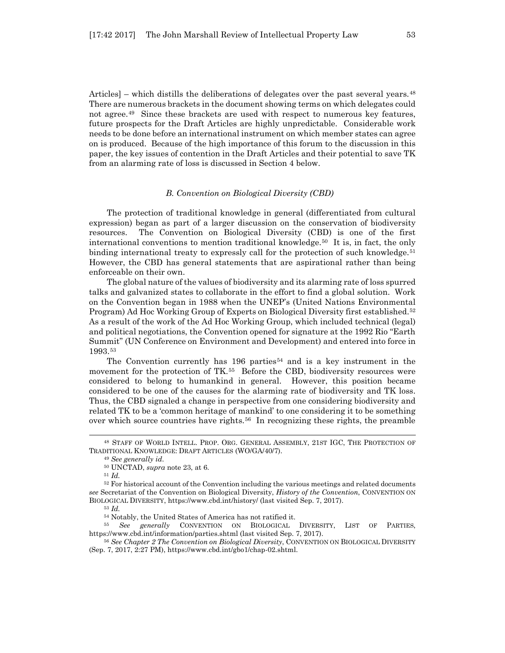Articles] – which distills the deliberations of delegates over the past several years.<sup>[48](#page-12-0)</sup> There are numerous brackets in the document showing terms on which delegates could not agree.[49](#page-12-1) Since these brackets are used with respect to numerous key features, future prospects for the Draft Articles are highly unpredictable. Considerable work needs to be done before an international instrument on which member states can agree on is produced. Because of the high importance of this forum to the discussion in this paper, the key issues of contention in the Draft Articles and their potential to save TK from an alarming rate of loss is discussed in Section 4 below.

#### *B. Convention on Biological Diversity (CBD)*

The protection of traditional knowledge in general (differentiated from cultural expression) began as part of a larger discussion on the conservation of biodiversity resources. The Convention on Biological Diversity (CBD) is one of the first international conventions to mention traditional knowledge.[50](#page-12-2) It is, in fact, the only binding international treaty to expressly call for the protection of such knowledge.<sup>[51](#page-12-3)</sup> However, the CBD has general statements that are aspirational rather than being enforceable on their own.

The global nature of the values of biodiversity and its alarming rate of loss spurred talks and galvanized states to collaborate in the effort to find a global solution. Work on the Convention began in 1988 when the UNEP's (United Nations Environmental Program) Ad Hoc Working Group of Experts on Biological Diversity first established.[52](#page-12-4) As a result of the work of the Ad Hoc Working Group, which included technical (legal) and political negotiations, the Convention opened for signature at the 1992 Rio "Earth Summit" (UN Conference on Environment and Development) and entered into force in 1993.[53](#page-12-5)

The Convention currently has  $196$  parties<sup>[54](#page-12-6)</sup> and is a key instrument in the movement for the protection of TK.[55](#page-12-7) Before the CBD, biodiversity resources were considered to belong to humankind in general. However, this position became considered to be one of the causes for the alarming rate of biodiversity and TK loss. Thus, the CBD signaled a change in perspective from one considering biodiversity and related TK to be a 'common heritage of mankind' to one considering it to be something over which source countries have rights.<sup>[56](#page-12-8)</sup> In recognizing these rights, the preamble

l

<span id="page-12-7"></span><span id="page-12-6"></span><span id="page-12-5"></span><sup>55</sup> See generally CONVENTION ON BIOLOGICAL DIVERSITY, LIST OF PARTIES, https://www.cbd.int/information/parties.shtml (last visited Sep. 7, 2017).

<span id="page-12-1"></span><span id="page-12-0"></span><sup>48</sup> STAFF OF WORLD INTELL. PROP. ORG. GENERAL ASSEMBLY, 21ST IGC, THE PROTECTION OF TRADITIONAL KNOWLEDGE: DRAFT ARTICLES (WO/GA/40/7).

<sup>49</sup> *See generally id*.

<sup>50</sup> UNCTAD, *supra* note 23, at 6.

<sup>51</sup> *Id.*

<span id="page-12-4"></span><span id="page-12-3"></span><span id="page-12-2"></span><sup>52</sup> For historical account of the Convention including the various meetings and related documents *see* Secretariat of the Convention on Biological Diversity, *History of the Convention*, CONVENTION ON BIOLOGICAL DIVERSITY, https://www.cbd.int/history/ (last visited Sep. 7, 2017).

<sup>&</sup>lt;sup>53</sup> *Id.* Motably, the United States of America has not ratified it.

<span id="page-12-8"></span><sup>56</sup> *See Chapter 2 The Convention on Biological Diversity*, CONVENTION ON BIOLOGICAL DIVERSITY (Sep. 7, 2017, 2:27 PM), https://www.cbd.int/gbo1/chap-02.shtml.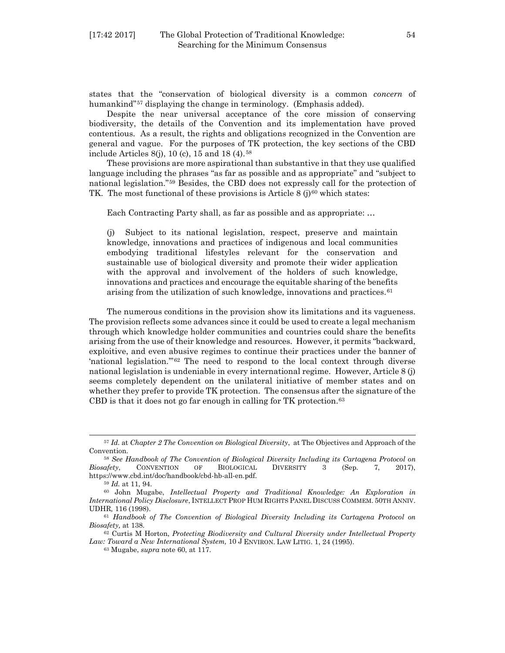states that the "conservation of biological diversity is a common *concern* of humankind"<sup>[57](#page-13-0)</sup> displaying the change in terminology. (Emphasis added).

Despite the near universal acceptance of the core mission of conserving biodiversity, the details of the Convention and its implementation have proved contentious. As a result, the rights and obligations recognized in the Convention are general and vague. For the purposes of TK protection, the key sections of the CBD include Articles 8(j), 10 (c), 15 and 18 (4).[58](#page-13-1)

These provisions are more aspirational than substantive in that they use qualified language including the phrases "as far as possible and as appropriate" and "subject to national legislation."[59](#page-13-2) Besides, the CBD does not expressly call for the protection of TK. The most functional of these provisions is Article 8 (j)<sup>[60](#page-13-3)</sup> which states:

Each Contracting Party shall, as far as possible and as appropriate: …

(j) Subject to its national legislation, respect, preserve and maintain knowledge, innovations and practices of indigenous and local communities embodying traditional lifestyles relevant for the conservation and sustainable use of biological diversity and promote their wider application with the approval and involvement of the holders of such knowledge, innovations and practices and encourage the equitable sharing of the benefits arising from the utilization of such knowledge, innovations and practices.<sup>[61](#page-13-4)</sup>

The numerous conditions in the provision show its limitations and its vagueness. The provision reflects some advances since it could be used to create a legal mechanism through which knowledge holder communities and countries could share the benefits arising from the use of their knowledge and resources. However, it permits "backward, exploitive, and even abusive regimes to continue their practices under the banner of 'national legislation.'"[62](#page-13-5) The need to respond to the local context through diverse national legislation is undeniable in every international regime. However, Article 8 (j) seems completely dependent on the unilateral initiative of member states and on whether they prefer to provide TK protection. The consensus after the signature of the CBD is that it does not go far enough in calling for TK protection. $63$ 

<span id="page-13-0"></span><sup>57</sup> *Id.* at *Chapter 2 The Convention on Biological Diversity*, at The Objectives and Approach of the Convention.

<span id="page-13-1"></span><sup>58</sup> *See Handbook of The Convention of Biological Diversity Including its Cartagena Protocol on Biosafety*, CONVENTION OF BIOLOGICAL DIVERSITY 3 (Sep. 7, 2017), https://www.cbd.int/doc/handbook/cbd-hb-all-en.pdf.

<sup>59</sup> *Id.* at 11, 94.

<span id="page-13-3"></span><span id="page-13-2"></span><sup>60</sup> John Mugabe, *Intellectual Property and Traditional Knowledge: An Exploration in International Policy Disclosure*, INTELLECT PROP HUM RIGHTS PANEL DISCUSS COMMEM. 50TH ANNIV. UDHR*,* 116 (1998).

<span id="page-13-4"></span><sup>61</sup> *Handbook of The Convention of Biological Diversity Including its Cartagena Protocol on Biosafety,* at 138.

<span id="page-13-6"></span><span id="page-13-5"></span><sup>62</sup> Curtis M Horton, *Protecting Biodiversity and Cultural Diversity under Intellectual Property Law: Toward a New International System,* 10 J ENVIRON. LAW LITIG. 1, 24 (1995).

<sup>63</sup> Mugabe, *supra* note 60, at 117.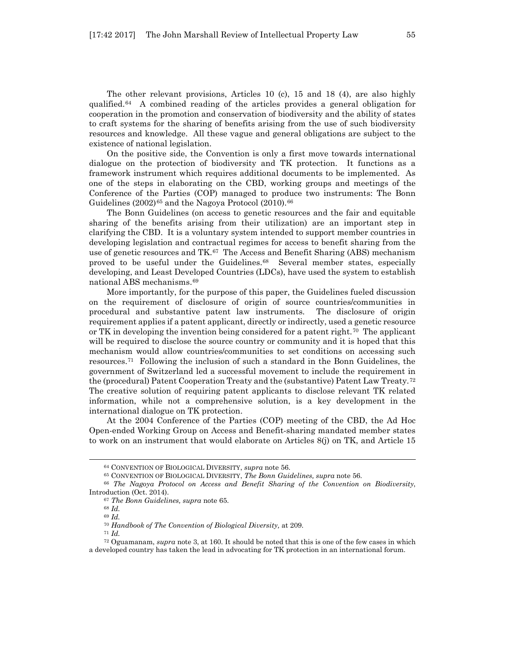The other relevant provisions, Articles 10 (c), 15 and 18 (4), are also highly qualified.[64](#page-14-0) A combined reading of the articles provides a general obligation for cooperation in the promotion and conservation of biodiversity and the ability of states to craft systems for the sharing of benefits arising from the use of such biodiversity resources and knowledge. All these vague and general obligations are subject to the existence of national legislation.

On the positive side, the Convention is only a first move towards international dialogue on the protection of biodiversity and TK protection. It functions as a framework instrument which requires additional documents to be implemented. As one of the steps in elaborating on the CBD, working groups and meetings of the Conference of the Parties (COP) managed to produce two instruments: The Bonn Guidelines  $(2002)^{65}$  $(2002)^{65}$  $(2002)^{65}$  and the Nagoya Protocol  $(2010)^{66}$  $(2010)^{66}$  $(2010)^{66}$ 

The Bonn Guidelines (on access to genetic resources and the fair and equitable sharing of the benefits arising from their utilization) are an important step in clarifying the CBD. It is a voluntary system intended to support member countries in developing legislation and contractual regimes for access to benefit sharing from the use of genetic resources and  $TK<sup>67</sup>$  $TK<sup>67</sup>$  $TK<sup>67</sup>$ . The Access and Benefit Sharing (ABS) mechanism proved to be useful under the Guidelines.<sup>[68](#page-14-4)</sup> Several member states, especially developing, and Least Developed Countries (LDCs), have used the system to establish national ABS mechanisms.[69](#page-14-5)

More importantly, for the purpose of this paper, the Guidelines fueled discussion on the requirement of disclosure of origin of source countries/communities in procedural and substantive patent law instruments. The disclosure of origin requirement applies if a patent applicant, directly or indirectly, used a genetic resource or TK in developing the invention being considered for a patent right.<sup>[70](#page-14-6)</sup> The applicant will be required to disclose the source country or community and it is hoped that this mechanism would allow countries/communities to set conditions on accessing such resources.[71](#page-14-7) Following the inclusion of such a standard in the Bonn Guidelines, the government of Switzerland led a successful movement to include the requirement in the (procedural) Patent Cooperation Treaty and the (substantive) Patent Law Treaty.[72](#page-14-8) The creative solution of requiring patent applicants to disclose relevant TK related information, while not a comprehensive solution, is a key development in the international dialogue on TK protection.

At the 2004 Conference of the Parties (COP) meeting of the CBD, the Ad Hoc Open-ended Working Group on Access and Benefit-sharing mandated member states to work on an instrument that would elaborate on Articles 8(j) on TK, and Article 15

<sup>64</sup> CONVENTION OF BIOLOGICAL DIVERSITY, *supra* note 56.

<sup>65</sup> CONVENTION OF BIOLOGICAL DIVERSITY, *The Bonn Guidelines, supra* note 56.

<span id="page-14-4"></span><span id="page-14-3"></span><span id="page-14-2"></span><span id="page-14-1"></span><span id="page-14-0"></span><sup>66</sup> *The Nagoya Protocol on Access and Benefit Sharing of the Convention on Biodiversity*, Introduction (Oct. 2014).

<sup>67</sup> *The Bonn Guidelines, supra* note 65.

<sup>68</sup> *Id.*

<sup>69</sup> *Id.*

<sup>70</sup> *Handbook of The Convention of Biological Diversity,* at 209.

<sup>71</sup> *Id.*

<span id="page-14-8"></span><span id="page-14-7"></span><span id="page-14-6"></span><span id="page-14-5"></span><sup>72</sup> Oguamanam, *supra* note 3, at 160. It should be noted that this is one of the few cases in which a developed country has taken the lead in advocating for TK protection in an international forum.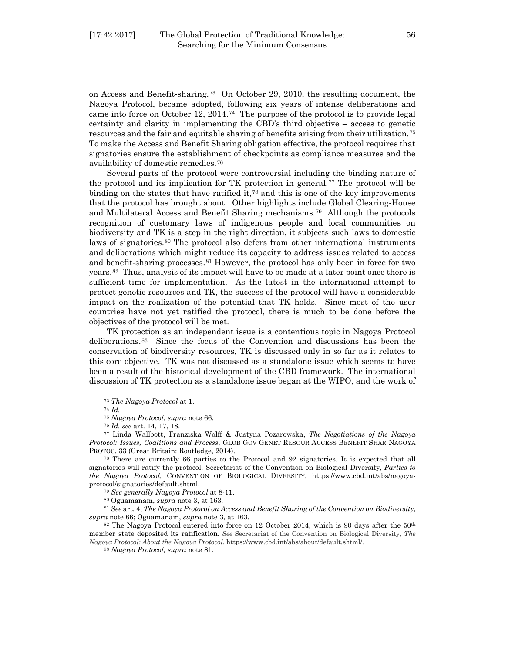on Access and Benefit-sharing.[73](#page-15-0) On October 29, 2010, the resulting document, the Nagoya Protocol, became adopted, following six years of intense deliberations and came into force on October 12, 2014.[74](#page-15-1) The purpose of the protocol is to provide legal certainty and clarity in implementing the CBD's third objective – access to genetic resources and the fair and equitable sharing of benefits arising from their utilization.[75](#page-15-2) To make the Access and Benefit Sharing obligation effective, the protocol requires that signatories ensure the establishment of checkpoints as compliance measures and the availability of domestic remedies.[76](#page-15-3)

Several parts of the protocol were controversial including the binding nature of the protocol and its implication for TK protection in general.[77](#page-15-4) The protocol will be binding on the states that have ratified it,<sup>[78](#page-15-5)</sup> and this is one of the key improvements that the protocol has brought about. Other highlights include Global Clearing-House and Multilateral Access and Benefit Sharing mechanisms.[79](#page-15-6) Although the protocols recognition of customary laws of indigenous people and local communities on biodiversity and TK is a step in the right direction, it subjects such laws to domestic laws of signatories.<sup>[80](#page-15-7)</sup> The protocol also defers from other international instruments and deliberations which might reduce its capacity to address issues related to access and benefit-sharing processes.[81](#page-15-8) However, the protocol has only been in force for two years.[82](#page-15-9) Thus, analysis of its impact will have to be made at a later point once there is sufficient time for implementation. As the latest in the international attempt to protect genetic resources and TK, the success of the protocol will have a considerable impact on the realization of the potential that TK holds. Since most of the user countries have not yet ratified the protocol, there is much to be done before the objectives of the protocol will be met.

TK protection as an independent issue is a contentious topic in Nagoya Protocol deliberations.[83](#page-15-10) Since the focus of the Convention and discussions has been the conservation of biodiversity resources, TK is discussed only in so far as it relates to this core objective. TK was not discussed as a standalone issue which seems to have been a result of the historical development of the CBD framework. The international discussion of TK protection as a standalone issue began at the WIPO, and the work of

<sup>73</sup> *The Nagoya Protocol* at 1.

<sup>74</sup> *Id.*

<sup>75</sup> *Nagoya Protocol, supra* note 66.

<sup>76</sup> *Id. see* art. 14, 17, 18.

<span id="page-15-4"></span><span id="page-15-3"></span><span id="page-15-2"></span><span id="page-15-1"></span><span id="page-15-0"></span><sup>77</sup> Linda Wallbott, Franziska Wolff & Justyna Pozarowska, *The Negotiations of the Nagoya Protocol: Issues, Coalitions and Process*, GLOB GOV GENET RESOUR ACCESS BENEFIT SHAR NAGOYA PROTOC, 33 (Great Britain: Routledge, 2014).

<span id="page-15-5"></span><sup>78</sup> There are currently 66 parties to the Protocol and 92 signatories. It is expected that all signatories will ratify the protocol. Secretariat of the Convention on Biological Diversity, *Parties to the Nagoya Protocol*, CONVENTION OF BIOLOGICAL DIVERSITY, https://www.cbd.int/abs/nagoyaprotocol/signatories/default.shtml.

<sup>79</sup> *See generally Nagoya Protocol* at 8-11.

<sup>80</sup> Oguamanam, *supra* note 3, at 163.

<span id="page-15-8"></span><span id="page-15-7"></span><span id="page-15-6"></span><sup>81</sup> *See* art. 4, *The Nagoya Protocol on Access and Benefit Sharing of the Convention on Biodiversity*, *supra* note 66; Oguamanam, *supra* note 3, at 163.

<span id="page-15-10"></span><span id="page-15-9"></span><sup>82</sup> The Nagoya Protocol entered into force on 12 October 2014, which is 90 days after the 50<sup>th</sup> member state deposited its ratification. *See* Secretariat of the Convention on Biological Diversity, *The Nagoya Protocol: About the Nagoya Protocol*, https://www.cbd.int/abs/about/default.shtml/.

<sup>83</sup> *Nagoya Protocol, supra* note 81.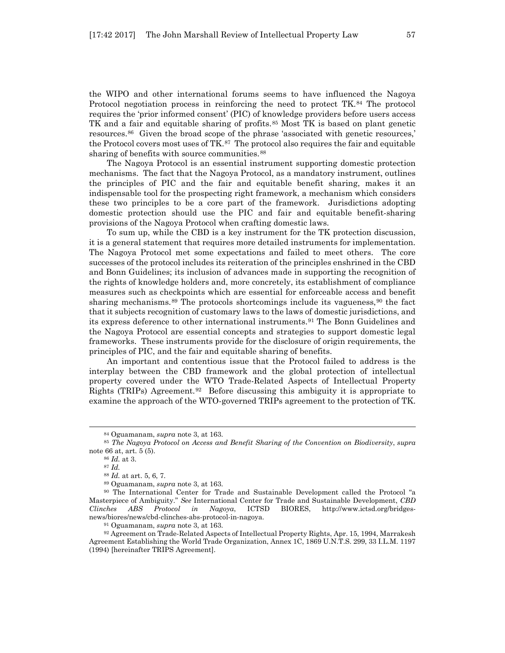the WIPO and other international forums seems to have influenced the Nagoya Protocol negotiation process in reinforcing the need to protect TK.[84](#page-16-0) The protocol requires the 'prior informed consent' (PIC) of knowledge providers before users access TK and a fair and equitable sharing of profits.[85](#page-16-1) Most TK is based on plant genetic resources.[86](#page-16-2) Given the broad scope of the phrase 'associated with genetic resources,' the Protocol covers most uses of  $TK<sup>87</sup>$  $TK<sup>87</sup>$  $TK<sup>87</sup>$  The protocol also requires the fair and equitable sharing of benefits with source communities.<sup>[88](#page-16-4)</sup>

The Nagoya Protocol is an essential instrument supporting domestic protection mechanisms. The fact that the Nagoya Protocol, as a mandatory instrument, outlines the principles of PIC and the fair and equitable benefit sharing, makes it an indispensable tool for the prospecting right framework, a mechanism which considers these two principles to be a core part of the framework. Jurisdictions adopting domestic protection should use the PIC and fair and equitable benefit-sharing provisions of the Nagoya Protocol when crafting domestic laws.

To sum up, while the CBD is a key instrument for the TK protection discussion, it is a general statement that requires more detailed instruments for implementation. The Nagoya Protocol met some expectations and failed to meet others. The core successes of the protocol includes its reiteration of the principles enshrined in the CBD and Bonn Guidelines; its inclusion of advances made in supporting the recognition of the rights of knowledge holders and, more concretely, its establishment of compliance measures such as checkpoints which are essential for enforceable access and benefit sharing mechanisms.<sup>[89](#page-16-5)</sup> The protocols shortcomings include its vagueness,<sup>[90](#page-16-6)</sup> the fact that it subjects recognition of customary laws to the laws of domestic jurisdictions, and its express deference to other international instruments.[91](#page-16-7) The Bonn Guidelines and the Nagoya Protocol are essential concepts and strategies to support domestic legal frameworks. These instruments provide for the disclosure of origin requirements, the principles of PIC, and the fair and equitable sharing of benefits.

An important and contentious issue that the Protocol failed to address is the interplay between the CBD framework and the global protection of intellectual property covered under the WTO Trade-Related Aspects of Intellectual Property Rights (TRIPs) Agreement.[92](#page-16-8) Before discussing this ambiguity it is appropriate to examine the approach of the WTO-governed TRIPs agreement to the protection of TK.

<sup>84</sup> Oguamanam, *supra* note 3, at 163.

<span id="page-16-3"></span><span id="page-16-2"></span><span id="page-16-1"></span><span id="page-16-0"></span><sup>85</sup> *The Nagoya Protocol on Access and Benefit Sharing of the Convention on Biodiversity*, *supra* note 66 at, art. 5 (5).

<sup>86</sup> *Id.* at 3.

<sup>87</sup> *Id.*

<sup>88</sup> *Id.* at art. 5, 6, 7.

<sup>89</sup> Oguamanam, *supra* note 3, at 163.

<span id="page-16-6"></span><span id="page-16-5"></span><span id="page-16-4"></span><sup>90</sup> The International Center for Trade and Sustainable Development called the Protocol "a Masterpiece of Ambiguity." *See* International Center for Trade and Sustainable Development, *CBD Clinches ABS Protocol in Nagoya*, ICTSD BIORES, http://www.ictsd.org/bridgesnews/biores/news/cbd-clinches-abs-protocol-in-nagoya.

<sup>91</sup> Oguamanam, *supra* note 3, at 163.

<span id="page-16-8"></span><span id="page-16-7"></span><sup>92</sup> Agreement on Trade-Related Aspects of Intellectual Property Rights, Apr. 15, 1994, Marrakesh Agreement Establishing the World Trade Organization, Annex 1C, 1869 U.N.T.S. 299, 33 I.L.M. 1197 (1994) [hereinafter TRIPS Agreement].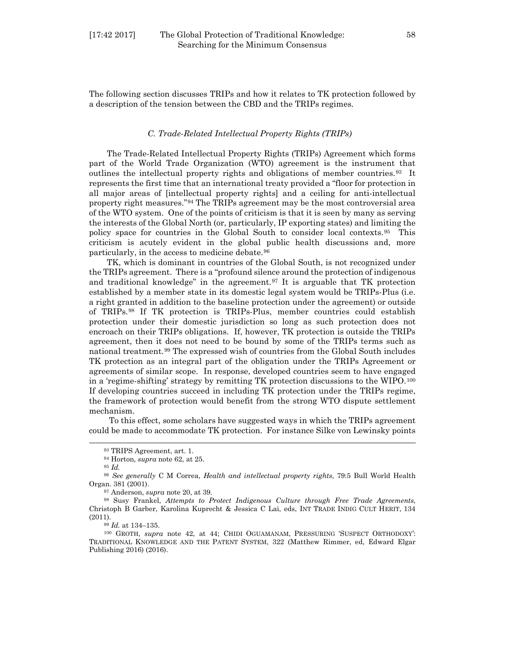The following section discusses TRIPs and how it relates to TK protection followed by a description of the tension between the CBD and the TRIPs regimes.

#### *C. Trade-Related Intellectual Property Rights (TRIPs)*

The Trade-Related Intellectual Property Rights (TRIPs) Agreement which forms part of the World Trade Organization (WTO) agreement is the instrument that outlines the intellectual property rights and obligations of member countries.[93](#page-17-0) It represents the first time that an international treaty provided a "floor for protection in all major areas of [intellectual property rights] and a ceiling for anti-intellectual property right measures."[94](#page-17-1) The TRIPs agreement may be the most controversial area of the WTO system. One of the points of criticism is that it is seen by many as serving the interests of the Global North (or, particularly, IP exporting states) and limiting the policy space for countries in the Global South to consider local contexts.[95](#page-17-2) This criticism is acutely evident in the global public health discussions and, more particularly, in the access to medicine debate.[96](#page-17-3)

TK, which is dominant in countries of the Global South, is not recognized under the TRIPs agreement. There is a "profound silence around the protection of indigenous and traditional knowledge" in the agreement.[97](#page-17-4) It is arguable that TK protection established by a member state in its domestic legal system would be TRIPs-Plus (i.e. a right granted in addition to the baseline protection under the agreement) or outside of TRIPs.[98](#page-17-5) If TK protection is TRIPs-Plus, member countries could establish protection under their domestic jurisdiction so long as such protection does not encroach on their TRIPs obligations. If, however, TK protection is outside the TRIPs agreement, then it does not need to be bound by some of the TRIPs terms such as national treatment.[99](#page-17-6) The expressed wish of countries from the Global South includes TK protection as an integral part of the obligation under the TRIPs Agreement or agreements of similar scope. In response, developed countries seem to have engaged in a 'regime-shifting' strategy by remitting TK protection discussions to the WIPO.[100](#page-17-7) If developing countries succeed in including TK protection under the TRIPs regime, the framework of protection would benefit from the strong WTO dispute settlement mechanism.

To this effect, some scholars have suggested ways in which the TRIPs agreement could be made to accommodate TK protection. For instance Silke von Lewinsky points

<sup>95</sup> *Id.*

<span id="page-17-0"></span>l

<sup>97</sup> Anderson, *supra* note 20, at 39.

<sup>99</sup> *Id.* at 134–135.

<span id="page-17-7"></span><span id="page-17-6"></span><sup>100</sup> GROTH, *supra* note 42, at 44; CHIDI OGUAMANAM, PRESSURING 'SUSPECT ORTHODOXY': TRADITIONAL KNOWLEDGE AND THE PATENT SYSTEM, 322 (Matthew Rimmer, ed, Edward Elgar Publishing 2016) (2016).

<sup>93</sup> TRIPS Agreement, art. 1.

<sup>94</sup> Horton, *supra* note 62, at 25.

<span id="page-17-3"></span><span id="page-17-2"></span><span id="page-17-1"></span><sup>96</sup> *See generally* C M Correa, *Health and intellectual property rights*, 79:5 Bull World Health Organ. 381 (2001).

<span id="page-17-5"></span><span id="page-17-4"></span><sup>98</sup> Susy Frankel, *Attempts to Protect Indigenous Culture through Free Trade Agreements*, Christoph B Garber, Karolina Kuprecht & Jessica C Lai, eds, INT TRADE INDIG CULT HERIT, 134 (2011).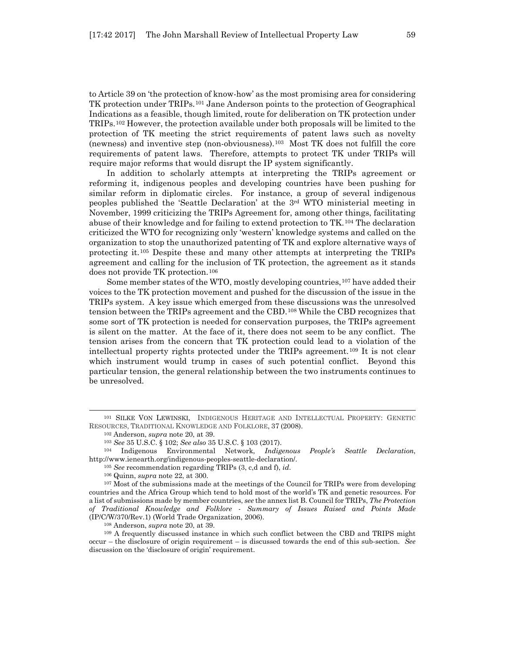to Article 39 on 'the protection of know-how' as the most promising area for considering TK protection under TRIPs.[101](#page-18-0) Jane Anderson points to the protection of Geographical Indications as a feasible, though limited, route for deliberation on TK protection under TRIPs.[102](#page-18-1) However, the protection available under both proposals will be limited to the protection of TK meeting the strict requirements of patent laws such as novelty (newness) and inventive step (non-obviousness).[103](#page-18-2) Most TK does not fulfill the core requirements of patent laws. Therefore, attempts to protect TK under TRIPs will require major reforms that would disrupt the IP system significantly.

In addition to scholarly attempts at interpreting the TRIPs agreement or reforming it, indigenous peoples and developing countries have been pushing for similar reform in diplomatic circles. For instance, a group of several indigenous peoples published the 'Seattle Declaration' at the 3rd WTO ministerial meeting in November, 1999 criticizing the TRIPs Agreement for, among other things, facilitating abuse of their knowledge and for failing to extend protection to TK.[104](#page-18-3) The declaration criticized the WTO for recognizing only 'western' knowledge systems and called on the organization to stop the unauthorized patenting of TK and explore alternative ways of protecting it.[105](#page-18-4) Despite these and many other attempts at interpreting the TRIPs agreement and calling for the inclusion of TK protection, the agreement as it stands does not provide TK protection.[106](#page-18-5)

Some member states of the WTO, mostly developing countries,[107](#page-18-6) have added their voices to the TK protection movement and pushed for the discussion of the issue in the TRIPs system. A key issue which emerged from these discussions was the unresolved tension between the TRIPs agreement and the CBD.[108](#page-18-7) While the CBD recognizes that some sort of TK protection is needed for conservation purposes, the TRIPs agreement is silent on the matter. At the face of it, there does not seem to be any conflict. The tension arises from the concern that TK protection could lead to a violation of the intellectual property rights protected under the TRIPs agreement.[109](#page-18-8) It is not clear which instrument would trump in cases of such potential conflict. Beyond this particular tension, the general relationship between the two instruments continues to be unresolved.

l

<sup>108</sup> Anderson, *supra* note 20, at 39.

<span id="page-18-8"></span><span id="page-18-7"></span><sup>109</sup> A frequently discussed instance in which such conflict between the CBD and TRIPS might occur – the disclosure of origin requirement – is discussed towards the end of this sub-section. *See* discussion on the 'disclosure of origin' requirement.

<span id="page-18-1"></span><span id="page-18-0"></span><sup>101</sup> SILKE VON LEWINSKI, INDIGENOUS HERITAGE AND INTELLECTUAL PROPERTY: GENETIC RESOURCES, TRADITIONAL KNOWLEDGE AND FOLKLORE, 37 (2008).

<sup>102</sup> Anderson, *supra* note 20, at 39.

<sup>103</sup> *See* 35 U.S.C. § 102; *See also* 35 U.S.C. § 103 (2017).

<span id="page-18-3"></span><span id="page-18-2"></span><sup>104</sup> Indigenous Environmental Network, *Indigenous People's Seattle Declaration*, http://www.ienearth.org/indigenous-peoples-seattle-declaration/.

<sup>105</sup> *See* recommendation regarding TRIPs (3, c,d and f), *id*.

<sup>106</sup> Quinn, *supra* note 22, at 300.

<span id="page-18-6"></span><span id="page-18-5"></span><span id="page-18-4"></span><sup>&</sup>lt;sup>107</sup> Most of the submissions made at the meetings of the Council for TRIPs were from developing countries and the Africa Group which tend to hold most of the world's TK and genetic resources. For a list of submissions made by member countries, *see* the annex list B. Council for TRIPs, *The Protection of Traditional Knowledge and Folklore - Summary of Issues Raised and Points Made* (IP/C/W/370/Rev.1) (World Trade Organization, 2006).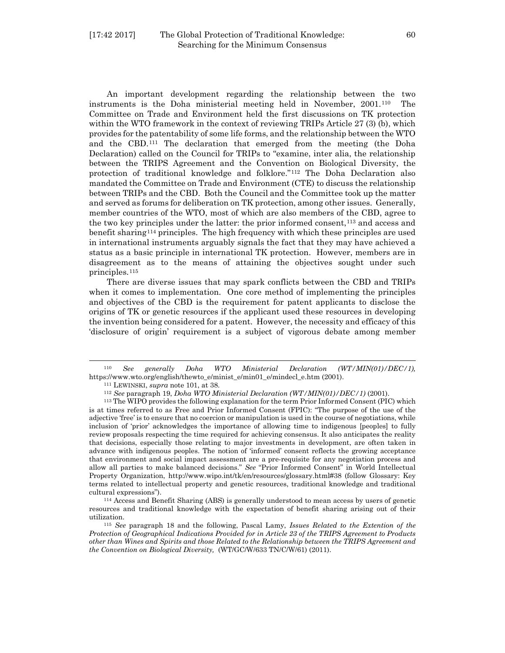An important development regarding the relationship between the two instruments is the Doha ministerial meeting held in November, 2001.[110](#page-19-0) The Committee on Trade and Environment held the first discussions on TK protection within the WTO framework in the context of reviewing TRIPs Article 27 (3) (b), which provides for the patentability of some life forms, and the relationship between the WTO and the CBD.[111](#page-19-1) The declaration that emerged from the meeting (the Doha Declaration) called on the Council for TRIPs to "examine, inter alia, the relationship between the TRIPS Agreement and the Convention on Biological Diversity, the protection of traditional knowledge and folklore."[112](#page-19-2) The Doha Declaration also mandated the Committee on Trade and Environment (CTE) to discuss the relationship between TRIPs and the CBD. Both the Council and the Committee took up the matter and served as forums for deliberation on TK protection, among other issues. Generally, member countries of the WTO, most of which are also members of the CBD, agree to the two key principles under the latter: the prior informed consent,[113](#page-19-3) and access and benefit sharing[114](#page-19-4) principles. The high frequency with which these principles are used in international instruments arguably signals the fact that they may have achieved a status as a basic principle in international TK protection. However, members are in disagreement as to the means of attaining the objectives sought under such principles.[115](#page-19-5) 

There are diverse issues that may spark conflicts between the CBD and TRIPs when it comes to implementation. One core method of implementing the principles and objectives of the CBD is the requirement for patent applicants to disclose the origins of TK or genetic resources if the applicant used these resources in developing the invention being considered for a patent. However, the necessity and efficacy of this 'disclosure of origin' requirement is a subject of vigorous debate among member

<span id="page-19-0"></span><sup>110</sup> *See generally Doha WTO Ministerial Declaration (WT/MIN(01)/DEC/1),*  https://www.wto.org/english/thewto\_e/minist\_e/min01\_e/mindecl\_e.htm (2001).

<sup>111</sup> LEWINSKI, *supra* note 101, at 38.

<sup>112</sup> *See* paragraph 19, *Doha WTO Ministerial Declaration (WT/MIN(01)/DEC/1)* (2001).

<span id="page-19-3"></span><span id="page-19-2"></span><span id="page-19-1"></span><sup>113</sup> The WIPO provides the following explanation for the term Prior Informed Consent (PIC) which is at times referred to as Free and Prior Informed Consent (FPIC): "The purpose of the use of the adjective 'free' is to ensure that no coercion or manipulation is used in the course of negotiations, while inclusion of 'prior' acknowledges the importance of allowing time to indigenous [peoples] to fully review proposals respecting the time required for achieving consensus. It also anticipates the reality that decisions, especially those relating to major investments in development, are often taken in advance with indigenous peoples. The notion of 'informed' consent reflects the growing acceptance that environment and social impact assessment are a pre-requisite for any negotiation process and allow all parties to make balanced decisions." *See* "Prior Informed Consent" in World Intellectual Property Organization, http://www.wipo.int/tk/en/resources/glossary.html#38 (follow Glossary: Key terms related to intellectual property and genetic resources, traditional knowledge and traditional cultural expressions").

<span id="page-19-4"></span><sup>114</sup> Access and Benefit Sharing (ABS) is generally understood to mean access by users of genetic resources and traditional knowledge with the expectation of benefit sharing arising out of their utilization. 115 *See* paragraph 18 and the following, Pascal Lamy, *Issues Related to the Extention of the* 

<span id="page-19-5"></span>*Protection of Geographical Indications Provided for in Article 23 of the TRIPS Agreement to Products other than Wines and Spirits and those Related to the Relationship between the TRIPS Agreement and the Convention on Biological Diversity,* (WT/GC/W/633 TN/C/W/61) (2011).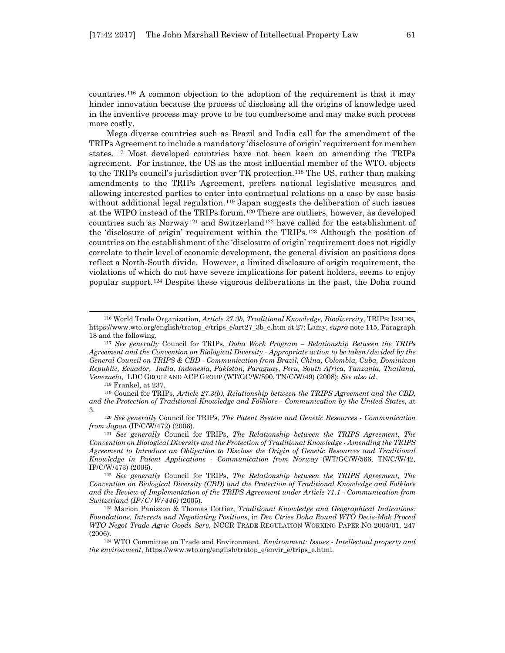countries.[116](#page-20-0) A common objection to the adoption of the requirement is that it may hinder innovation because the process of disclosing all the origins of knowledge used in the inventive process may prove to be too cumbersome and may make such process more costly.

Mega diverse countries such as Brazil and India call for the amendment of the TRIPs Agreement to include a mandatory 'disclosure of origin' requirement for member states.[117](#page-20-1) Most developed countries have not been keen on amending the TRIPs agreement. For instance, the US as the most influential member of the WTO, objects to the TRIPs council's jurisdiction over TK protection[.118](#page-20-2) The US, rather than making amendments to the TRIPs Agreement, prefers national legislative measures and allowing interested parties to enter into contractual relations on a case by case basis without additional legal regulation.<sup>[119](#page-20-3)</sup> Japan suggests the deliberation of such issues at the WIPO instead of the TRIPs forum.[120](#page-20-4) There are outliers, however, as developed countries such as Norway<sup>[121](#page-20-5)</sup> and Switzerland<sup>[122](#page-20-6)</sup> have called for the establishment of the 'disclosure of origin' requirement within the TRIPs.[123](#page-20-7) Although the position of countries on the establishment of the 'disclosure of origin' requirement does not rigidly correlate to their level of economic development, the general division on positions does reflect a North-South divide. However, a limited disclosure of origin requirement, the violations of which do not have severe implications for patent holders, seems to enjoy popular support.[124](#page-21-0) Despite these vigorous deliberations in the past, the Doha round

<sup>118</sup> Frankel, at 237.

l

<span id="page-20-2"></span><sup>119</sup> Council for TRIPs, *Article 27.3(b), Relationship between the TRIPS Agreement and the CBD, and the Protection of Traditional Knowledge and Folklore - Communication by the United States,* at 3.

<span id="page-20-3"></span><sup>120</sup> *See generally* Council for TRIPs, *The Patent System and Genetic Resources - Communication from Japan* (IP/C/W/472) (2006).

<span id="page-20-5"></span><span id="page-20-4"></span><sup>121</sup> *See generally* Council for TRIPs, *The Relationship between the TRIPS Agreement, The Convention on Biological Diversity and the Protection of Traditional Knowledge - Amending the TRIPS Agreement to Introduce an Obligation to Disclose the Origin of Genetic Resources and Traditional Knowledge in Patent Applications - Communication from Norway* (WT/GC/W/566, TN/C/W/42*,*  IP/C/W/473) (2006).

<span id="page-20-6"></span><sup>122</sup> *See generally* Council for TRIPs, *The Relationship between the TRIPS Agreement, The Convention on Biological Diversity (CBD) and the Protection of Traditional Knowledge and Folklore and the Review of Implementation of the TRIPS Agreement under Article 71.1 - Communication from Switzerland (IP/C/W/446)* (2005).

<span id="page-20-7"></span><sup>123</sup> Marion Panizzon & Thomas Cottier, *Traditional Knowledge and Geographical Indications: Foundations, Interests and Negotiating Positions*, in *Dev Ctries Doha Round WTO Decis-Mak Proced WTO Negot Trade Agric Goods Serv*, NCCR TRADE REGULATION WORKING PAPER NO 2005/01, 247 (2006).

<sup>124</sup> WTO Committee on Trade and Environment, *Environment: Issues - Intellectual property and the environment*, https://www.wto.org/english/tratop\_e/envir\_e/trips\_e.html.

<sup>116</sup> World Trade Organization, *Article 27.3b, Traditional Knowledge, Biodiversity*, TRIPS: ISSUES, https://www.wto.org/english/tratop\_e/trips\_e/art27\_3b\_e.htm at 27; Lamy, *supra* note 115, Paragraph 18 and the following.

<span id="page-20-1"></span><span id="page-20-0"></span><sup>117</sup> *See generally* Council for TRIPs, *Doha Work Program – Relationship Between the TRIPs Agreement and the Convention on Biological Diversity - Appropriate action to be taken/decided by the General Council on TRIPS & CBD - Communication from Brazil, China, Colombia, Cuba, Dominican Republic, Ecuador, India, Indonesia, Pakistan, Paraguay, Peru, South Africa, Tanzania, Thailand, Venezuela,* LDC GROUP AND ACP GROUP (WT/GC/W/590, TN/C/W/49) (2008); *See also id*.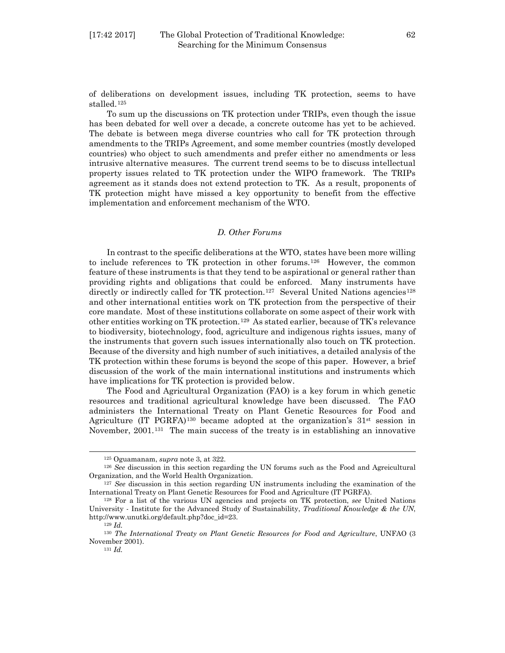of deliberations on development issues, including TK protection, seems to have stalled.[125](#page-21-1)

To sum up the discussions on TK protection under TRIPs, even though the issue has been debated for well over a decade, a concrete outcome has yet to be achieved. The debate is between mega diverse countries who call for TK protection through amendments to the TRIPs Agreement, and some member countries (mostly developed countries) who object to such amendments and prefer either no amendments or less intrusive alternative measures. The current trend seems to be to discuss intellectual property issues related to TK protection under the WIPO framework. The TRIPs agreement as it stands does not extend protection to TK. As a result, proponents of TK protection might have missed a key opportunity to benefit from the effective implementation and enforcement mechanism of the WTO.

#### *D. Other Forums*

In contrast to the specific deliberations at the WTO, states have been more willing to include references to TK protection in other forums.[126](#page-21-2) However, the common feature of these instruments is that they tend to be aspirational or general rather than providing rights and obligations that could be enforced. Many instruments have directly or indirectly called for TK protection.<sup>[127](#page-21-3)</sup> Several United Nations agencies<sup>[128](#page-21-4)</sup> and other international entities work on TK protection from the perspective of their core mandate. Most of these institutions collaborate on some aspect of their work with other entities working on TK protection.[129](#page-21-5) As stated earlier, because of TK's relevance to biodiversity, biotechnology, food, agriculture and indigenous rights issues, many of the instruments that govern such issues internationally also touch on TK protection. Because of the diversity and high number of such initiatives, a detailed analysis of the TK protection within these forums is beyond the scope of this paper. However, a brief discussion of the work of the main international institutions and instruments which have implications for TK protection is provided below.

The Food and Agricultural Organization (FAO) is a key forum in which genetic resources and traditional agricultural knowledge have been discussed. The FAO administers the International Treaty on Plant Genetic Resources for Food and Agriculture (IT PGRFA)<sup>[130](#page-21-6)</sup> became adopted at the organization's  $31<sup>st</sup>$  session in November, 2001.<sup>[131](#page-21-7)</sup> The main success of the treaty is in establishing an innovative

<sup>125</sup> Oguamanam, *supra* note 3, at 322.

<span id="page-21-2"></span><span id="page-21-1"></span><span id="page-21-0"></span><sup>126</sup> *See* discussion in this section regarding the UN forums such as the Food and Agreicultural Organization, and the World Health Organization. 127 *See* discussion in this section regarding UN instruments including the examination of the

<span id="page-21-3"></span>International Treaty on Plant Genetic Resources for Food and Agriculture (IT PGRFA). 128 For a list of the various UN agencies and projects on TK protection, *see* United Nations

<span id="page-21-4"></span>University - Institute for the Advanced Study of Sustainability, *Traditional Knowledge & the UN*, http://www.unutki.org/default.php?doc\_id=23.

<sup>129</sup> *Id.*

<span id="page-21-7"></span><span id="page-21-6"></span><span id="page-21-5"></span><sup>130</sup> *The International Treaty on Plant Genetic Resources for Food and Agriculture*, UNFAO (3 November 2001).

<sup>131</sup> *Id.*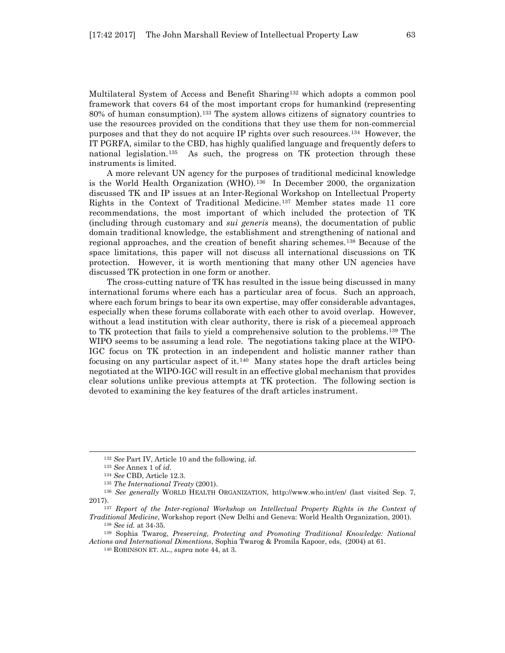Multilateral System of Access and Benefit Sharing<sup>[132](#page-22-0)</sup> which adopts a common pool framework that covers 64 of the most important crops for humankind (representing 80% of human consumption).[133](#page-22-1) The system allows citizens of signatory countries to use the resources provided on the conditions that they use them for non-commercial purposes and that they do not acquire IP rights over such resources.[134](#page-22-2) However, the IT PGRFA, similar to the CBD, has highly qualified language and frequently defers to national legislation.[135](#page-22-3) As such, the progress on TK protection through these instruments is limited.

A more relevant UN agency for the purposes of traditional medicinal knowledge is the World Health Organization (WHO).[136](#page-22-4) In December 2000, the organization discussed TK and IP issues at an Inter-Regional Workshop on Intellectual Property Rights in the Context of Traditional Medicine.[137](#page-22-5) Member states made 11 core recommendations, the most important of which included the protection of TK (including through customary and *sui generis* means), the documentation of public domain traditional knowledge, the establishment and strengthening of national and regional approaches, and the creation of benefit sharing schemes.[138](#page-22-6) Because of the space limitations, this paper will not discuss all international discussions on TK protection. However, it is worth mentioning that many other UN agencies have discussed TK protection in one form or another.

The cross-cutting nature of TK has resulted in the issue being discussed in many international forums where each has a particular area of focus. Such an approach, where each forum brings to bear its own expertise, may offer considerable advantages, especially when these forums collaborate with each other to avoid overlap. However, without a lead institution with clear authority, there is risk of a piecemeal approach to TK protection that fails to yield a comprehensive solution to the problems.[139](#page-22-7) The WIPO seems to be assuming a lead role. The negotiations taking place at the WIPO-IGC focus on TK protection in an independent and holistic manner rather than focusing on any particular aspect of it.<sup>[140](#page-22-8)</sup> Many states hope the draft articles being negotiated at the WIPO-IGC will result in an effective global mechanism that provides clear solutions unlike previous attempts at TK protection. The following section is devoted to examining the key features of the draft articles instrument.

<sup>132</sup> *See* Part IV, Article 10 and the following, *id*.

<sup>133</sup> *See* Annex 1 of *id*.

<sup>134</sup> *See* CBD, Article 12.3.

<sup>135</sup> *The International Treaty* (2001).

<span id="page-22-4"></span><span id="page-22-3"></span><span id="page-22-2"></span><span id="page-22-1"></span><span id="page-22-0"></span><sup>136</sup> *See generally* WORLD HEALTH ORGANIZATION, http://www.who.int/en/ (last visited Sep. 7, 2017).

<span id="page-22-5"></span><sup>137</sup> *Report of the Inter-regional Workshop on Intellectual Property Rights in the Context of Traditional Medicine*, Workshop report (New Delhi and Geneva: World Health Organization, 2001). <sup>138</sup> *See id.* at 34-35.

<span id="page-22-8"></span><span id="page-22-7"></span><span id="page-22-6"></span><sup>139</sup> Sophia Twarog, *Preserving, Protecting and Promoting Traditional Knowledge: National Actions and International Dimentions*, Sophia Twarog & Promila Kapoor, eds, (2004) at 61.

<sup>140</sup> ROBINSON ET. AL., *supra* note 44, at 3.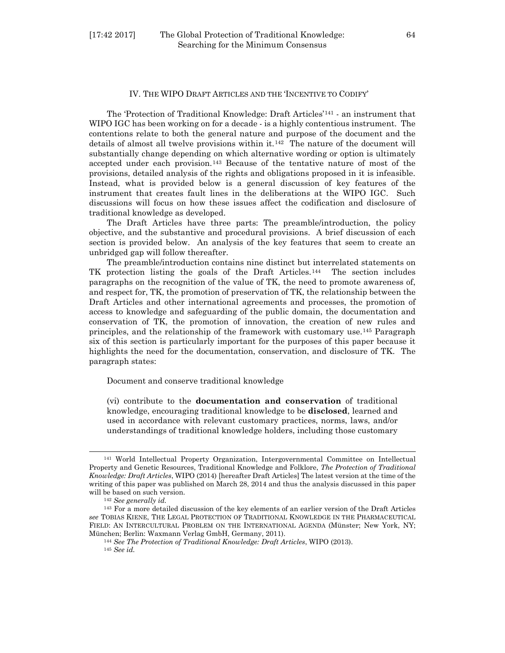#### [17:42 2017] The Global Protection of Traditional Knowledge: 64 Searching for the Minimum Consensus

#### IV. THE WIPO DRAFT ARTICLES AND THE 'INCENTIVE TO CODIFY'

The 'Protection of Traditional Knowledge: Draft Articles'[141](#page-23-0) - an instrument that WIPO IGC has been working on for a decade - is a highly contentious instrument. The contentions relate to both the general nature and purpose of the document and the details of almost all twelve provisions within it.[142](#page-23-1) The nature of the document will substantially change depending on which alternative wording or option is ultimately accepted under each provision.[143](#page-23-2) Because of the tentative nature of most of the provisions, detailed analysis of the rights and obligations proposed in it is infeasible. Instead, what is provided below is a general discussion of key features of the instrument that creates fault lines in the deliberations at the WIPO IGC. Such discussions will focus on how these issues affect the codification and disclosure of traditional knowledge as developed.

The Draft Articles have three parts: The preamble/introduction, the policy objective, and the substantive and procedural provisions. A brief discussion of each section is provided below. An analysis of the key features that seem to create an unbridged gap will follow thereafter.

The preamble/introduction contains nine distinct but interrelated statements on TK protection listing the goals of the Draft Articles.[144](#page-23-3) The section includes paragraphs on the recognition of the value of TK, the need to promote awareness of, and respect for, TK, the promotion of preservation of TK, the relationship between the Draft Articles and other international agreements and processes, the promotion of access to knowledge and safeguarding of the public domain, the documentation and conservation of TK, the promotion of innovation, the creation of new rules and principles, and the relationship of the framework with customary use.[145](#page-23-4) Paragraph six of this section is particularly important for the purposes of this paper because it highlights the need for the documentation, conservation, and disclosure of TK. The paragraph states:

Document and conserve traditional knowledge

(vi) contribute to the **documentation and conservation** of traditional knowledge, encouraging traditional knowledge to be **disclosed**, learned and used in accordance with relevant customary practices, norms, laws, and/or understandings of traditional knowledge holders, including those customary

<span id="page-23-0"></span><sup>141</sup> World Intellectual Property Organization, Intergovernmental Committee on Intellectual Property and Genetic Resources, Traditional Knowledge and Folklore, *The Protection of Traditional Knowledge: Draft Articles*, WIPO (2014) [hereafter Draft Articles] The latest version at the time of the writing of this paper was published on March 28, 2014 and thus the analysis discussed in this paper will be based on such version.

<sup>142</sup> *See generally id.*

<span id="page-23-4"></span><span id="page-23-3"></span><span id="page-23-2"></span><span id="page-23-1"></span><sup>143</sup> For a more detailed discussion of the key elements of an earlier version of the Draft Articles *see* TOBIAS KIENE, THE LEGAL PROTECTION OF TRADITIONAL KNOWLEDGE IN THE PHARMACEUTICAL FIELD: AN INTERCULTURAL PROBLEM ON THE INTERNATIONAL AGENDA (Münster; New York, NY; München; Berlin: Waxmann Verlag GmbH, Germany, 2011).

<sup>144</sup> *See The Protection of Traditional Knowledge: Draft Articles*, WIPO (2013). <sup>145</sup> *See id.*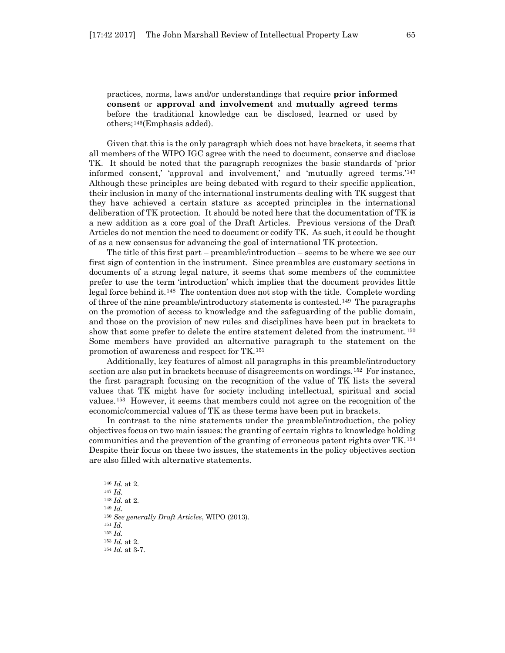practices, norms, laws and/or understandings that require **prior informed consent** or **approval and involvement** and **mutually agreed terms** before the traditional knowledge can be disclosed, learned or used by others;[146\(](#page-24-0)Emphasis added).

Given that this is the only paragraph which does not have brackets, it seems that all members of the WIPO IGC agree with the need to document, conserve and disclose TK. It should be noted that the paragraph recognizes the basic standards of 'prior informed consent,' 'approval and involvement,' and 'mutually agreed terms.'[147](#page-24-1) Although these principles are being debated with regard to their specific application, their inclusion in many of the international instruments dealing with TK suggest that they have achieved a certain stature as accepted principles in the international deliberation of TK protection. It should be noted here that the documentation of TK is a new addition as a core goal of the Draft Articles. Previous versions of the Draft Articles do not mention the need to document or codify TK. As such, it could be thought of as a new consensus for advancing the goal of international TK protection.

The title of this first part – preamble/introduction – seems to be where we see our first sign of contention in the instrument. Since preambles are customary sections in documents of a strong legal nature, it seems that some members of the committee prefer to use the term 'introduction' which implies that the document provides little legal force behind it.[148](#page-24-2) The contention does not stop with the title. Complete wording of three of the nine preamble/introductory statements is contested.[149](#page-24-3) The paragraphs on the promotion of access to knowledge and the safeguarding of the public domain, and those on the provision of new rules and disciplines have been put in brackets to show that some prefer to delete the entire statement deleted from the instrument.[150](#page-24-4) Some members have provided an alternative paragraph to the statement on the promotion of awareness and respect for TK.[151](#page-24-5) 

Additionally, key features of almost all paragraphs in this preamble/introductory section are also put in brackets because of disagreements on wordings.[152](#page-24-6) For instance, the first paragraph focusing on the recognition of the value of TK lists the several values that TK might have for society including intellectual, spiritual and social values.[153](#page-24-7) However, it seems that members could not agree on the recognition of the economic/commercial values of TK as these terms have been put in brackets.

In contrast to the nine statements under the preamble/introduction, the policy objectives focus on two main issues: the granting of certain rights to knowledge holding communities and the prevention of the granting of erroneous patent rights over TK.[154](#page-24-8) Despite their focus on these two issues, the statements in the policy objectives section are also filled with alternative statements.

<span id="page-24-0"></span><sup>146</sup> *Id.* at 2.

<sup>147</sup> *Id.*

<span id="page-24-1"></span><sup>148</sup> *Id.* at 2.

<span id="page-24-5"></span><span id="page-24-4"></span><span id="page-24-3"></span><span id="page-24-2"></span><sup>149</sup> *Id*.

<sup>150</sup> *See generally Draft Articles*, WIPO (2013).

<span id="page-24-6"></span><sup>151</sup> *Id.*

<sup>152</sup> *Id.*

<sup>153</sup> *Id.* at 2.

<span id="page-24-8"></span><span id="page-24-7"></span><sup>154</sup> *Id.* at 3-7.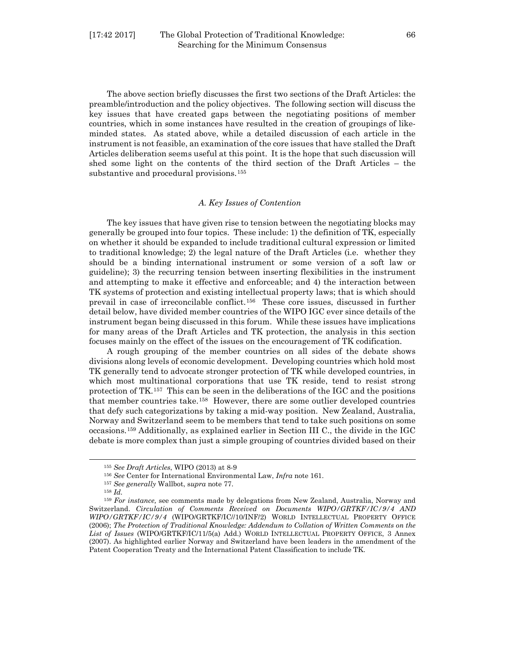The above section briefly discusses the first two sections of the Draft Articles: the preamble/introduction and the policy objectives. The following section will discuss the key issues that have created gaps between the negotiating positions of member countries, which in some instances have resulted in the creation of groupings of likeminded states. As stated above, while a detailed discussion of each article in the instrument is not feasible, an examination of the core issues that have stalled the Draft Articles deliberation seems useful at this point. It is the hope that such discussion will shed some light on the contents of the third section of the Draft Articles – the substantive and procedural provisions.<sup>[155](#page-25-0)</sup>

#### *A. Key Issues of Contention*

The key issues that have given rise to tension between the negotiating blocks may generally be grouped into four topics. These include: 1) the definition of TK, especially on whether it should be expanded to include traditional cultural expression or limited to traditional knowledge; 2) the legal nature of the Draft Articles (i.e. whether they should be a binding international instrument or some version of a soft law or guideline); 3) the recurring tension between inserting flexibilities in the instrument and attempting to make it effective and enforceable; and 4) the interaction between TK systems of protection and existing intellectual property laws; that is which should prevail in case of irreconcilable conflict.[156](#page-25-1) These core issues, discussed in further detail below, have divided member countries of the WIPO IGC ever since details of the instrument began being discussed in this forum. While these issues have implications for many areas of the Draft Articles and TK protection, the analysis in this section focuses mainly on the effect of the issues on the encouragement of TK codification.

A rough grouping of the member countries on all sides of the debate shows divisions along levels of economic development. Developing countries which hold most TK generally tend to advocate stronger protection of TK while developed countries, in which most multinational corporations that use TK reside, tend to resist strong protection of TK.[157](#page-25-2) This can be seen in the deliberations of the IGC and the positions that member countries take.[158](#page-25-3) However, there are some outlier developed countries that defy such categorizations by taking a mid-way position. New Zealand, Australia, Norway and Switzerland seem to be members that tend to take such positions on some occasions.[159](#page-25-4) Additionally, as explained earlier in Section III C., the divide in the IGC debate is more complex than just a simple grouping of countries divided based on their

<sup>155</sup> *See Draft Articles*, WIPO (2013) at 8-9

<sup>156</sup> *See* Center for International Environmental Law, *Infra* note 161.

<sup>157</sup> *See generally* Wallbot, s*upra* note 77.

<sup>158</sup> *Id.*

<span id="page-25-4"></span><span id="page-25-3"></span><span id="page-25-2"></span><span id="page-25-1"></span><span id="page-25-0"></span><sup>159</sup> *For instance,* see comments made by delegations from New Zealand, Australia, Norway and Switzerland. *Circulation of Comments Received on Documents WIPO/GRTKF/IC/9/4 AND WIPO/GRTKF/IC/9/4* (WIPO/GRTKF/IC//10/INF/2) WORLD INTELLECTUAL PROPERTY OFFICE (2006); *The Protection of Traditional Knowledge: Addendum to Collation of Written Comments on the List of Issues* (WIPO/GRTKF/IC/11/5(a) Add.) WORLD INTELLECTUAL PROPERTY OFFICE, 3 Annex (2007). As highlighted earlier Norway and Switzerland have been leaders in the amendment of the Patent Cooperation Treaty and the International Patent Classification to include TK.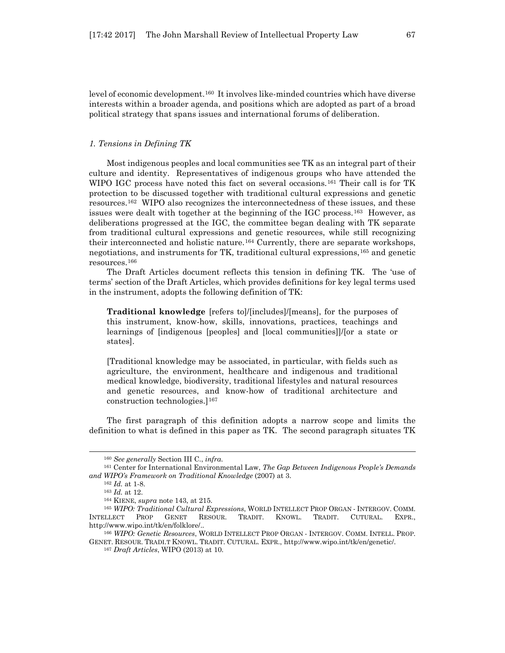level of economic development.[160](#page-26-0) It involves like-minded countries which have diverse interests within a broader agenda, and positions which are adopted as part of a broad political strategy that spans issues and international forums of deliberation.

#### *1. Tensions in Defining TK*

Most indigenous peoples and local communities see TK as an integral part of their culture and identity. Representatives of indigenous groups who have attended the WIPO IGC process have noted this fact on several occasions.<sup>[161](#page-26-1)</sup> Their call is for TK protection to be discussed together with traditional cultural expressions and genetic resources.[162](#page-26-2) WIPO also recognizes the interconnectedness of these issues, and these issues were dealt with together at the beginning of the IGC process.[163](#page-26-3) However, as deliberations progressed at the IGC, the committee began dealing with TK separate from traditional cultural expressions and genetic resources, while still recognizing their interconnected and holistic nature.[164](#page-26-4) Currently, there are separate workshops, negotiations, and instruments for TK, traditional cultural expressions,  $165$  and genetic resources.[166](#page-26-6) 

The Draft Articles document reflects this tension in defining TK. The 'use of terms' section of the Draft Articles, which provides definitions for key legal terms used in the instrument, adopts the following definition of TK:

**Traditional knowledge** [refers to]/[includes]/[means], for the purposes of this instrument, know-how, skills, innovations, practices, teachings and learnings of [indigenous [peoples] and [local communities]]/[or a state or states].

[Traditional knowledge may be associated, in particular, with fields such as agriculture, the environment, healthcare and indigenous and traditional medical knowledge, biodiversity, traditional lifestyles and natural resources and genetic resources, and know-how of traditional architecture and construction technologies.][167](#page-26-7)

The first paragraph of this definition adopts a narrow scope and limits the definition to what is defined in this paper as TK. The second paragraph situates TK

<sup>160</sup> *See generally* Section III C., *infra*.

<span id="page-26-2"></span><span id="page-26-1"></span><span id="page-26-0"></span><sup>161</sup> Center for International Environmental Law, *The Gap Between Indigenous People's Demands and WIPO's Framework on Traditional Knowledge* (2007) at 3.

<sup>162</sup> *Id.* at 1-8.

<sup>163</sup> *Id.* at 12.

<sup>164</sup> KIENE, *supra* note 143, at 215.

<span id="page-26-5"></span><span id="page-26-4"></span><span id="page-26-3"></span><sup>165</sup> *WIPO: Traditional Cultural Expressions*, WORLD INTELLECT PROP ORGAN - INTERGOV. COMM. INTELLECT PROP GENET RESOUR. TRADIT. KNOWL. TRADIT. CUTURAL. EXPR., http://www.wipo.int/tk/en/folklore/..

<span id="page-26-7"></span><span id="page-26-6"></span><sup>166</sup> *WIPO: Genetic Resources*, WORLD INTELLECT PROP ORGAN - INTERGOV. COMM. INTELL. PROP. GENET. RESOUR. TRADI.T KNOWL. TRADIT. CUTURAL. EXPR., http://www.wipo.int/tk/en/genetic/.

<sup>167</sup> *Draft Articles*, WIPO (2013) at 10.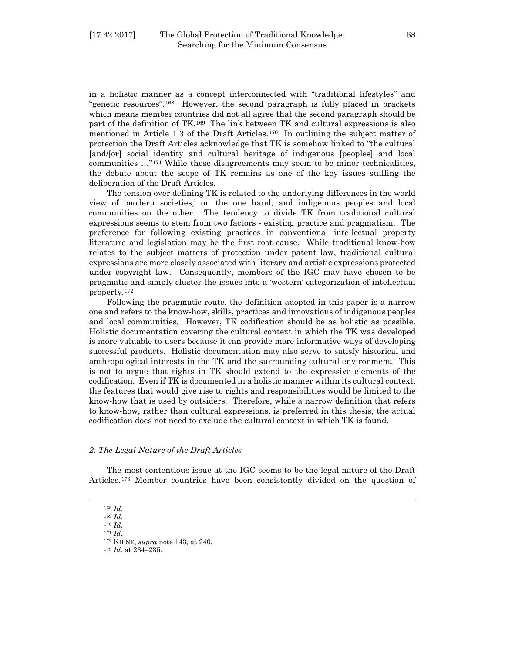in a holistic manner as a concept interconnected with "traditional lifestyles" and "genetic resources".[168](#page-27-0) However, the second paragraph is fully placed in brackets which means member countries did not all agree that the second paragraph should be part of the definition of TK.[169](#page-27-1) The link between TK and cultural expressions is also mentioned in Article 1.3 of the Draft Articles.[170](#page-27-2) In outlining the subject matter of protection the Draft Articles acknowledge that TK is somehow linked to "the cultural [and/[or] social identity and cultural heritage of indigenous [peoples] and local communities …"[171](#page-27-3) While these disagreements may seem to be minor technicalities, the debate about the scope of TK remains as one of the key issues stalling the deliberation of the Draft Articles.

The tension over defining TK is related to the underlying differences in the world view of 'modern societies,' on the one hand, and indigenous peoples and local communities on the other. The tendency to divide TK from traditional cultural expressions seems to stem from two factors - existing practice and pragmatism. The preference for following existing practices in conventional intellectual property literature and legislation may be the first root cause. While traditional know-how relates to the subject matters of protection under patent law, traditional cultural expressions are more closely associated with literary and artistic expressions protected under copyright law. Consequently, members of the IGC may have chosen to be pragmatic and simply cluster the issues into a 'western' categorization of intellectual property.[172](#page-27-4)

Following the pragmatic route, the definition adopted in this paper is a narrow one and refers to the know-how, skills, practices and innovations of indigenous peoples and local communities. However, TK codification should be as holistic as possible. Holistic documentation covering the cultural context in which the TK was developed is more valuable to users because it can provide more informative ways of developing successful products. Holistic documentation may also serve to satisfy historical and anthropological interests in the TK and the surrounding cultural environment. This is not to argue that rights in TK should extend to the expressive elements of the codification. Even if TK is documented in a holistic manner within its cultural context, the features that would give rise to rights and responsibilities would be limited to the know-how that is used by outsiders. Therefore, while a narrow definition that refers to know-how, rather than cultural expressions, is preferred in this thesis, the actual codification does not need to exclude the cultural context in which TK is found.

#### *2. The Legal Nature of the Draft Articles*

The most contentious issue at the IGC seems to be the legal nature of the Draft Articles.[173](#page-27-5) Member countries have been consistently divided on the question of

#### <sup>168</sup> *Id.*

<span id="page-27-5"></span><span id="page-27-4"></span><span id="page-27-3"></span><span id="page-27-2"></span><span id="page-27-1"></span><span id="page-27-0"></span>l

<sup>171</sup> *Id*.

<sup>169</sup> *Id.* <sup>170</sup> *Id.*

<sup>172</sup> KIENE, *supra* note 143, at 240.

<sup>173</sup> *Id.* at 234–235.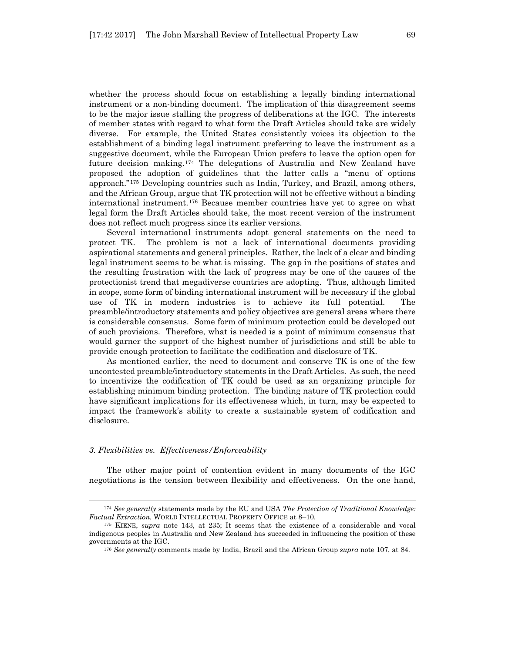whether the process should focus on establishing a legally binding international instrument or a non-binding document. The implication of this disagreement seems to be the major issue stalling the progress of deliberations at the IGC. The interests of member states with regard to what form the Draft Articles should take are widely diverse. For example, the United States consistently voices its objection to the establishment of a binding legal instrument preferring to leave the instrument as a suggestive document, while the European Union prefers to leave the option open for future decision making.[174](#page-28-0) The delegations of Australia and New Zealand have proposed the adoption of guidelines that the latter calls a "menu of options approach."[175](#page-28-1) Developing countries such as India, Turkey, and Brazil, among others, and the African Group, argue that TK protection will not be effective without a binding international instrument.[176](#page-28-2) Because member countries have yet to agree on what legal form the Draft Articles should take, the most recent version of the instrument does not reflect much progress since its earlier versions.

Several international instruments adopt general statements on the need to protect TK. The problem is not a lack of international documents providing aspirational statements and general principles. Rather, the lack of a clear and binding legal instrument seems to be what is missing. The gap in the positions of states and the resulting frustration with the lack of progress may be one of the causes of the protectionist trend that megadiverse countries are adopting. Thus, although limited in scope, some form of binding international instrument will be necessary if the global use of TK in modern industries is to achieve its full potential. The preamble/introductory statements and policy objectives are general areas where there is considerable consensus. Some form of minimum protection could be developed out of such provisions. Therefore, what is needed is a point of minimum consensus that would garner the support of the highest number of jurisdictions and still be able to provide enough protection to facilitate the codification and disclosure of TK.

As mentioned earlier, the need to document and conserve TK is one of the few uncontested preamble/introductory statements in the Draft Articles. As such, the need to incentivize the codification of TK could be used as an organizing principle for establishing minimum binding protection. The binding nature of TK protection could have significant implications for its effectiveness which, in turn, may be expected to impact the framework's ability to create a sustainable system of codification and disclosure.

#### *3. Flexibilities vs. Effectiveness/Enforceability*

l

The other major point of contention evident in many documents of the IGC negotiations is the tension between flexibility and effectiveness. On the one hand,

<span id="page-28-0"></span><sup>174</sup> *See generally* statements made by the EU and USA *The Protection of Traditional Knowledge: Factual Extraction,* WORLD INTELLECTUAL PROPERTY OFFICE at 8–10.

<span id="page-28-2"></span><span id="page-28-1"></span><sup>175</sup> KIENE, *supra* note 143, at 235; It seems that the existence of a considerable and vocal indigenous peoples in Australia and New Zealand has succeeded in influencing the position of these governments at the IGC.

<sup>176</sup> *See generally* comments made by India, Brazil and the African Group *supra* note 107, at 84.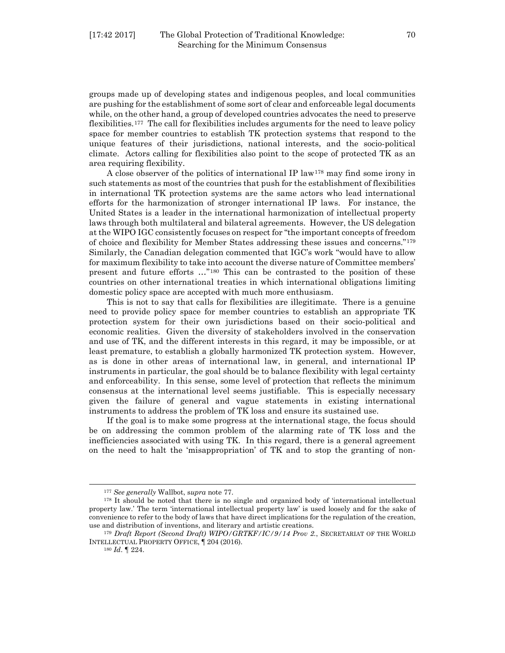groups made up of developing states and indigenous peoples, and local communities are pushing for the establishment of some sort of clear and enforceable legal documents while, on the other hand, a group of developed countries advocates the need to preserve flexibilities.[177](#page-29-0) The call for flexibilities includes arguments for the need to leave policy space for member countries to establish TK protection systems that respond to the unique features of their jurisdictions, national interests, and the socio-political climate. Actors calling for flexibilities also point to the scope of protected TK as an area requiring flexibility.

A close observer of the politics of international IP law<sup>[178](#page-29-1)</sup> may find some irony in such statements as most of the countries that push for the establishment of flexibilities in international TK protection systems are the same actors who lead international efforts for the harmonization of stronger international IP laws. For instance, the United States is a leader in the international harmonization of intellectual property laws through both multilateral and bilateral agreements. However, the US delegation at the WIPO IGC consistently focuses on respect for "the important concepts of freedom of choice and flexibility for Member States addressing these issues and concerns."[179](#page-29-2) Similarly, the Canadian delegation commented that IGC's work "would have to allow for maximum flexibility to take into account the diverse nature of Committee members' present and future efforts …"[180](#page-29-3) This can be contrasted to the position of these countries on other international treaties in which international obligations limiting domestic policy space are accepted with much more enthusiasm.

This is not to say that calls for flexibilities are illegitimate. There is a genuine need to provide policy space for member countries to establish an appropriate TK protection system for their own jurisdictions based on their socio-political and economic realities. Given the diversity of stakeholders involved in the conservation and use of TK, and the different interests in this regard, it may be impossible, or at least premature, to establish a globally harmonized TK protection system. However, as is done in other areas of international law, in general, and international IP instruments in particular, the goal should be to balance flexibility with legal certainty and enforceability. In this sense, some level of protection that reflects the minimum consensus at the international level seems justifiable. This is especially necessary given the failure of general and vague statements in existing international instruments to address the problem of TK loss and ensure its sustained use.

If the goal is to make some progress at the international stage, the focus should be on addressing the common problem of the alarming rate of TK loss and the inefficiencies associated with using TK. In this regard, there is a general agreement on the need to halt the 'misappropriation' of TK and to stop the granting of non-

<sup>177</sup> *See generally* Wallbot, s*upra* note 77.

<span id="page-29-1"></span><span id="page-29-0"></span><sup>178</sup> It should be noted that there is no single and organized body of 'international intellectual property law.' The term 'international intellectual property law' is used loosely and for the sake of convenience to refer to the body of laws that have direct implications for the regulation of the creation, use and distribution of inventions, and literary and artistic creations. 179 *Draft Report (Second Draft) WIPO/GRTKF/IC/9/14 Prov 2.*, SECRETARIAT OF THE WORLD

<span id="page-29-3"></span><span id="page-29-2"></span>INTELLECTUAL PROPERTY OFFICE, ¶ 204 (2016).

<sup>180</sup> *Id*. ¶ 224.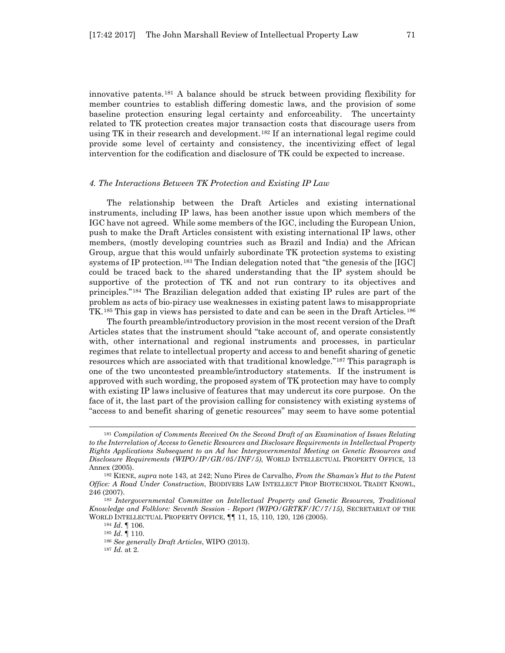innovative patents.[181](#page-30-0) A balance should be struck between providing flexibility for member countries to establish differing domestic laws, and the provision of some baseline protection ensuring legal certainty and enforceability. The uncertainty related to TK protection creates major transaction costs that discourage users from using TK in their research and development.<sup>[182](#page-30-1)</sup> If an international legal regime could provide some level of certainty and consistency, the incentivizing effect of legal intervention for the codification and disclosure of TK could be expected to increase.

#### *4. The Interactions Between TK Protection and Existing IP Law*

The relationship between the Draft Articles and existing international instruments, including IP laws, has been another issue upon which members of the IGC have not agreed. While some members of the IGC, including the European Union, push to make the Draft Articles consistent with existing international IP laws, other members, (mostly developing countries such as Brazil and India) and the African Group, argue that this would unfairly subordinate TK protection systems to existing systems of IP protection.[183](#page-30-2) The Indian delegation noted that "the genesis of the [IGC] could be traced back to the shared understanding that the IP system should be supportive of the protection of TK and not run contrary to its objectives and principles."[184](#page-30-3) The Brazilian delegation added that existing IP rules are part of the problem as acts of bio-piracy use weaknesses in existing patent laws to misappropriate TK.[185](#page-30-4) This gap in views has persisted to date and can be seen in the Draft Articles.[186](#page-30-5)

The fourth preamble/introductory provision in the most recent version of the Draft Articles states that the instrument should "take account of, and operate consistently with, other international and regional instruments and processes, in particular regimes that relate to intellectual property and access to and benefit sharing of genetic resources which are associated with that traditional knowledge."[187](#page-30-6) This paragraph is one of the two uncontested preamble/introductory statements. If the instrument is approved with such wording, the proposed system of TK protection may have to comply with existing IP laws inclusive of features that may undercut its core purpose. On the face of it, the last part of the provision calling for consistency with existing systems of "access to and benefit sharing of genetic resources" may seem to have some potential

<span id="page-30-0"></span><sup>181</sup> *Compilation of Comments Received On the Second Draft of an Examination of Issues Relating to the Interrelation of Access to Genetic Resources and Disclosure Requirements in Intellectual Property Rights Applications Subsequent to an Ad hoc Intergovernmental Meeting on Genetic Resources and Disclosure Requirements (WIPO/IP/GR/05/INF/5)*, WORLD INTELLECTUAL PROPERTY OFFICE, 13 Annex (2005).

<span id="page-30-1"></span><sup>182</sup> KIENE, *supra* note 143, at 242; Nuno Pires de Carvalho, *From the Shaman's Hut to the Patent Office: A Road Under Construction*, BIODIVERS LAW INTELLECT PROP BIOTECHNOL TRADIT KNOWL, 246 (2007).

<span id="page-30-6"></span><span id="page-30-5"></span><span id="page-30-4"></span><span id="page-30-3"></span><span id="page-30-2"></span><sup>183</sup> *Intergovernmental Committee on Intellectual Property and Genetic Resources, Traditional Knowledge and Folklore: Seventh Session - Report (WIPO/GRTKF/IC/7/15)*, SECRETARIAT OF THE WORLD INTELLECTUAL PROPERTY OFFICE, ¶¶ 11, 15, 110, 120, 126 (2005).

<sup>184</sup> *Id*. ¶ 106.

<sup>185</sup> *Id*. ¶ 110.

<sup>186</sup> *See generally Draft Articles*, WIPO (2013).

<sup>187</sup> *Id.* at 2.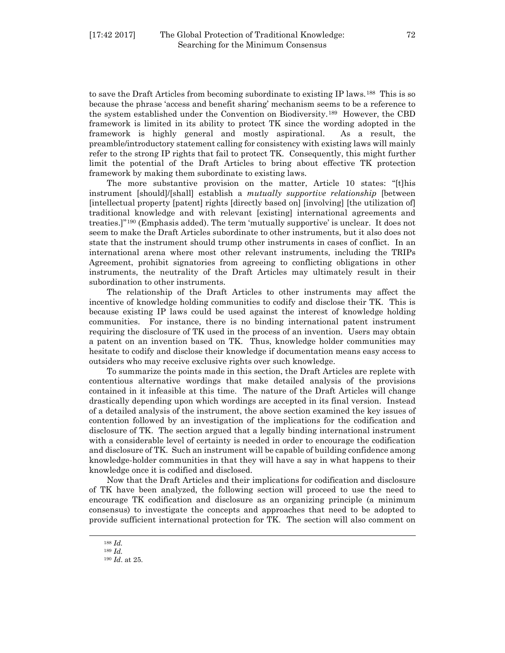to save the Draft Articles from becoming subordinate to existing IP laws.<sup>[188](#page-31-0)</sup> This is so because the phrase 'access and benefit sharing' mechanism seems to be a reference to the system established under the Convention on Biodiversity.[189](#page-31-1) However, the CBD framework is limited in its ability to protect TK since the wording adopted in the framework is highly general and mostly aspirational. As a result, the preamble/introductory statement calling for consistency with existing laws will mainly refer to the strong IP rights that fail to protect TK. Consequently, this might further limit the potential of the Draft Articles to bring about effective TK protection framework by making them subordinate to existing laws.

The more substantive provision on the matter, Article 10 states: "[t]his instrument [should]/[shall] establish a *mutually supportive relationship* [between [intellectual property [patent] rights [directly based on] [involving] [the utilization of] traditional knowledge and with relevant [existing] international agreements and treaties.]"[190](#page-31-2) (Emphasis added). The term 'mutually supportive' is unclear. It does not seem to make the Draft Articles subordinate to other instruments, but it also does not state that the instrument should trump other instruments in cases of conflict. In an international arena where most other relevant instruments, including the TRIPs Agreement, prohibit signatories from agreeing to conflicting obligations in other instruments, the neutrality of the Draft Articles may ultimately result in their subordination to other instruments.

The relationship of the Draft Articles to other instruments may affect the incentive of knowledge holding communities to codify and disclose their TK. This is because existing IP laws could be used against the interest of knowledge holding communities. For instance, there is no binding international patent instrument requiring the disclosure of TK used in the process of an invention. Users may obtain a patent on an invention based on TK. Thus, knowledge holder communities may hesitate to codify and disclose their knowledge if documentation means easy access to outsiders who may receive exclusive rights over such knowledge.

To summarize the points made in this section, the Draft Articles are replete with contentious alternative wordings that make detailed analysis of the provisions contained in it infeasible at this time. The nature of the Draft Articles will change drastically depending upon which wordings are accepted in its final version. Instead of a detailed analysis of the instrument, the above section examined the key issues of contention followed by an investigation of the implications for the codification and disclosure of TK. The section argued that a legally binding international instrument with a considerable level of certainty is needed in order to encourage the codification and disclosure of TK. Such an instrument will be capable of building confidence among knowledge-holder communities in that they will have a say in what happens to their knowledge once it is codified and disclosed.

Now that the Draft Articles and their implications for codification and disclosure of TK have been analyzed, the following section will proceed to use the need to encourage TK codification and disclosure as an organizing principle (a minimum consensus) to investigate the concepts and approaches that need to be adopted to provide sufficient international protection for TK. The section will also comment on

<sup>188</sup> *Id.*

<span id="page-31-2"></span><span id="page-31-1"></span><span id="page-31-0"></span><sup>189</sup> *Id.*

<sup>190</sup> *Id*. at 25.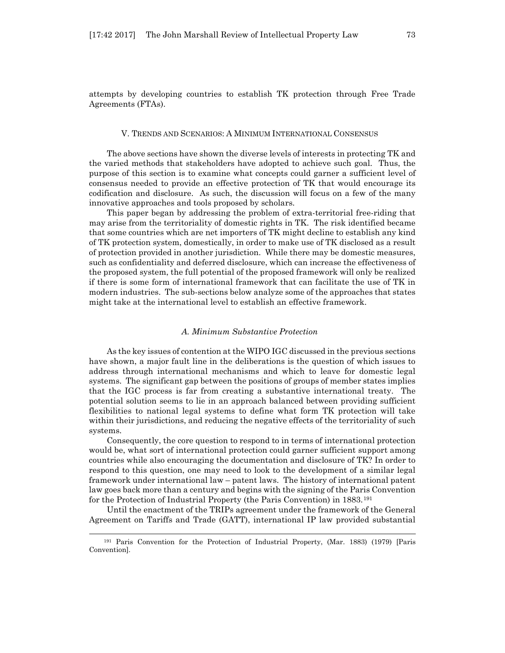attempts by developing countries to establish TK protection through Free Trade Agreements (FTAs).

#### V. TRENDS AND SCENARIOS: A MINIMUM INTERNATIONAL CONSENSUS

The above sections have shown the diverse levels of interests in protecting TK and the varied methods that stakeholders have adopted to achieve such goal. Thus, the purpose of this section is to examine what concepts could garner a sufficient level of consensus needed to provide an effective protection of TK that would encourage its codification and disclosure. As such, the discussion will focus on a few of the many innovative approaches and tools proposed by scholars.

This paper began by addressing the problem of extra-territorial free-riding that may arise from the territoriality of domestic rights in TK. The risk identified became that some countries which are net importers of TK might decline to establish any kind of TK protection system, domestically, in order to make use of TK disclosed as a result of protection provided in another jurisdiction. While there may be domestic measures, such as confidentiality and deferred disclosure, which can increase the effectiveness of the proposed system, the full potential of the proposed framework will only be realized if there is some form of international framework that can facilitate the use of TK in modern industries. The sub-sections below analyze some of the approaches that states might take at the international level to establish an effective framework.

#### *A. Minimum Substantive Protection*

As the key issues of contention at the WIPO IGC discussed in the previous sections have shown, a major fault line in the deliberations is the question of which issues to address through international mechanisms and which to leave for domestic legal systems. The significant gap between the positions of groups of member states implies that the IGC process is far from creating a substantive international treaty. The potential solution seems to lie in an approach balanced between providing sufficient flexibilities to national legal systems to define what form TK protection will take within their jurisdictions, and reducing the negative effects of the territoriality of such systems.

Consequently, the core question to respond to in terms of international protection would be, what sort of international protection could garner sufficient support among countries while also encouraging the documentation and disclosure of TK? In order to respond to this question, one may need to look to the development of a similar legal framework under international law – patent laws. The history of international patent law goes back more than a century and begins with the signing of the Paris Convention for the Protection of Industrial Property (the Paris Convention) in 1883.[191](#page-32-0)

Until the enactment of the TRIPs agreement under the framework of the General Agreement on Tariffs and Trade (GATT), international IP law provided substantial

<span id="page-32-0"></span><sup>191</sup> Paris Convention for the Protection of Industrial Property, (Mar. 1883) (1979) [Paris Convention].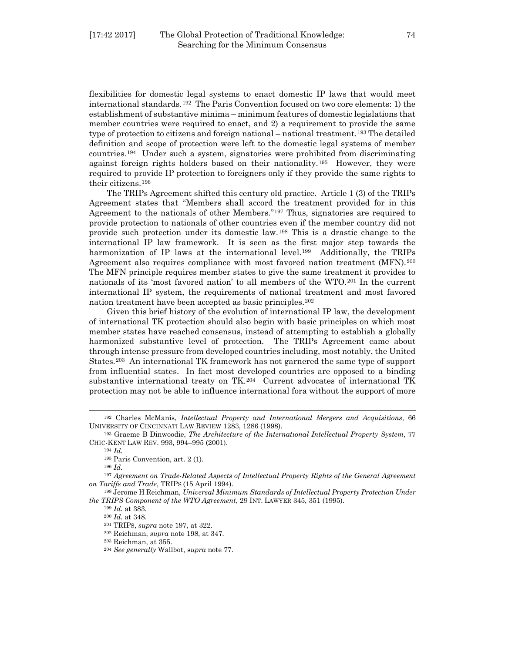flexibilities for domestic legal systems to enact domestic IP laws that would meet international standards.[192](#page-33-0) The Paris Convention focused on two core elements: 1) the establishment of substantive minima – minimum features of domestic legislations that member countries were required to enact, and 2) a requirement to provide the same type of protection to citizens and foreign national – national treatment.<sup>[193](#page-33-1)</sup> The detailed definition and scope of protection were left to the domestic legal systems of member countries.[194](#page-33-2) Under such a system, signatories were prohibited from discriminating against foreign rights holders based on their nationality.[195](#page-33-3) However, they were required to provide IP protection to foreigners only if they provide the same rights to their citizens.[196](#page-33-4)

The TRIPs Agreement shifted this century old practice. Article 1 (3) of the TRIPs Agreement states that "Members shall accord the treatment provided for in this Agreement to the nationals of other Members."[197](#page-33-5) Thus, signatories are required to provide protection to nationals of other countries even if the member country did not provide such protection under its domestic law.[198](#page-33-6) This is a drastic change to the international IP law framework. It is seen as the first major step towards the harmonization of IP laws at the international level.<sup>[199](#page-33-7)</sup> Additionally, the TRIPs Agreement also requires compliance with most favored nation treatment (MFN).[200](#page-33-8) The MFN principle requires member states to give the same treatment it provides to nationals of its 'most favored nation' to all members of the WTO.[201](#page-33-9) In the current international IP system, the requirements of national treatment and most favored nation treatment have been accepted as basic principles.<sup>202</sup>

Given this brief history of the evolution of international IP law, the development of international TK protection should also begin with basic principles on which most member states have reached consensus, instead of attempting to establish a globally harmonized substantive level of protection. The TRIPs Agreement came about through intense pressure from developed countries including, most notably, the United States.[203](#page-33-11) An international TK framework has not garnered the same type of support from influential states. In fact most developed countries are opposed to a binding substantive international treaty on TK.[204](#page-33-12) Current advocates of international TK protection may not be able to influence international fora without the support of more

l

<sup>196</sup> *Id.*

<sup>202</sup> Reichman, *supra* note 198, at 347.

<span id="page-33-0"></span><sup>192</sup> Charles McManis, *Intellectual Property and International Mergers and Acquisitions*, 66 UNIVERSITY OF CINCINNATI LAW REVIEW 1283, 1286 (1998).

<span id="page-33-2"></span><span id="page-33-1"></span><sup>193</sup> Graeme B Dinwoodie, *The Architecture of the International Intellectual Property System*, 77 CHIC-KENT LAW REV. 993, 994–995 (2001).

<sup>194</sup> *Id.*

<sup>195</sup> Paris Convention, art. 2 (1).

<span id="page-33-5"></span><span id="page-33-4"></span><span id="page-33-3"></span><sup>197</sup> *Agreement on Trade-Related Aspects of Intellectual Property Rights of the General Agreement on Tariffs and Trade*, TRIPS (15 April 1994).

<span id="page-33-11"></span><span id="page-33-10"></span><span id="page-33-9"></span><span id="page-33-8"></span><span id="page-33-7"></span><span id="page-33-6"></span><sup>198</sup> Jerome H Reichman, *Universal Minimum Standards of Intellectual Property Protection Under the TRIPS Component of the WTO Agreement*, 29 INT. LAWYER 345, 351 (1995).

<sup>199</sup> *Id.* at 383.

<sup>200</sup> *Id.* at 348.

<sup>201</sup> TRIPS, *supra* note 197, at 322.

<sup>203</sup> Reichman, at 355.

<span id="page-33-12"></span><sup>204</sup> *See generally* Wallbot, s*upra* note 77.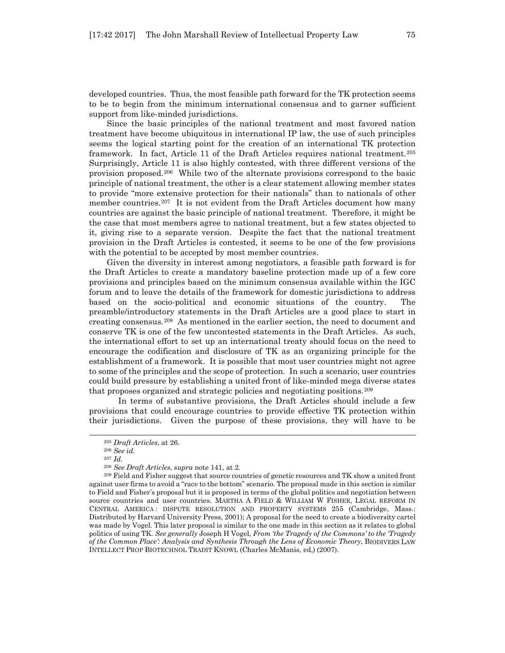developed countries. Thus, the most feasible path forward for the TK protection seems to be to begin from the minimum international consensus and to garner sufficient support from like-minded jurisdictions.

Since the basic principles of the national treatment and most favored nation treatment have become ubiquitous in international IP law, the use of such principles seems the logical starting point for the creation of an international TK protection framework. In fact, Article 11 of the Draft Articles requires national treatment.[205](#page-34-0) Surprisingly, Article 11 is also highly contested, with three different versions of the provision proposed.[206](#page-34-1) While two of the alternate provisions correspond to the basic principle of national treatment, the other is a clear statement allowing member states to provide "more extensive protection for their nationals" than to nationals of other member countries.<sup>[207](#page-34-2)</sup> It is not evident from the Draft Articles document how many countries are against the basic principle of national treatment. Therefore, it might be the case that most members agree to national treatment, but a few states objected to it, giving rise to a separate version. Despite the fact that the national treatment provision in the Draft Articles is contested, it seems to be one of the few provisions with the potential to be accepted by most member countries.

Given the diversity in interest among negotiators, a feasible path forward is for the Draft Articles to create a mandatory baseline protection made up of a few core provisions and principles based on the minimum consensus available within the IGC forum and to leave the details of the framework for domestic jurisdictions to address based on the socio-political and economic situations of the country. The preamble/introductory statements in the Draft Articles are a good place to start in creating consensus.[208](#page-34-3) As mentioned in the earlier section, the need to document and conserve TK is one of the few uncontested statements in the Draft Articles. As such, the international effort to set up an international treaty should focus on the need to encourage the codification and disclosure of TK as an organizing principle for the establishment of a framework. It is possible that most user countries might not agree to some of the principles and the scope of protection. In such a scenario, user countries could build pressure by establishing a united front of like-minded mega diverse states that proposes organized and strategic policies and negotiating positions.[209](#page-34-4)

 In terms of substantive provisions, the Draft Articles should include a few provisions that could encourage countries to provide effective TK protection within their jurisdictions. Given the purpose of these provisions, they will have to be

<sup>205</sup> *Draft Articles*, at 26.

<sup>206</sup> *See id.*

<sup>207</sup> *Id.*

<sup>208</sup> *See Draft Articles*, *supra* note 141, at 2.

<span id="page-34-4"></span><span id="page-34-3"></span><span id="page-34-2"></span><span id="page-34-1"></span><span id="page-34-0"></span><sup>&</sup>lt;sup>209</sup> Field and Fisher suggest that source countries of genetic resources and TK show a united front against user firms to avoid a "race to the bottom" scenario. The proposal made in this section is similar to Field and Fisher's proposal but it is proposed in terms of the global politics and negotiation between source countries and user countries. MARTHA A FIELD & WILLIAM W FISHER, LEGAL REFORM IN CENTRAL AMERICA : DISPUTE RESOLUTION AND PROPERTY SYSTEMS 255 (Cambridge, Mass.: Distributed by Harvard University Press, 2001); A proposal for the need to create a biodiversity cartel was made by Vogel. This later proposal is similar to the one made in this section as it relates to global politics of using TK. *See generally* Joseph H Vogel, *From 'the Tragedy of the Commons' to the 'Tragedy of the Common Place': Analysis and Synthesis Through the Lens of Economic Theory*, BIODIVERS LAW INTELLECT PROP BIOTECHNOL TRADIT KNOWL (Charles McManis, ed,) (2007).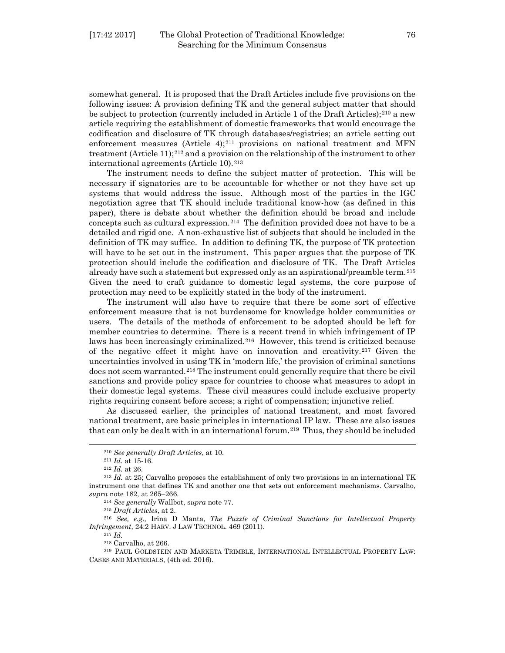somewhat general. It is proposed that the Draft Articles include five provisions on the following issues: A provision defining TK and the general subject matter that should be subject to protection (currently included in Article 1 of the Draft Articles);<sup>[210](#page-35-0)</sup> a new article requiring the establishment of domestic frameworks that would encourage the codification and disclosure of TK through databases/registries; an article setting out enforcement measures (Article  $4$ );<sup>[211](#page-35-1)</sup> provisions on national treatment and MFN treatment (Article 11);[212](#page-35-2) and a provision on the relationship of the instrument to other international agreements (Article 10).<sup>[213](#page-35-3)</sup>

The instrument needs to define the subject matter of protection. This will be necessary if signatories are to be accountable for whether or not they have set up systems that would address the issue. Although most of the parties in the IGC negotiation agree that TK should include traditional know-how (as defined in this paper), there is debate about whether the definition should be broad and include concepts such as cultural expression.[214](#page-35-4) The definition provided does not have to be a detailed and rigid one. A non-exhaustive list of subjects that should be included in the definition of TK may suffice. In addition to defining TK, the purpose of TK protection will have to be set out in the instrument. This paper argues that the purpose of TK protection should include the codification and disclosure of TK. The Draft Articles already have such a statement but expressed only as an aspirational/preamble term.[215](#page-35-5) Given the need to craft guidance to domestic legal systems, the core purpose of protection may need to be explicitly stated in the body of the instrument.

The instrument will also have to require that there be some sort of effective enforcement measure that is not burdensome for knowledge holder communities or users. The details of the methods of enforcement to be adopted should be left for member countries to determine. There is a recent trend in which infringement of IP laws has been increasingly criminalized.<sup>[216](#page-35-6)</sup> However, this trend is criticized because of the negative effect it might have on innovation and creativity.<sup>[217](#page-35-7)</sup> Given the uncertainties involved in using TK in 'modern life,' the provision of criminal sanctions does not seem warranted.<sup>[218](#page-35-8)</sup> The instrument could generally require that there be civil sanctions and provide policy space for countries to choose what measures to adopt in their domestic legal systems. These civil measures could include exclusive property rights requiring consent before access; a right of compensation; injunctive relief.

As discussed earlier, the principles of national treatment, and most favored national treatment, are basic principles in international IP law. These are also issues that can only be dealt with in an international forum.<sup>[219](#page-35-9)</sup> Thus, they should be included

<span id="page-35-0"></span>l

<sup>214</sup> *See generally* Wallbot, s*upra* note 77.

<span id="page-35-7"></span><span id="page-35-6"></span><span id="page-35-5"></span><span id="page-35-4"></span><sup>216</sup> *See, e.g.,* Irina D Manta, *The Puzzle of Criminal Sanctions for Intellectual Property Infringement*, 24:2 HARV. J LAW TECHNOL. 469 (2011).

<sup>217</sup> *Id.*

<sup>210</sup> *See generally Draft Articles*, at 10.

<sup>211</sup> *Id.* at 15-16.

<sup>212</sup> *Id.* at 26.

<span id="page-35-3"></span><span id="page-35-2"></span><span id="page-35-1"></span><sup>213</sup> *Id.* at 25; Carvalho proposes the establishment of only two provisions in an international TK instrument one that defines TK and another one that sets out enforcement mechanisms. Carvalho, *supra* note 182, at 265–266.

<sup>215</sup> *Draft Articles*, at 2.

<sup>218</sup> Carvalho, at 266.

<span id="page-35-9"></span><span id="page-35-8"></span><sup>219</sup> PAUL GOLDSTEIN AND MARKETA TRIMBLE, INTERNATIONAL INTELLECTUAL PROPERTY LAW: CASES AND MATERIALS, (4th ed. 2016).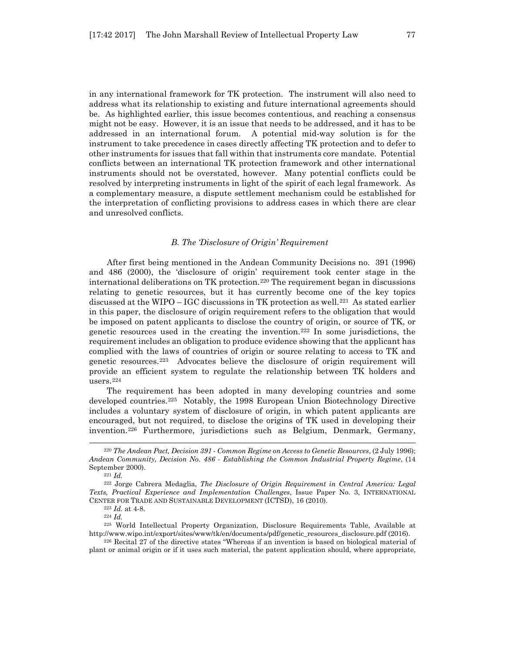in any international framework for TK protection. The instrument will also need to address what its relationship to existing and future international agreements should be. As highlighted earlier, this issue becomes contentious, and reaching a consensus might not be easy. However, it is an issue that needs to be addressed, and it has to be addressed in an international forum. A potential mid-way solution is for the instrument to take precedence in cases directly affecting TK protection and to defer to other instruments for issues that fall within that instruments core mandate. Potential conflicts between an international TK protection framework and other international instruments should not be overstated, however. Many potential conflicts could be resolved by interpreting instruments in light of the spirit of each legal framework. As a complementary measure, a dispute settlement mechanism could be established for the interpretation of conflicting provisions to address cases in which there are clear and unresolved conflicts.

#### *B. The 'Disclosure of Origin' Requirement*

After first being mentioned in the Andean Community Decisions no. 391 (1996) and 486 (2000), the 'disclosure of origin' requirement took center stage in the international deliberations on TK protection.[220](#page-36-0) The requirement began in discussions relating to genetic resources, but it has currently become one of the key topics discussed at the WIPO – IGC discussions in TK protection as well.<sup>[221](#page-36-1)</sup> As stated earlier in this paper, the disclosure of origin requirement refers to the obligation that would be imposed on patent applicants to disclose the country of origin, or source of TK, or genetic resources used in the creating the invention.[222](#page-36-2) In some jurisdictions, the requirement includes an obligation to produce evidence showing that the applicant has complied with the laws of countries of origin or source relating to access to TK and genetic resources.[223](#page-36-3) Advocates believe the disclosure of origin requirement will provide an efficient system to regulate the relationship between TK holders and users.[224](#page-36-4)

The requirement has been adopted in many developing countries and some developed countries.<sup>[225](#page-36-5)</sup> Notably, the 1998 European Union Biotechnology Directive includes a voluntary system of disclosure of origin, in which patent applicants are encouraged, but not required, to disclose the origins of TK used in developing their invention.[226](#page-36-6) Furthermore, jurisdictions such as Belgium, Denmark, Germany,

l

<sup>224</sup> *Id.*

<span id="page-36-0"></span><sup>220</sup> *The Andean Pact, Decision 391 - Common Regime on Access to Genetic Resources*, (2 July 1996); *Andean Community, Decision No. 486 - Establishing the Common Industrial Property Regime*, (14 September 2000).

<sup>221</sup> *Id.*

<span id="page-36-2"></span><span id="page-36-1"></span><sup>222</sup> Jorge Cabrera Medaglia, *The Disclosure of Origin Requirement in Central America: Legal Texts, Practical Experience and Implementation Challenges*, Issue Paper No. 3, INTERNATIONAL CENTER FOR TRADE AND SUSTAINABLE DEVELOPMENT (ICTSD), 16 (2010).

<sup>223</sup> *Id.* at 4-8.

<span id="page-36-5"></span><span id="page-36-4"></span><span id="page-36-3"></span><sup>225</sup> World Intellectual Property Organization, Disclosure Requirements Table, Available at http://www.wipo.int/export/sites/www/tk/en/documents/pdf/genetic\_resources\_disclosure.pdf (2016).

<span id="page-36-6"></span><sup>226</sup> Recital 27 of the directive states "Whereas if an invention is based on biological material of plant or animal origin or if it uses such material, the patent application should, where appropriate,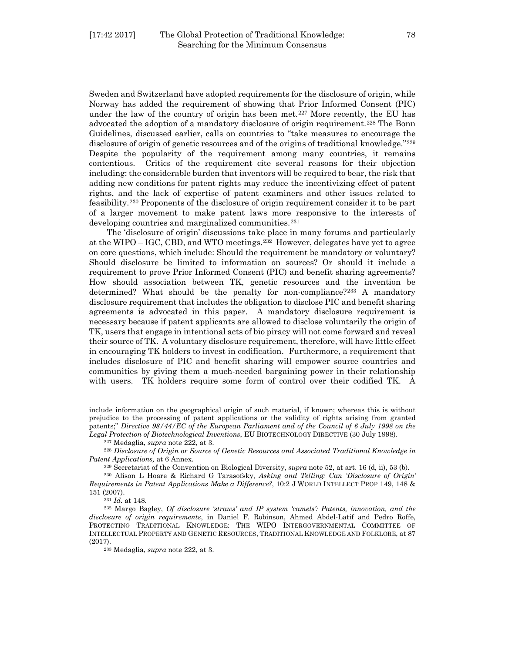Sweden and Switzerland have adopted requirements for the disclosure of origin, while Norway has added the requirement of showing that Prior Informed Consent (PIC) under the law of the country of origin has been met.<sup>[227](#page-37-0)</sup> More recently, the EU has advocated the adoption of a mandatory disclosure of origin requirement.[228](#page-37-1) The Bonn Guidelines, discussed earlier, calls on countries to "take measures to encourage the disclosure of origin of genetic resources and of the origins of traditional knowledge."[229](#page-37-2) Despite the popularity of the requirement among many countries, it remains contentious. Critics of the requirement cite several reasons for their objection including: the considerable burden that inventors will be required to bear, the risk that adding new conditions for patent rights may reduce the incentivizing effect of patent rights, and the lack of expertise of patent examiners and other issues related to feasibility.[230](#page-37-3) Proponents of the disclosure of origin requirement consider it to be part of a larger movement to make patent laws more responsive to the interests of developing countries and marginalized communities.<sup>[231](#page-37-4)</sup>

The 'disclosure of origin' discussions take place in many forums and particularly at the WIPO – IGC, CBD, and WTO meetings.[232](#page-37-5) However, delegates have yet to agree on core questions, which include: Should the requirement be mandatory or voluntary? Should disclosure be limited to information on sources? Or should it include a requirement to prove Prior Informed Consent (PIC) and benefit sharing agreements? How should association between TK, genetic resources and the invention be determined? What should be the penalty for non-compliance?<sup>[233](#page-37-6)</sup> A mandatory disclosure requirement that includes the obligation to disclose PIC and benefit sharing agreements is advocated in this paper. A mandatory disclosure requirement is necessary because if patent applicants are allowed to disclose voluntarily the origin of TK, users that engage in intentional acts of bio piracy will not come forward and reveal their source of TK. A voluntary disclosure requirement, therefore, will have little effect in encouraging TK holders to invest in codification. Furthermore, a requirement that includes disclosure of PIC and benefit sharing will empower source countries and communities by giving them a much-needed bargaining power in their relationship with users. TK holders require some form of control over their codified TK. A

include information on the geographical origin of such material, if known; whereas this is without prejudice to the processing of patent applications or the validity of rights arising from granted patents;" *Directive 98/44/EC of the European Parliament and of the Council of 6 July 1998 on the Legal Protection of Biotechnological Inventions*, EU BIOTECHNOLOGY DIRECTIVE (30 July 1998).

<sup>227</sup> Medaglia, *supra* note 222, at 3.

<span id="page-37-1"></span><span id="page-37-0"></span><sup>228</sup> *Disclosure of Origin or Source of Genetic Resources and Associated Traditional Knowledge in Patent Applications,* at 6 Annex.

<sup>229</sup> Secretariat of the Convention on Biological Diversity, *supra* note 52, at art. 16 (d, ii), 53 (b).

<span id="page-37-3"></span><span id="page-37-2"></span><sup>230</sup> Alison L Hoare & Richard G Tarasofsky, *Asking and Telling: Can 'Disclosure of Origin' Requirements in Patent Applications Make a Difference?*, 10:2 J WORLD INTELLECT PROP 149, 148 & 151 (2007).

<sup>231</sup> *Id.* at 148.

<span id="page-37-6"></span><span id="page-37-5"></span><span id="page-37-4"></span><sup>232</sup> Margo Bagley, *Of disclosure 'straws' and IP system 'camels': Patents, innovation, and the disclosure of origin requirements*, in Daniel F. Robinson, Ahmed Abdel-Latif and Pedro Roffe, PROTECTING TRADITIONAL KNOWLEDGE: THE WIPO INTERGOVERNMENTAL COMMITTEE OF INTELLECTUAL PROPERTY AND GENETIC RESOURCES, TRADITIONAL KNOWLEDGE AND FOLKLORE, at 87 (2017).

<sup>233</sup> Medaglia, *supra* note 222, at 3.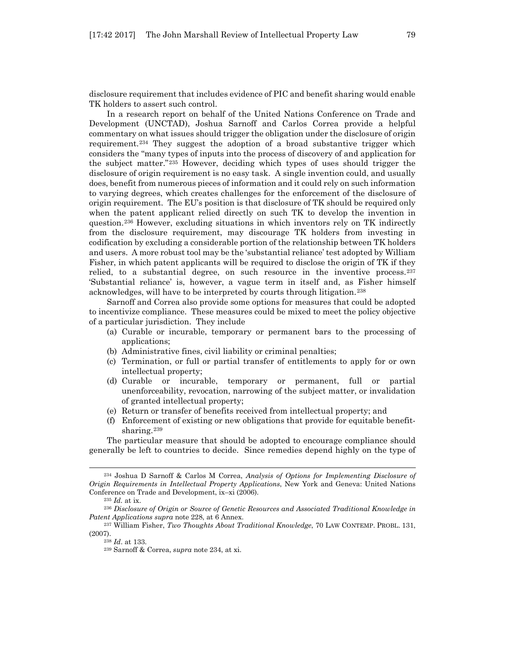disclosure requirement that includes evidence of PIC and benefit sharing would enable TK holders to assert such control.

In a research report on behalf of the United Nations Conference on Trade and Development (UNCTAD), Joshua Sarnoff and Carlos Correa provide a helpful commentary on what issues should trigger the obligation under the disclosure of origin requirement.[234](#page-38-0) They suggest the adoption of a broad substantive trigger which considers the "many types of inputs into the process of discovery of and application for the subject matter."[235](#page-38-1) However, deciding which types of uses should trigger the disclosure of origin requirement is no easy task. A single invention could, and usually does, benefit from numerous pieces of information and it could rely on such information to varying degrees, which creates challenges for the enforcement of the disclosure of origin requirement. The EU's position is that disclosure of TK should be required only when the patent applicant relied directly on such TK to develop the invention in question.[236](#page-38-2) However, excluding situations in which inventors rely on TK indirectly from the disclosure requirement, may discourage TK holders from investing in codification by excluding a considerable portion of the relationship between TK holders and users. A more robust tool may be the 'substantial reliance' test adopted by William Fisher, in which patent applicants will be required to disclose the origin of TK if they relied, to a substantial degree, on such resource in the inventive process.[237](#page-38-3) 'Substantial reliance' is, however, a vague term in itself and, as Fisher himself acknowledges, will have to be interpreted by courts through litigation.[238](#page-38-4) 

Sarnoff and Correa also provide some options for measures that could be adopted to incentivize compliance. These measures could be mixed to meet the policy objective of a particular jurisdiction. They include

- (a) Curable or incurable, temporary or permanent bars to the processing of applications;
- (b) Administrative fines, civil liability or criminal penalties;
- (c) Termination, or full or partial transfer of entitlements to apply for or own intellectual property;
- (d) Curable or incurable, temporary or permanent, full or partial unenforceability, revocation, narrowing of the subject matter, or invalidation of granted intellectual property;
- (e) Return or transfer of benefits received from intellectual property; and
- (f) Enforcement of existing or new obligations that provide for equitable benefit-sharing.<sup>[239](#page-38-5)</sup>

The particular measure that should be adopted to encourage compliance should generally be left to countries to decide. Since remedies depend highly on the type of

<span id="page-38-0"></span><sup>234</sup> Joshua D Sarnoff & Carlos M Correa, *Analysis of Options for Implementing Disclosure of Origin Requirements in Intellectual Property Applications*, New York and Geneva: United Nations Conference on Trade and Development, ix–xi (2006).

<sup>235</sup> *Id.* at ix.

<span id="page-38-2"></span><span id="page-38-1"></span><sup>236</sup> *Disclosure of Origin or Source of Genetic Resources and Associated Traditional Knowledge in Patent Applications supra* note 228, at 6 Annex.

<span id="page-38-5"></span><span id="page-38-4"></span><span id="page-38-3"></span><sup>237</sup> William Fisher, *Two Thoughts About Traditional Knowledge*, 70 LAW CONTEMP. PROBL. 131, (2007).

<sup>238</sup> *Id*. at 133.

<sup>239</sup> Sarnoff & Correa, *supra* note 234, at xi.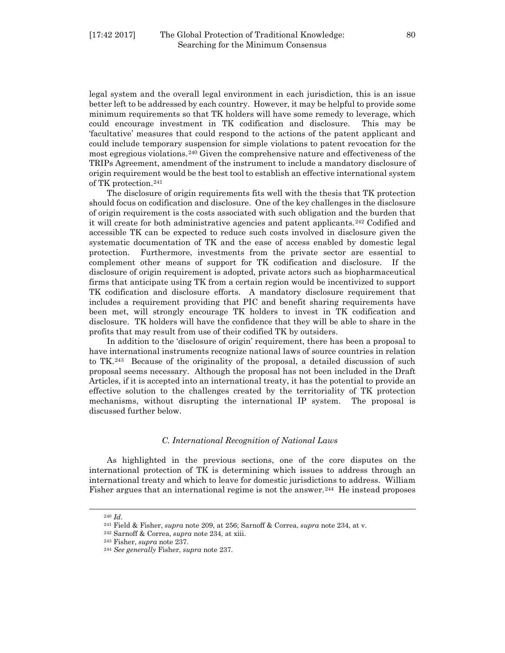legal system and the overall legal environment in each jurisdiction, this is an issue better left to be addressed by each country. However, it may be helpful to provide some minimum requirements so that TK holders will have some remedy to leverage, which could encourage investment in TK codification and disclosure. This may be 'facultative' measures that could respond to the actions of the patent applicant and could include temporary suspension for simple violations to patent revocation for the most egregious violations.[240](#page-39-0) Given the comprehensive nature and effectiveness of the TRIPs Agreement, amendment of the instrument to include a mandatory disclosure of origin requirement would be the best tool to establish an effective international system of TK protection.[241](#page-39-1)

The disclosure of origin requirements fits well with the thesis that TK protection should focus on codification and disclosure. One of the key challenges in the disclosure of origin requirement is the costs associated with such obligation and the burden that it will create for both administrative agencies and patent applicants.[242](#page-39-2) Codified and accessible TK can be expected to reduce such costs involved in disclosure given the systematic documentation of TK and the ease of access enabled by domestic legal protection. Furthermore, investments from the private sector are essential to complement other means of support for TK codification and disclosure. If the disclosure of origin requirement is adopted, private actors such as biopharmaceutical firms that anticipate using TK from a certain region would be incentivized to support TK codification and disclosure efforts. A mandatory disclosure requirement that includes a requirement providing that PIC and benefit sharing requirements have been met, will strongly encourage TK holders to invest in TK codification and disclosure. TK holders will have the confidence that they will be able to share in the profits that may result from use of their codified TK by outsiders.

In addition to the 'disclosure of origin' requirement, there has been a proposal to have international instruments recognize national laws of source countries in relation to TK.[243](#page-39-3) Because of the originality of the proposal, a detailed discussion of such proposal seems necessary. Although the proposal has not been included in the Draft Articles, if it is accepted into an international treaty, it has the potential to provide an effective solution to the challenges created by the territoriality of TK protection mechanisms, without disrupting the international IP system. The proposal is discussed further below.

#### *C. International Recognition of National Laws*

As highlighted in the previous sections, one of the core disputes on the international protection of TK is determining which issues to address through an international treaty and which to leave for domestic jurisdictions to address. William Fisher argues that an international regime is not the answer.<sup>[244](#page-39-4)</sup> He instead proposes

<sup>240</sup> *Id*.

<span id="page-39-1"></span><span id="page-39-0"></span><sup>241</sup> Field & Fisher, *supra* note 209, at 256; Sarnoff & Correa, *supra* note 234, at v.

<sup>242</sup> Sarnoff & Correa, *supra* note 234, at xiii.

<span id="page-39-3"></span><span id="page-39-2"></span><sup>243</sup> Fisher, *supra* note 237.

<span id="page-39-4"></span><sup>244</sup> *See generally* Fisher, *supra* note 237.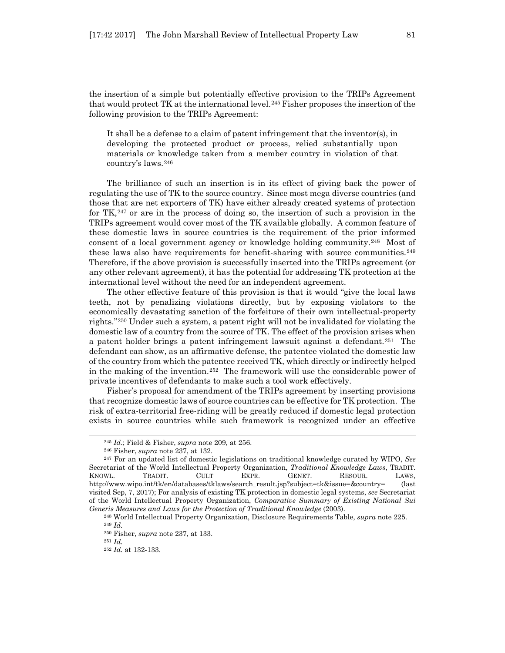the insertion of a simple but potentially effective provision to the TRIPs Agreement that would protect TK at the international level.<sup>[245](#page-40-0)</sup> Fisher proposes the insertion of the following provision to the TRIPs Agreement:

It shall be a defense to a claim of patent infringement that the inventor(s), in developing the protected product or process, relied substantially upon materials or knowledge taken from a member country in violation of that country's laws.[246](#page-40-1)

The brilliance of such an insertion is in its effect of giving back the power of regulating the use of TK to the source country. Since most mega diverse countries (and those that are net exporters of TK) have either already created systems of protection for  $TK<sub>1</sub><sup>247</sup>$  $TK<sub>1</sub><sup>247</sup>$  $TK<sub>1</sub><sup>247</sup>$  or are in the process of doing so, the insertion of such a provision in the TRIPs agreement would cover most of the TK available globally. A common feature of these domestic laws in source countries is the requirement of the prior informed consent of a local government agency or knowledge holding community.[248](#page-40-3) Most of these laws also have requirements for benefit-sharing with source communities.[249](#page-40-4) Therefore, if the above provision is successfully inserted into the TRIPs agreement (or any other relevant agreement), it has the potential for addressing TK protection at the international level without the need for an independent agreement.

The other effective feature of this provision is that it would "give the local laws teeth, not by penalizing violations directly, but by exposing violators to the economically devastating sanction of the forfeiture of their own intellectual-property rights."[250](#page-40-5) Under such a system, a patent right will not be invalidated for violating the domestic law of a country from the source of TK. The effect of the provision arises when a patent holder brings a patent infringement lawsuit against a defendant.<sup>[251](#page-40-6)</sup> The defendant can show, as an affirmative defense, the patentee violated the domestic law of the country from which the patentee received TK, which directly or indirectly helped in the making of the invention.[252](#page-40-7) The framework will use the considerable power of private incentives of defendants to make such a tool work effectively.

Fisher's proposal for amendment of the TRIPs agreement by inserting provisions that recognize domestic laws of source countries can be effective for TK protection. The risk of extra-territorial free-riding will be greatly reduced if domestic legal protection exists in source countries while such framework is recognized under an effective

<sup>245</sup> *Id*.; Field & Fisher, *supra* note 209, at 256.

<sup>246</sup> Fisher, *supra* note 237, at 132.

<span id="page-40-2"></span><span id="page-40-1"></span><span id="page-40-0"></span><sup>247</sup> For an updated list of domestic legislations on traditional knowledge curated by WIPO, *See* Secretariat of the World Intellectual Property Organization, *Traditional Knowledge Laws*, TRADIT. KNOWL. TRADIT. CULT EXPR. GENET. RESOUR. LAWS, http://www.wipo.int/tk/en/databases/tklaws/search\_result.jsp?subject=tk&issue=&country= (last visited Sep, 7, 2017); For analysis of existing TK protection in domestic legal systems, *see* Secretariat of the World Intellectual Property Organization, *Comparative Summary of Existing National Sui Generis Measures and Laws for the Protection of Traditional Knowledge* (2003).

<span id="page-40-5"></span><span id="page-40-4"></span><span id="page-40-3"></span><sup>248</sup> World Intellectual Property Organization, Disclosure Requirements Table, *supra* note 225. <sup>249</sup> *Id.*

<sup>250</sup> Fisher, *supra* note 237, at 133.

<span id="page-40-7"></span><span id="page-40-6"></span><sup>251</sup> *Id.* <sup>252</sup> *Id.* at 132-133.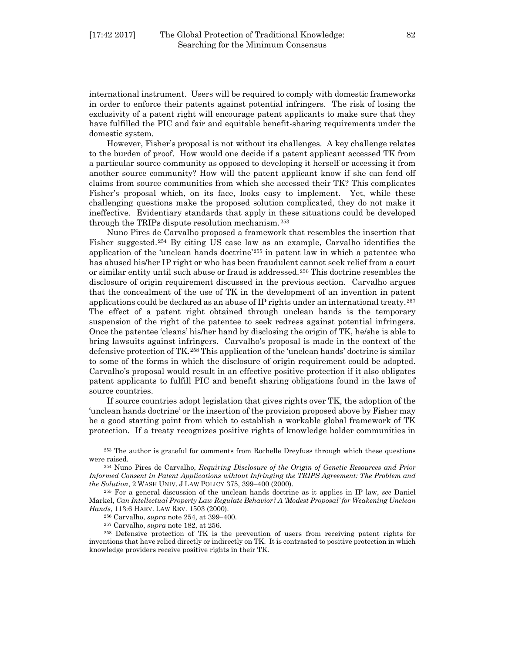international instrument. Users will be required to comply with domestic frameworks in order to enforce their patents against potential infringers. The risk of losing the exclusivity of a patent right will encourage patent applicants to make sure that they have fulfilled the PIC and fair and equitable benefit-sharing requirements under the domestic system.

However, Fisher's proposal is not without its challenges. A key challenge relates to the burden of proof. How would one decide if a patent applicant accessed TK from a particular source community as opposed to developing it herself or accessing it from another source community? How will the patent applicant know if she can fend off claims from source communities from which she accessed their TK? This complicates Fisher's proposal which, on its face, looks easy to implement. Yet, while these challenging questions make the proposed solution complicated, they do not make it ineffective. Evidentiary standards that apply in these situations could be developed through the TRIPs dispute resolution mechanism.[253](#page-41-0)

Nuno Pires de Carvalho proposed a framework that resembles the insertion that Fisher suggested.[254](#page-41-1) By citing US case law as an example, Carvalho identifies the application of the 'unclean hands doctrine'[255](#page-41-2) in patent law in which a patentee who has abused his/her IP right or who has been fraudulent cannot seek relief from a court or similar entity until such abuse or fraud is addressed.[256](#page-41-3) This doctrine resembles the disclosure of origin requirement discussed in the previous section. Carvalho argues that the concealment of the use of TK in the development of an invention in patent applications could be declared as an abuse of IP rights under an international treaty.[257](#page-41-4) The effect of a patent right obtained through unclean hands is the temporary suspension of the right of the patentee to seek redress against potential infringers. Once the patentee 'cleans' his/her hand by disclosing the origin of TK, he/she is able to bring lawsuits against infringers. Carvalho's proposal is made in the context of the defensive protection of TK.[258](#page-41-5) This application of the 'unclean hands' doctrine is similar to some of the forms in which the disclosure of origin requirement could be adopted. Carvalho's proposal would result in an effective positive protection if it also obligates patent applicants to fulfill PIC and benefit sharing obligations found in the laws of source countries.

If source countries adopt legislation that gives rights over TK, the adoption of the 'unclean hands doctrine' or the insertion of the provision proposed above by Fisher may be a good starting point from which to establish a workable global framework of TK protection. If a treaty recognizes positive rights of knowledge holder communities in

<span id="page-41-0"></span><sup>253</sup> The author is grateful for comments from Rochelle Dreyfuss through which these questions were raised.<br><sup>254</sup> Nuno Pires de Carvalho, *Requiring Disclosure of the Origin of Genetic Resources and Prior* 

<span id="page-41-1"></span>*Informed Consent in Patent Applications wihtout Infringing the TRIPS Agreement: The Problem and the Solution*, 2 WASH UNIV. J LAW POLICY 375, 399–400 (2000).

<span id="page-41-2"></span><sup>255</sup> For a general discussion of the unclean hands doctrine as it applies in IP law, *see* Daniel Markel, *Can Intellectual Property Law Regulate Behavior? A 'Modest Proposal' for Weakening Unclean Hands*, 113:6 HARV. LAW REV. 1503 (2000).

<sup>256</sup> Carvalho, *supra* note 254, at 399–400.

<sup>257</sup> Carvalho, *supra* note 182, at 256.

<span id="page-41-5"></span><span id="page-41-4"></span><span id="page-41-3"></span><sup>258</sup> Defensive protection of TK is the prevention of users from receiving patent rights for inventions that have relied directly or indirectly on TK. It is contrasted to positive protection in which knowledge providers receive positive rights in their TK.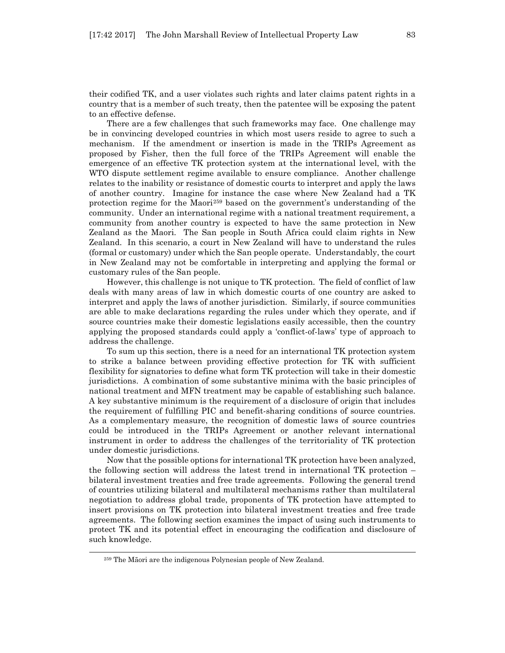their codified TK, and a user violates such rights and later claims patent rights in a country that is a member of such treaty, then the patentee will be exposing the patent to an effective defense.

There are a few challenges that such frameworks may face. One challenge may be in convincing developed countries in which most users reside to agree to such a mechanism. If the amendment or insertion is made in the TRIPs Agreement as proposed by Fisher, then the full force of the TRIPs Agreement will enable the emergence of an effective TK protection system at the international level, with the WTO dispute settlement regime available to ensure compliance. Another challenge relates to the inability or resistance of domestic courts to interpret and apply the laws of another country. Imagine for instance the case where New Zealand had a TK protection regime for the Maori[259](#page-42-0) based on the government's understanding of the community. Under an international regime with a national treatment requirement, a community from another country is expected to have the same protection in New Zealand as the Maori. The San people in South Africa could claim rights in New Zealand. In this scenario, a court in New Zealand will have to understand the rules (formal or customary) under which the San people operate. Understandably, the court in New Zealand may not be comfortable in interpreting and applying the formal or customary rules of the San people.

However, this challenge is not unique to TK protection. The field of conflict of law deals with many areas of law in which domestic courts of one country are asked to interpret and apply the laws of another jurisdiction. Similarly, if source communities are able to make declarations regarding the rules under which they operate, and if source countries make their domestic legislations easily accessible, then the country applying the proposed standards could apply a 'conflict-of-laws' type of approach to address the challenge.

To sum up this section, there is a need for an international TK protection system to strike a balance between providing effective protection for TK with sufficient flexibility for signatories to define what form TK protection will take in their domestic jurisdictions. A combination of some substantive minima with the basic principles of national treatment and MFN treatment may be capable of establishing such balance. A key substantive minimum is the requirement of a disclosure of origin that includes the requirement of fulfilling PIC and benefit-sharing conditions of source countries. As a complementary measure, the recognition of domestic laws of source countries could be introduced in the TRIPs Agreement or another relevant international instrument in order to address the challenges of the territoriality of TK protection under domestic jurisdictions.

Now that the possible options for international TK protection have been analyzed, the following section will address the latest trend in international TK protection – bilateral investment treaties and free trade agreements. Following the general trend of countries utilizing bilateral and multilateral mechanisms rather than multilateral negotiation to address global trade, proponents of TK protection have attempted to insert provisions on TK protection into bilateral investment treaties and free trade agreements. The following section examines the impact of using such instruments to protect TK and its potential effect in encouraging the codification and disclosure of such knowledge.

<span id="page-42-0"></span><sup>259</sup> The Māori are the indigenous Polynesian people of New Zealand.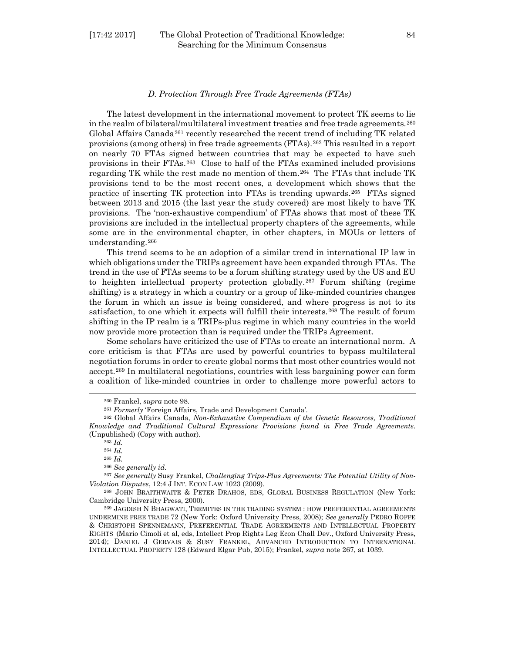#### [17:42 2017] The Global Protection of Traditional Knowledge: 84 Searching for the Minimum Consensus

#### *D. Protection Through Free Trade Agreements (FTAs)*

The latest development in the international movement to protect TK seems to lie in the realm of bilateral/multilateral investment treaties and free trade agreements.[260](#page-43-0) Global Affairs Canada<sup>[261](#page-43-1)</sup> recently researched the recent trend of including TK related provisions (among others) in free trade agreements (FTAs).[262](#page-43-2) This resulted in a report on nearly 70 FTAs signed between countries that may be expected to have such provisions in their FTAs.[263](#page-43-3) Close to half of the FTAs examined included provisions regarding TK while the rest made no mention of them.[264](#page-43-4) The FTAs that include TK provisions tend to be the most recent ones, a development which shows that the practice of inserting TK protection into FTAs is trending upwards.[265](#page-43-5) FTAs signed between 2013 and 2015 (the last year the study covered) are most likely to have TK provisions. The 'non-exhaustive compendium' of FTAs shows that most of these TK provisions are included in the intellectual property chapters of the agreements, while some are in the environmental chapter, in other chapters, in MOUs or letters of understanding.[266](#page-43-6)

This trend seems to be an adoption of a similar trend in international IP law in which obligations under the TRIPs agreement have been expanded through FTAs. The trend in the use of FTAs seems to be a forum shifting strategy used by the US and EU to heighten intellectual property protection globally.[267](#page-43-7) Forum shifting (regime shifting) is a strategy in which a country or a group of like-minded countries changes the forum in which an issue is being considered, and where progress is not to its satisfaction, to one which it expects will fulfill their interests.[268](#page-43-8) The result of forum shifting in the IP realm is a TRIPs-plus regime in which many countries in the world now provide more protection than is required under the TRIPs Agreement.

Some scholars have criticized the use of FTAs to create an international norm. A core criticism is that FTAs are used by powerful countries to bypass multilateral negotiation forums in order to create global norms that most other countries would not accept.[269](#page-43-9) In multilateral negotiations, countries with less bargaining power can form a coalition of like-minded countries in order to challenge more powerful actors to

<sup>260</sup> Frankel, *supra* note 98.

<sup>261</sup> *Formerly* 'Foreign Affairs, Trade and Development Canada'.

<span id="page-43-3"></span><span id="page-43-2"></span><span id="page-43-1"></span><span id="page-43-0"></span><sup>262</sup> Global Affairs Canada, *Non-Exhaustive Compendium of the Genetic Resources, Traditional Knowledge and Traditional Cultural Expressions Provisions found in Free Trade Agreements.* (Unpublished) (Copy with author).

<sup>263</sup> *Id.*

<sup>264</sup> *Id.*

<sup>265</sup> *Id.*

<sup>266</sup> *See generally id.*

<span id="page-43-7"></span><span id="page-43-6"></span><span id="page-43-5"></span><span id="page-43-4"></span><sup>267</sup> *See generally* Susy Frankel, *Challenging Trips-Plus Agreements: The Potential Utility of Non-Violation Disputes*, 12:4 J INT. ECON LAW 1023 (2009).

<span id="page-43-8"></span><sup>268</sup> JOHN BRAITHWAITE & PETER DRAHOS, EDS, GLOBAL BUSINESS REGULATION (New York: Cambridge University Press, 2000).

<span id="page-43-9"></span><sup>269</sup> JAGDISH N BHAGWATI, TERMITES IN THE TRADING SYSTEM : HOW PREFERENTIAL AGREEMENTS UNDERMINE FREE TRADE 72 (New York: Oxford University Press, 2008); *See generally* PEDRO ROFFE & CHRISTOPH SPENNEMANN, PREFERENTIAL TRADE AGREEMENTS AND INTELLECTUAL PROPERTY RIGHTS (Mario Cimoli et al, eds, Intellect Prop Rights Leg Econ Chall Dev., Oxford University Press, 2014); DANIEL J GERVAIS & SUSY FRANKEL, ADVANCED INTRODUCTION TO INTERNATIONAL INTELLECTUAL PROPERTY 128 (Edward Elgar Pub, 2015); Frankel, *supra* note 267, at 1039.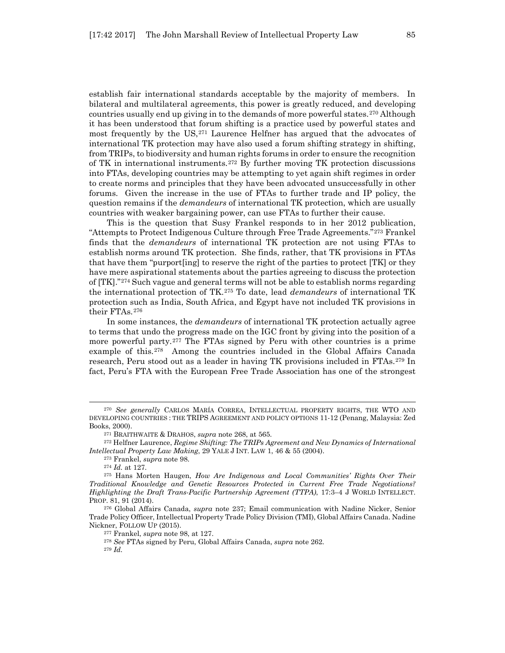establish fair international standards acceptable by the majority of members. In bilateral and multilateral agreements, this power is greatly reduced, and developing countries usually end up giving in to the demands of more powerful states.[270](#page-44-0) Although it has been understood that forum shifting is a practice used by powerful states and most frequently by the  $US<sub>1</sub><sup>271</sup>$  $US<sub>1</sub><sup>271</sup>$  $US<sub>1</sub><sup>271</sup>$  Laurence Helfner has argued that the advocates of international TK protection may have also used a forum shifting strategy in shifting, from TRIPs, to biodiversity and human rights forums in order to ensure the recognition of TK in international instruments.[272](#page-44-2) By further moving TK protection discussions into FTAs, developing countries may be attempting to yet again shift regimes in order to create norms and principles that they have been advocated unsuccessfully in other forums. Given the increase in the use of FTAs to further trade and IP policy, the question remains if the *demandeurs* of international TK protection, which are usually countries with weaker bargaining power, can use FTAs to further their cause.

This is the question that Susy Frankel responds to in her 2012 publication, "Attempts to Protect Indigenous Culture through Free Trade Agreements."[273](#page-44-3) Frankel finds that the *demandeurs* of international TK protection are not using FTAs to establish norms around TK protection. She finds, rather, that TK provisions in FTAs that have them "purport[ing] to reserve the right of the parties to protect [TK] or they have mere aspirational statements about the parties agreeing to discuss the protection of [TK]."[274](#page-44-4) Such vague and general terms will not be able to establish norms regarding the international protection of TK.[275](#page-44-5) To date, lead *demandeurs* of international TK protection such as India, South Africa, and Egypt have not included TK provisions in their FTAs.[276](#page-44-6)

In some instances, the *demandeurs* of international TK protection actually agree to terms that undo the progress made on the IGC front by giving into the position of a more powerful party.[277](#page-44-7) The FTAs signed by Peru with other countries is a prime example of this.[278](#page-44-8) Among the countries included in the Global Affairs Canada research, Peru stood out as a leader in having TK provisions included in FTAs.[279](#page-44-9) In fact, Peru's FTA with the European Free Trade Association has one of the strongest

<sup>273</sup> Frankel, *supra* note 98.

<span id="page-44-0"></span><sup>270</sup> *See generally* CARLOS MARÍA CORREA, INTELLECTUAL PROPERTY RIGHTS, THE WTO AND DEVELOPING COUNTRIES : THE TRIPS AGREEMENT AND POLICY OPTIONS 11-12 (Penang, Malaysia: Zed Books, 2000).

<sup>271</sup> BRAITHWAITE & DRAHOS, *supra* note 268, at 565.

<span id="page-44-3"></span><span id="page-44-2"></span><span id="page-44-1"></span><sup>272</sup> Helfner Laurence, *Regime Shifting: The TRIPs Agreement and New Dynamics of International Intellectual Property Law Making*, 29 YALE J INT. LAW 1, 46 & 55 (2004).

<sup>274</sup> *Id.* at 127.

<span id="page-44-5"></span><span id="page-44-4"></span><sup>275</sup> Hans Morten Haugen, *How Are Indigenous and Local Communities' Rights Over Their Traditional Knowledge and Genetic Resources Protected in Current Free Trade Negotiations? Highlighting the Draft Trans-Pacific Partnership Agreement (TTPA)*, 17:3–4 J WORLD INTELLECT. PROP. 81, 91 (2014).

<span id="page-44-9"></span><span id="page-44-8"></span><span id="page-44-7"></span><span id="page-44-6"></span><sup>276</sup> Global Affairs Canada, *supra* note 237; Email communication with Nadine Nicker, Senior Trade Policy Officer, Intellectual Property Trade Policy Division (TMI), Global Affairs Canada. Nadine Nickner, FOLLOW UP (2015).

<sup>277</sup> Frankel, *supra* note 98, at 127.

<sup>278</sup> *See* FTAs signed by Peru, Global Affairs Canada, *supra* note 262.

<sup>279</sup> *Id.*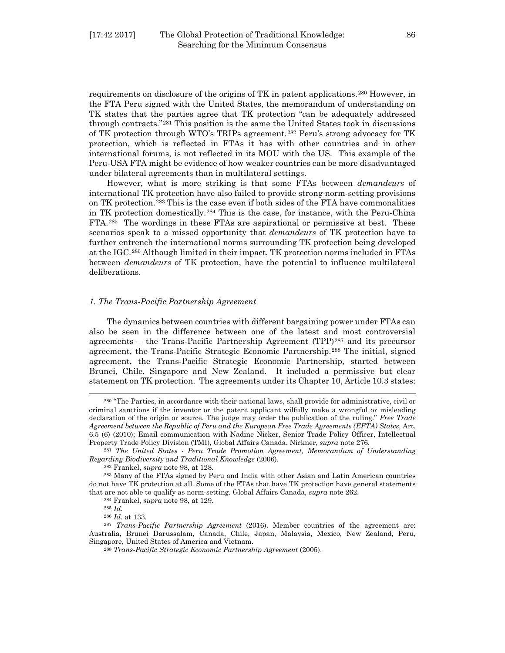requirements on disclosure of the origins of TK in patent applications.[280](#page-45-0) However, in the FTA Peru signed with the United States, the memorandum of understanding on TK states that the parties agree that TK protection "can be adequately addressed through contracts."[281](#page-45-1) This position is the same the United States took in discussions of TK protection through WTO's TRIPs agreement.[282](#page-45-2) Peru's strong advocacy for TK protection, which is reflected in FTAs it has with other countries and in other international forums, is not reflected in its MOU with the US. This example of the Peru-USA FTA might be evidence of how weaker countries can be more disadvantaged under bilateral agreements than in multilateral settings.

However, what is more striking is that some FTAs between *demandeurs* of international TK protection have also failed to provide strong norm-setting provisions on TK protection.[283](#page-45-3) This is the case even if both sides of the FTA have commonalities in TK protection domestically.[284](#page-45-4) This is the case, for instance, with the Peru-China FTA.[285](#page-45-5) The wordings in these FTAs are aspirational or permissive at best. These scenarios speak to a missed opportunity that *demandeurs* of TK protection have to further entrench the international norms surrounding TK protection being developed at the IGC.[286](#page-45-6) Although limited in their impact, TK protection norms included in FTAs between *demandeurs* of TK protection, have the potential to influence multilateral deliberations.

#### *1. The Trans-Pacific Partnership Agreement*

The dynamics between countries with different bargaining power under FTAs can also be seen in the difference between one of the latest and most controversial agreements – the Trans-Pacific Partnership Agreement (TPP)[287](#page-45-7) and its precursor agreement, the Trans-Pacific Strategic Economic Partnership.[288](#page-45-8) The initial, signed agreement, the Trans-Pacific Strategic Economic Partnership, started between Brunei, Chile, Singapore and New Zealand. It included a permissive but clear statement on TK protection. The agreements under its Chapter 10, Article 10.3 states:

<span id="page-45-0"></span><sup>280</sup> "The Parties, in accordance with their national laws, shall provide for administrative, civil or criminal sanctions if the inventor or the patent applicant wilfully make a wrongful or misleading declaration of the origin or source. The judge may order the publication of the ruling." *Free Trade*  Agreement between the Republic of Peru and the European Free Trade Agreements (EFTA) States, Art. 6.5 (6) (2010); Email communication with Nadine Nicker, Senior Trade Policy Officer, Intellectual Property Trade Policy Division (TMI), Global Affairs Canada. Nickner, *supra* note 276.

<span id="page-45-1"></span><sup>281</sup> *The United States - Peru Trade Promotion Agreement, Memorandum of Understanding Regarding Biodiversity and Traditional Knowledge* (2006).

<sup>282</sup> Frankel, *supra* note 98, at 128.

<span id="page-45-3"></span><span id="page-45-2"></span><sup>283</sup> Many of the FTAs signed by Peru and India with other Asian and Latin American countries do not have TK protection at all. Some of the FTAs that have TK protection have general statements that are not able to qualify as norm-setting. Global Affairs Canada, *supra* note 262.

<sup>284</sup> Frankel, *supra* note 98, at 129.

<sup>285</sup> *Id.*

<sup>286</sup> *Id.* at 133.

<span id="page-45-8"></span><span id="page-45-7"></span><span id="page-45-6"></span><span id="page-45-5"></span><span id="page-45-4"></span><sup>287</sup> *Trans-Pacific Partnership Agreement* (2016). Member countries of the agreement are: Australia, Brunei Darussalam, Canada, Chile, Japan, Malaysia, Mexico, New Zealand, Peru, Singapore, United States of America and Vietnam. 288 *Trans-Pacific Strategic Economic Partnership Agreement* (2005).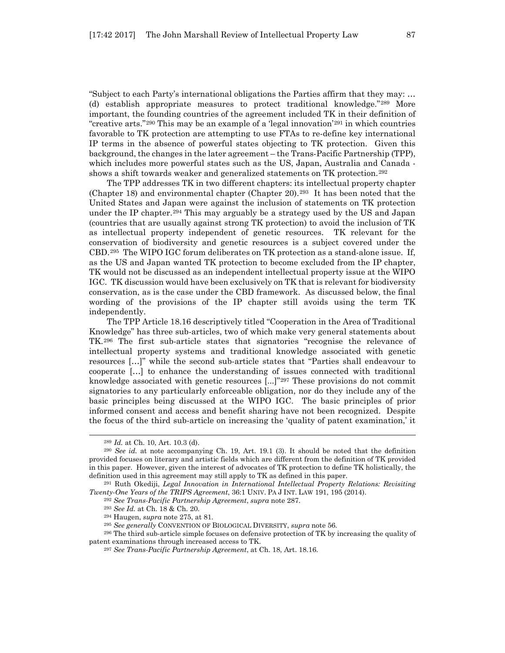"Subject to each Party's international obligations the Parties affirm that they may: … (d) establish appropriate measures to protect traditional knowledge."[289](#page-46-0) More important, the founding countries of the agreement included TK in their definition of "creative arts."<sup>[290](#page-46-1)</sup> This may be an example of a 'legal innovation'<sup>[291](#page-46-2)</sup> in which countries favorable to TK protection are attempting to use FTAs to re-define key international IP terms in the absence of powerful states objecting to TK protection. Given this background, the changes in the later agreement – the Trans-Pacific Partnership (TPP), which includes more powerful states such as the US, Japan, Australia and Canada - shows a shift towards weaker and generalized statements on TK protection.<sup>[292](#page-46-3)</sup>

The TPP addresses TK in two different chapters: its intellectual property chapter (Chapter 18) and environmental chapter (Chapter 20).<sup>[293](#page-46-4)</sup> It has been noted that the United States and Japan were against the inclusion of statements on TK protection under the IP chapter.<sup>[294](#page-46-5)</sup> This may arguably be a strategy used by the US and Japan (countries that are usually against strong TK protection) to avoid the inclusion of TK as intellectual property independent of genetic resources. TK relevant for the conservation of biodiversity and genetic resources is a subject covered under the CBD.[295](#page-46-6) The WIPO IGC forum deliberates on TK protection as a stand-alone issue. If, as the US and Japan wanted TK protection to become excluded from the IP chapter, TK would not be discussed as an independent intellectual property issue at the WIPO IGC. TK discussion would have been exclusively on TK that is relevant for biodiversity conservation, as is the case under the CBD framework. As discussed below, the final wording of the provisions of the IP chapter still avoids using the term TK independently.

The TPP Article 18.16 descriptively titled "Cooperation in the Area of Traditional Knowledge" has three sub-articles, two of which make very general statements about TK.[296](#page-46-7) The first sub-article states that signatories "recognise the relevance of intellectual property systems and traditional knowledge associated with genetic resources […]" while the second sub-article states that "Parties shall endeavour to cooperate […] to enhance the understanding of issues connected with traditional knowledge associated with genetic resources [...]"[297](#page-46-8) These provisions do not commit signatories to any particularly enforceable obligation, nor do they include any of the basic principles being discussed at the WIPO IGC. The basic principles of prior informed consent and access and benefit sharing have not been recognized. Despite the focus of the third sub-article on increasing the 'quality of patent examination,' it

l

<sup>292</sup> *See Trans-Pacific Partnership Agreement*, *supra* note 287.

<span id="page-46-8"></span><span id="page-46-7"></span><span id="page-46-6"></span><span id="page-46-5"></span><sup>296</sup> The third sub-article simple focuses on defensive protection of TK by increasing the quality of patent examinations through increased access to TK. 297 *See Trans-Pacific Partnership Agreement*, at Ch. 18, Art. 18.16.

<sup>289</sup> *Id.* at Ch. 10, Art. 10.3 (d).

<span id="page-46-1"></span><span id="page-46-0"></span><sup>290</sup> *See id.* at note accompanying Ch. 19, Art. 19.1 (3). It should be noted that the definition provided focuses on literary and artistic fields which are different from the definition of TK provided in this paper. However, given the interest of advocates of TK protection to define TK holistically, the definition used in this agreement may still apply to TK as defined in this paper.<br><sup>291</sup> Ruth Okediji, *Legal Innovation in International Intellectual Property Relations: Revisiting* 

<span id="page-46-4"></span><span id="page-46-3"></span><span id="page-46-2"></span>*Twenty-One Years of the TRIPS Agreement*, 36:1 UNIV. PA J INT. LAW 191, 195 (2014).

<sup>293</sup> *See Id.* at Ch. 18 & Ch. 20.

<sup>294</sup> Haugen, *supra* note 275, at 81.

<sup>295</sup> *See generally* CONVENTION OF BIOLOGICAL DIVERSITY, *supra* note 56.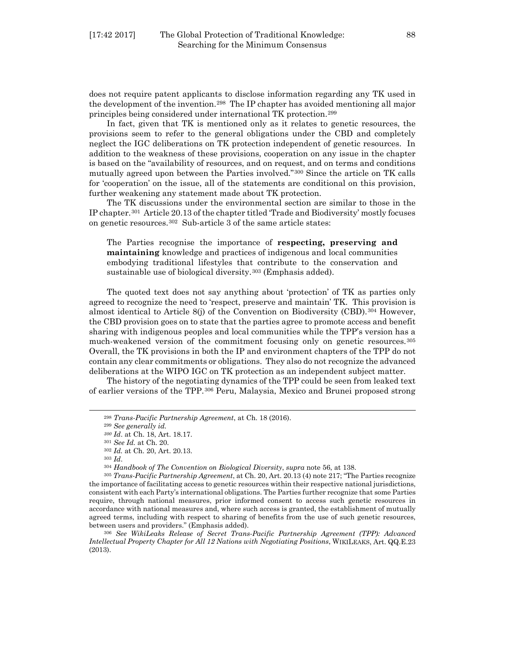does not require patent applicants to disclose information regarding any TK used in the development of the invention.[298](#page-47-0) The IP chapter has avoided mentioning all major principles being considered under international TK protection.[299](#page-47-1)

In fact, given that TK is mentioned only as it relates to genetic resources, the provisions seem to refer to the general obligations under the CBD and completely neglect the IGC deliberations on TK protection independent of genetic resources. In addition to the weakness of these provisions, cooperation on any issue in the chapter is based on the "availability of resources, and on request, and on terms and conditions mutually agreed upon between the Parties involved."[300](#page-47-2) Since the article on TK calls for 'cooperation' on the issue, all of the statements are conditional on this provision, further weakening any statement made about TK protection.

The TK discussions under the environmental section are similar to those in the IP chapter.[301](#page-47-3) Article 20.13 of the chapter titled 'Trade and Biodiversity' mostly focuses on genetic resources.[302](#page-47-4) Sub-article 3 of the same article states:

The Parties recognise the importance of **respecting, preserving and maintaining** knowledge and practices of indigenous and local communities embodying traditional lifestyles that contribute to the conservation and sustainable use of biological diversity.[303](#page-47-5) (Emphasis added).

The quoted text does not say anything about 'protection' of TK as parties only agreed to recognize the need to 'respect, preserve and maintain' TK. This provision is almost identical to Article 8(j) of the Convention on Biodiversity (CBD).[304](#page-47-6) However, the CBD provision goes on to state that the parties agree to promote access and benefit sharing with indigenous peoples and local communities while the TPP's version has a much-weakened version of the commitment focusing only on genetic resources.[305](#page-47-7) Overall, the TK provisions in both the IP and environment chapters of the TPP do not contain any clear commitments or obligations. They also do not recognize the advanced deliberations at the WIPO IGC on TK protection as an independent subject matter.

The history of the negotiating dynamics of the TPP could be seen from leaked text of earlier versions of the TPP.[306](#page-47-8) Peru, Malaysia, Mexico and Brunei proposed strong

<span id="page-47-2"></span><span id="page-47-1"></span><span id="page-47-0"></span>l

<span id="page-47-8"></span><sup>306</sup> *See WikiLeaks Release of Secret Trans-Pacific Partnership Agreement (TPP): Advanced Intellectual Property Chapter for All 12 Nations with Negotiating Positions*, WIKILEAKS, Art. QQ.E.23 (2013).

<sup>298</sup> *Trans-Pacific Partnership Agreement*, at Ch. 18 (2016).

<sup>299</sup> *See generally id.*

*<sup>300</sup> Id*. at Ch. 18, Art. 18.17.

<sup>301</sup> *See Id.* at Ch. 20.

<sup>302</sup> *Id.* at Ch. 20, Art. 20.13.

<sup>303</sup> *Id*.

<sup>304</sup> *Handbook of The Convention on Biological Diversity*, *supra* note 56, at 138.

<span id="page-47-7"></span><span id="page-47-6"></span><span id="page-47-5"></span><span id="page-47-4"></span><span id="page-47-3"></span><sup>305</sup> *Trans-Pacific Partnership Agreement*, at Ch. 20, Art. 20.13 (4) note 217; "The Parties recognize the importance of facilitating access to genetic resources within their respective national jurisdictions, consistent with each Party's international obligations. The Parties further recognize that some Parties require, through national measures, prior informed consent to access such genetic resources in accordance with national measures and, where such access is granted, the establishment of mutually agreed terms, including with respect to sharing of benefits from the use of such genetic resources, between users and providers." (Emphasis added).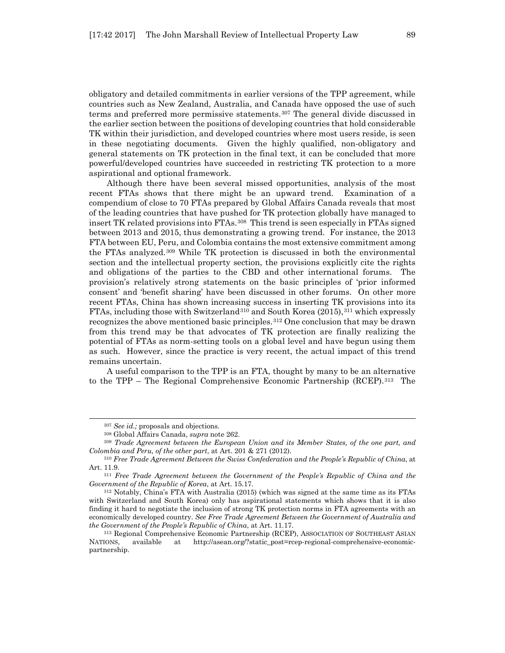obligatory and detailed commitments in earlier versions of the TPP agreement, while countries such as New Zealand, Australia, and Canada have opposed the use of such terms and preferred more permissive statements.[307](#page-48-0) The general divide discussed in the earlier section between the positions of developing countries that hold considerable TK within their jurisdiction, and developed countries where most users reside, is seen in these negotiating documents. Given the highly qualified, non-obligatory and general statements on TK protection in the final text, it can be concluded that more powerful/developed countries have succeeded in restricting TK protection to a more aspirational and optional framework.

Although there have been several missed opportunities, analysis of the most recent FTAs shows that there might be an upward trend. Examination of a compendium of close to 70 FTAs prepared by Global Affairs Canada reveals that most of the leading countries that have pushed for TK protection globally have managed to insert TK related provisions into FTAs.[308](#page-48-1) This trend is seen especially in FTAs signed between 2013 and 2015, thus demonstrating a growing trend. For instance, the 2013 FTA between EU, Peru, and Colombia contains the most extensive commitment among the FTAs analyzed.[309](#page-48-2) While TK protection is discussed in both the environmental section and the intellectual property section, the provisions explicitly cite the rights and obligations of the parties to the CBD and other international forums. The provision's relatively strong statements on the basic principles of 'prior informed consent' and 'benefit sharing' have been discussed in other forums. On other more recent FTAs, China has shown increasing success in inserting TK provisions into its FTAs, including those with Switzerland[310](#page-48-3) and South Korea (2015),[311](#page-48-4) which expressly recognizes the above mentioned basic principles.[312](#page-48-5) One conclusion that may be drawn from this trend may be that advocates of TK protection are finally realizing the potential of FTAs as norm-setting tools on a global level and have begun using them as such. However, since the practice is very recent, the actual impact of this trend remains uncertain.

A useful comparison to the TPP is an FTA, thought by many to be an alternative to the TPP – The Regional Comprehensive Economic Partnership (RCEP).[313](#page-48-6) The

<sup>307</sup> *See id.;* proposals and objections.

<sup>308</sup> Global Affairs Canada, *supra* note 262.

<span id="page-48-2"></span><span id="page-48-1"></span><span id="page-48-0"></span><sup>309</sup> *Trade Agreement between the European Union and its Member States, of the one part, and Colombia and Peru, of the other part*, at Art. 201 & 271 (2012).

<span id="page-48-3"></span><sup>310</sup> *Free Trade Agreement Between the Swiss Confederation and the People's Republic of China*, at Art. 11.9.

<span id="page-48-4"></span><sup>311</sup> *Free Trade Agreement between the Government of the People's Republic of China and the Government of the Republic of Korea*, at Art. 15.17.

<span id="page-48-5"></span><sup>312</sup> Notably, China's FTA with Australia (2015) (which was signed at the same time as its FTAs with Switzerland and South Korea) only has aspirational statements which shows that it is also finding it hard to negotiate the inclusion of strong TK protection norms in FTA agreements with an economically developed country. *See Free Trade Agreement Between the Government of Australia and the Government of the People's Republic of China*, at Art. 11.17.

<span id="page-48-6"></span><sup>313</sup> Regional Comprehensive Economic Partnership (RCEP), ASSOCIATION OF SOUTHEAST ASIAN NATIONS, available at http://asean.org/?static\_post=rcep-regional-comprehensive-economicpartnership.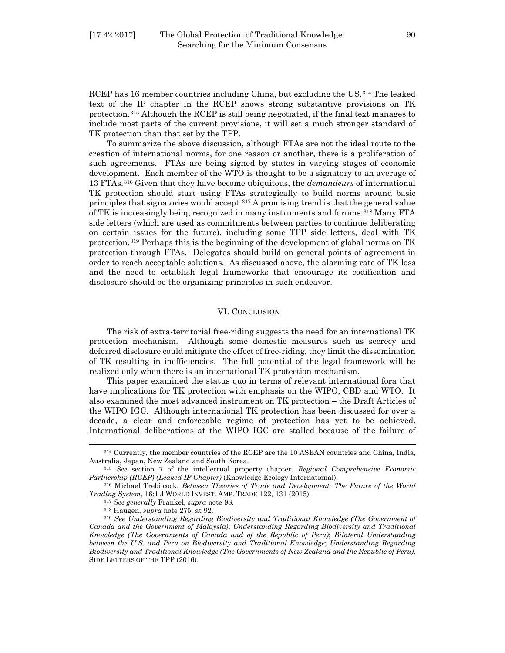RCEP has 16 member countries including China, but excluding the US.[314](#page-49-0) The leaked text of the IP chapter in the RCEP shows strong substantive provisions on TK protection.[315](#page-49-1) Although the RCEP is still being negotiated, if the final text manages to include most parts of the current provisions, it will set a much stronger standard of TK protection than that set by the TPP.

To summarize the above discussion, although FTAs are not the ideal route to the creation of international norms, for one reason or another, there is a proliferation of such agreements. FTAs are being signed by states in varying stages of economic development. Each member of the WTO is thought to be a signatory to an average of 13 FTAs.[316](#page-49-2) Given that they have become ubiquitous, the *demandeurs* of international TK protection should start using FTAs strategically to build norms around basic principles that signatories would accept.[317](#page-49-3) A promising trend is that the general value of TK is increasingly being recognized in many instruments and forums.[318](#page-49-4) Many FTA side letters (which are used as commitments between parties to continue deliberating on certain issues for the future), including some TPP side letters, deal with TK protection.[319](#page-49-5) Perhaps this is the beginning of the development of global norms on TK protection through FTAs. Delegates should build on general points of agreement in order to reach acceptable solutions. As discussed above, the alarming rate of TK loss and the need to establish legal frameworks that encourage its codification and disclosure should be the organizing principles in such endeavor.

#### VI. CONCLUSION

The risk of extra-territorial free-riding suggests the need for an international TK protection mechanism. Although some domestic measures such as secrecy and deferred disclosure could mitigate the effect of free-riding, they limit the dissemination of TK resulting in inefficiencies. The full potential of the legal framework will be realized only when there is an international TK protection mechanism.

This paper examined the status quo in terms of relevant international fora that have implications for TK protection with emphasis on the WIPO, CBD and WTO. It also examined the most advanced instrument on TK protection – the Draft Articles of the WIPO IGC. Although international TK protection has been discussed for over a decade, a clear and enforceable regime of protection has yet to be achieved. International deliberations at the WIPO IGC are stalled because of the failure of

<span id="page-49-0"></span><sup>314</sup> Currently, the member countries of the RCEP are the 10 ASEAN countries and China, India, Australia, Japan, New Zealand and South Korea.

<span id="page-49-1"></span><sup>315</sup> *See* section 7 of the intellectual property chapter. *Regional Comprehensive Economic Partnership (RCEP) (Leaked IP Chapter)* (Knowledge Ecology International).

<span id="page-49-3"></span><span id="page-49-2"></span><sup>316</sup> Michael Trebilcock, *Between Theories of Trade and Development: The Future of the World Trading System*, 16:1 J WORLD INVEST. AMP. TRADE 122, 131 (2015).

<sup>317</sup> *See generally* Frankel, *supra* note 98.

<sup>318</sup> Haugen, *supra* note 275, at 92.

<span id="page-49-5"></span><span id="page-49-4"></span><sup>319</sup> *See Understanding Regarding Biodiversity and Traditional Knowledge (The Government of Canada and the Government of Malaysia)*; *Understanding Regarding Biodiversity and Traditional Knowledge (The Governments of Canada and of the Republic of Peru)*; *Bilateral Understanding between the U.S. and Peru on Biodiversity and Traditional Knowledge*; *Understanding Regarding Biodiversity and Traditional Knowledge (The Governments of New Zealand and the Republic of Peru),*  SIDE LETTERS OF THE TPP (2016).